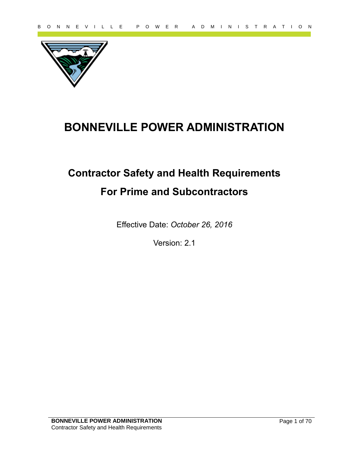

# **BONNEVILLE POWER ADMINISTRATION**

# **PARTICULTE POWER ADMINISTRATION**<br> **BONNEVILLE POWER ADMINISTRATION**<br>
Contractor Safety and Health Requirements<br>
For Prime and Subcontractors<br>
Effective Date: October 26, 2016<br>
Version: 2.1 **Contractor Safety and Health Requirements For Prime and Subcontractors**

Effective Date: *October 26, 2016*

Version: 2.1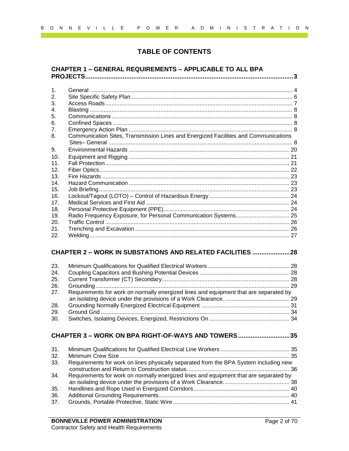# **TABLE OF CONTENTS**

## **CHAPTER 1 – [GENERAL REQUIREMENTS](#page-2-0) – APPLICABLE TO ALL BPA [PROJECTS.....................................................................................................................3](#page-2-0)**

|                   | <b>TABLE OF CONTENTS</b>                                                              |  |
|-------------------|---------------------------------------------------------------------------------------|--|
|                   |                                                                                       |  |
|                   | <b>CHAPTER 1 - GENERAL REQUIREMENTS - APPLICABLE TO ALL BPA</b>                       |  |
|                   |                                                                                       |  |
| 1.                |                                                                                       |  |
| 2.                |                                                                                       |  |
| 3.                |                                                                                       |  |
| 4.<br>5.          |                                                                                       |  |
| 6.                |                                                                                       |  |
| 7.                |                                                                                       |  |
| 8.                | Communication Sites, Transmission Lines and Energized Facilities and Communications   |  |
|                   |                                                                                       |  |
| 9.                |                                                                                       |  |
| 10.               |                                                                                       |  |
| 11.               |                                                                                       |  |
| 12.               |                                                                                       |  |
| 13.<br>14.        |                                                                                       |  |
| 15.               |                                                                                       |  |
| 16.               |                                                                                       |  |
| 17.               |                                                                                       |  |
| 18.               |                                                                                       |  |
| 19.               | Radio Frequency Exposure, for Personal Communication Systems 25                       |  |
| 20.               |                                                                                       |  |
| 21.<br>22.        |                                                                                       |  |
|                   | <b>CHAPTER 2 - WORK IN SUBSTATIONS AND RELATED FACILITIES 28</b>                      |  |
| 23.               |                                                                                       |  |
| 24.               |                                                                                       |  |
| 25.               |                                                                                       |  |
| 26.<br>27.        | Requirements for work on normally energized lines and equipment that are separated by |  |
|                   |                                                                                       |  |
| 28.               |                                                                                       |  |
| 29.               |                                                                                       |  |
| 30.               |                                                                                       |  |
|                   | CHAPTER 3 - WORK ON BPA RIGHT-OF-WAYS AND TOWERS35                                    |  |
| 31.               |                                                                                       |  |
|                   |                                                                                       |  |
|                   | Requirements for work on lines physically separated from the BPA System including new |  |
|                   |                                                                                       |  |
|                   |                                                                                       |  |
|                   | Requirements for work on normally energized lines and equipment that are separated by |  |
| 32.<br>33.<br>34. |                                                                                       |  |
| 35.<br>36.        |                                                                                       |  |

# **CHAPTER 2 – [WORK IN SUBSTATIONS AND RELATED FACILITIES](#page-27-0) .....................28**

| 23. |                                                                                       |  |
|-----|---------------------------------------------------------------------------------------|--|
| 24. |                                                                                       |  |
| 25. |                                                                                       |  |
| 26. |                                                                                       |  |
| 27. | Requirements for work on normally energized lines and equipment that are separated by |  |
|     |                                                                                       |  |
| 28. |                                                                                       |  |
| 29. |                                                                                       |  |
| 30. |                                                                                       |  |

# **CHAPTER 3 – [WORK ON BPA RIGHT-OF-WAYS AND TOWERS.............................35](#page-34-0)**

| 31.<br>32. |                                                                                       |  |
|------------|---------------------------------------------------------------------------------------|--|
| 33.        | Requirements for work on lines physically separated from the BPA System including new |  |
|            |                                                                                       |  |
| 34.        | Requirements for work on normally energized lines and equipment that are separated by |  |
|            |                                                                                       |  |
| 35.        |                                                                                       |  |
| 36.        |                                                                                       |  |
| 37.        |                                                                                       |  |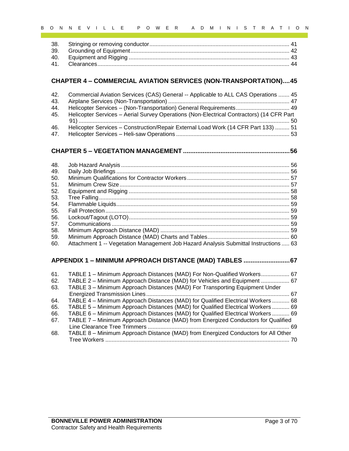# **CHAPTER 4 – [COMMERCIAL AVIATION SERVICES \(NON-TRANSPORTATION\)....45](#page-44-0)**

| 42. | Commercial Aviation Services (CAS) General -- Applicable to ALL CAS Operations  45       |
|-----|------------------------------------------------------------------------------------------|
| 43. |                                                                                          |
| 44. | Helicopter Services - (Non-Transportation) General Requirements 49                       |
| 45. | Helicopter Services - Aerial Survey Operations (Non-Electrical Contractors) (14 CFR Part |
|     |                                                                                          |
| 46. | Helicopter Services - Construction/Repair External Load Work (14 CFR Part 133)  51       |
| 47. |                                                                                          |

# **CHAPTER 5 – VEGETATION MANAGEMENT [............................................................56](#page-55-0)**

| 38.<br>39.<br>40.<br>41. |                                                                                          |
|--------------------------|------------------------------------------------------------------------------------------|
|                          |                                                                                          |
|                          |                                                                                          |
|                          |                                                                                          |
|                          |                                                                                          |
|                          | <b>CHAPTER 4 - COMMERCIAL AVIATION SERVICES (NON-TRANSPORTATION)45</b>                   |
|                          |                                                                                          |
| 42.                      | Commercial Aviation Services (CAS) General -- Applicable to ALL CAS Operations  45       |
| 43.                      |                                                                                          |
| 44.                      | Helicopter Services - (Non-Transportation) General Requirements 49                       |
| 45.                      | Helicopter Services - Aerial Survey Operations (Non-Electrical Contractors) (14 CFR Part |
|                          |                                                                                          |
| 46.                      | Helicopter Services - Construction/Repair External Load Work (14 CFR Part 133)  51       |
| 47.                      |                                                                                          |
|                          |                                                                                          |
| 48.                      |                                                                                          |
| 49.                      |                                                                                          |
| 50.                      |                                                                                          |
| 51.                      |                                                                                          |
| 52.                      |                                                                                          |
| 53.                      |                                                                                          |
| 54.                      |                                                                                          |
| 55.                      |                                                                                          |
| 56.                      |                                                                                          |
| 57.                      |                                                                                          |
| 58.                      |                                                                                          |
| 59.                      |                                                                                          |
| 60.                      | Attachment 1 -- Vegetation Management Job Hazard Analysis Submittal Instructions  63     |
|                          | APPENDIX 1 - MINIMUM APPROACH DISTANCE (MAD) TABLES  67                                  |
| 61.                      | TABLE 1 - Minimum Approach Distances (MAD) For Non-Qualified Workers 67                  |
| 62.                      | TABLE 2 - Minimum Approach Distance (MAD) for Vehicles and Equipment  67                 |
| 63.                      | TABLE 3 - Minimum Approach Distances (MAD) For Transporting Equipment Under              |
|                          |                                                                                          |
| 64.                      | TABLE 4 - Minimum Approach Distances (MAD) for Qualified Electrical Workers  68          |
| 65.                      | TABLE 5 - Minimum Approach Distances (MAD) for Qualified Electrical Workers  69          |
| 66.                      | TABLE 6 - Minimum Approach Distances (MAD) for Qualified Electrical Workers  69          |
| 67.                      | TABLE 7 - Minimum Approach Distance (MAD) from Energized Conductors for Qualified        |
|                          |                                                                                          |
| 68.                      | TABLE 8 - Minimum Approach Distance (MAD) from Energized Conductors for All Other        |

# **APPENDIX 1 – [MINIMUM APPROACH DISTANCE \(MAD\) TABLES](#page-66-0) ..........................67**

<span id="page-2-0"></span>

| 61. | TABLE 1 - Minimum Approach Distances (MAD) For Non-Qualified Workers 67           |  |
|-----|-----------------------------------------------------------------------------------|--|
| 62. | TABLE 2 - Minimum Approach Distance (MAD) for Vehicles and Equipment  67          |  |
| 63. | TABLE 3 - Minimum Approach Distances (MAD) For Transporting Equipment Under       |  |
|     |                                                                                   |  |
| 64. | TABLE 4 – Minimum Approach Distances (MAD) for Qualified Electrical Workers  68   |  |
| 65. | TABLE 5 - Minimum Approach Distances (MAD) for Qualified Electrical Workers  69   |  |
| 66. | TABLE 6 - Minimum Approach Distances (MAD) for Qualified Electrical Workers  69   |  |
| 67. | TABLE 7 - Minimum Approach Distance (MAD) from Energized Conductors for Qualified |  |
|     |                                                                                   |  |
| 68. | TABLE 8 - Minimum Approach Distance (MAD) from Energized Conductors for All Other |  |
|     |                                                                                   |  |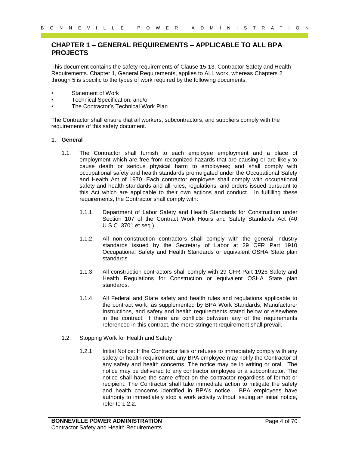# **CHAPTER 1 – GENERAL REQUIREMENTS – APPLICABLE TO ALL BPA PROJECTS**

This document contains the safety requirements of Clause 15-13, Contractor Safety and Health Requirements. Chapter 1, General Requirements, applies to ALL work, whereas Chapters 2 through 5 is specific to the types of work required by the following documents:

- Statement of Work
- Technical Specification, and/or
- The Contractor's Technical Work Plan

The Contractor shall ensure that all workers, subcontractors, and suppliers comply with the requirements of this safety document.

#### <span id="page-3-0"></span>**1. General**

- 1.1. The Contractor shall furnish to each employee employment and a place of employment which are free from recognized hazards that are causing or are likely to cause death or serious physical harm to employees; and shall comply with occupational safety and health standards promulgated under the Occupational Safety and Health Act of 1970. Each contractor employee shall comply with occupational safety and health standards and all rules, regulations, and orders issued pursuant to this Act which are applicable to their own actions and conduct. In fulfilling these requirements, the Contractor shall comply with:
	- 1.1.1. Department of Labor Safety and Health Standards for Construction under Section 107 of the Contract Work Hours and Safety Standards Act (40 U.S.C. 3701 et seq.).
	- 1.1.2. All non-construction contractors shall comply with the general industry standards issued by the Secretary of Labor at 29 CFR Part 1910 Occupational Safety and Health Standards or equivalent OSHA State plan standards.
	- 1.1.3. All construction contractors shall comply with 29 CFR Part 1926 Safety and Health Regulations for Construction or equivalent OSHA State plan standards.
	- 1.1.4. All Federal and State safety and health rules and regulations applicable to the contract work, as supplemented by BPA Work Standards, Manufacturer Instructions, and safety and health requirements stated below or elsewhere in the contract. If there are conflicts between any of the requirements referenced in this contract, the more stringent requirement shall prevail.
- 1.2. Stopping Work for Health and Safety
- 9 of N E V I L L E P O W E R A D M I N I S T R A T I O N<br>
CHAPTER 1 GENERAL REQUIREMENTS APPLICABLE TO ALL BPA<br>
PROJECTS<br>
This documents consiste the samely regular memorial of the same 5-13 Contracts sharely and Hess 1.2.1. Initial Notice: If the Contractor fails or refuses to immediately comply with any safety or health requirement, any BPA employee may notify the Contractor of any safety and health concerns. The notice may be in writing or oral. The notice may be delivered to any contractor employee or a subcontractor. The notice shall have the same effect on the contractor regardless of format or recipient. The Contractor shall take immediate action to mitigate the safety and health concerns identified in BPA's notice. BPA employees have authority to immediately stop a work activity without issuing an initial notice, refer to 1.2.2.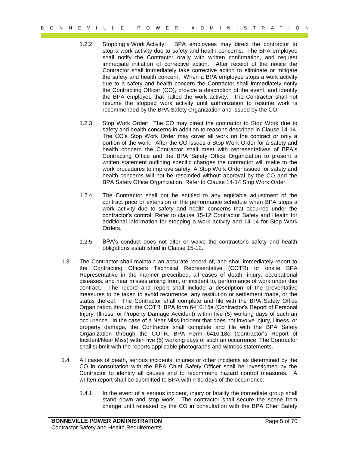- 1.2.2. Stopping a Work Activity: BPA employees may direct the contractor to stop a work activity due to safety and health concerns. The BPA employee shall notify the Contractor orally with written confirmation, and request immediate initiation of corrective action. After receipt of the notice the Contractor shall immediately take corrective action to eliminate or mitigate the safety and health concern. When a BPA employee stops a work activity due to a safety and health concern the Contractor shall immediately notify the Contracting Officer (CO), provide a description of the event, and identify the BPA employee that halted the work activity. The Contractor shall not resume the stopped work activity until authorization to resume work is recommended by the BPA Safety Organization and issued by the CO.
- 1.2.3. Stop Work Order: The CO may direct the contractor to Stop Work due to safety and health concerns in addition to reasons described in Clause 14-14. The CO's Stop Work Order may cover all work on the contract or only a portion of the work. After the CO issues a Stop Work Order for a safety and health concern the Contractor shall meet with representatives of BPA's Contracting Office and the BPA Safety Office Organization to present a written statement outlining specific changes the contractor will make to the work procedures to improve safety. A Stop Work Order issued for safety and health concerns will not be rescinded without approval by the CO and the BPA Safety Office Organization. Refer to Clause 14-14 Stop Work Order.
- 1.2.4. The Contractor shall not be entitled to any equitable adjustment of the contract price or extension of the performance schedule when BPA stops a work activity due to safety and health concerns that occurred under the contractor's control. Refer to clause 15-12 Contractor Safety and Health for additional information for stopping a work activity and 14-14 for Stop Work Orders.
- 1.2.5. BPA's conduct does not alter or waive the contractor's safety and health obligations established in Clause 15-12.
- 9 of  $R = V + L$  is a comparison of  $R = V$  is a comparison of  $R = V + R$  of  $R = V + R$  is a comparison of  $R = V + R$  and  $R = V$  and  $R = V$  and  $R = V$  and  $R = V$  and  $R = V$  and  $R = V$  and  $R = V$  and  $R = V$  and  $R = V$  and  $R = V$  and  $R = V$  and  $R = V$ 1.3. The Contractor shall maintain an accurate record of, and shall immediately report to the Contracting Officers Technical Representative (COTR) or onsite BPA Representative in the manner prescribed, all cases of death, injury, occupational diseases, and near misses arising from, or incident to, performance of work under this contract. The record and report shall include a description of the preventative measures to be taken to avoid recurrence, any restitution or settlement made, or the status thereof. The Contractor shall complete and file with the BPA Safety Office Organization through the COTR, BPA form 6410.15e (Contractor's Report of Personal Injury, Illness, or Property Damage Accident) within five (5) working days of such an occurrence. In the case of a Near Miss Incident that does not involve injury, illness, or property damage, the Contractor shall complete and file with the BPA Safety Organization through the COTR, BPA Form 6410.18e (Contractor's Report of Incident/Near Miss) within five (5) working days of such an occurrence. The Contractor shall submit with the reports applicable photographs and witness statements.
	- 1.4. All cases of death, serious incidents, injuries or other incidents as determined by the CO in consultation with the BPA Chief Safety Officer shall be investigated by the Contractor to identify all causes and to recommend hazard control measures. A written report shall be submitted to BPA within 30 days of the occurrence.
		- 1.4.1. In the event of a serious incident, injury or fatality the immediate group shall stand down and stop work. The contractor shall secure the scene from change until released by the CO in consultation with the BPA Chief Safety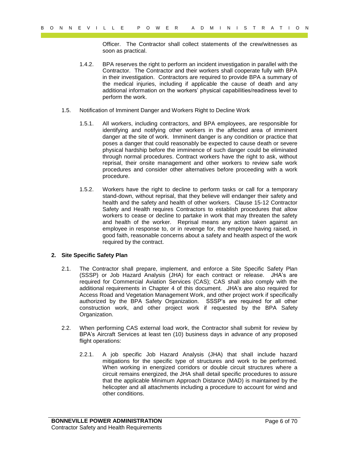Officer. The Contractor shall collect statements of the crew/witnesses as soon as practical.

- 1.4.2. BPA reserves the right to perform an incident investigation in parallel with the Contractor. The Contractor and their workers shall cooperate fully with BPA in their investigation. Contractors are required to provide BPA a summary of the medical injuries, including if applicable the cause of death and any additional information on the workers' physical capabilities/readiness level to perform the work.
- 1.5. Notification of Imminent Danger and Workers Right to Decline Work
	- 1.5.1. All workers, including contractors, and BPA employees, are responsible for identifying and notifying other workers in the affected area of imminent danger at the site of work. Imminent danger is any condition or practice that poses a danger that could reasonably be expected to cause death or severe physical hardship before the imminence of such danger could be eliminated through normal procedures. Contract workers have the right to ask, without reprisal, their onsite management and other workers to review safe work procedures and consider other alternatives before proceeding with a work procedure.
- Payer Level in the two-fit interaction of the magnitude statements of the development interaction and properties of the magnitude of the magnitude of the magnitude of the magnitude of the magnitude of the magnitude of the 1.5.2. Workers have the right to decline to perform tasks or call for a temporary stand-down, without reprisal, that they believe will endanger their safety and health and the safety and health of other workers. Clause 15-12 Contractor Safety and Health requires Contractors to establish procedures that allow workers to cease or decline to partake in work that may threaten the safety and health of the worker. Reprisal means any action taken against an employee in response to, or in revenge for, the employee having raised, in good faith, reasonable concerns about a safety and health aspect of the work required by the contract.

#### <span id="page-5-0"></span>**2. Site Specific Safety Plan**

- 2.1. The Contractor shall prepare, implement, and enforce a Site Specific Safety Plan (SSSP) or Job Hazard Analysis (JHA) for each contract or release. JHA's are required for Commercial Aviation Services (CAS); CAS shall also comply with the additional requirements in Chapter 4 of this document. JHA's are also required for Access Road and Vegetation Management Work, and other project work if specifically authorized by the BPA Safety Organization. SSSP's are required for all other construction work, and other project work if requested by the BPA Safety Organization.
- 2.2. When performing CAS external load work, the Contractor shall submit for review by BPA's Aircraft Services at least ten (10) business days in advance of any proposed flight operations:
	- 2.2.1. A job specific Job Hazard Analysis (JHA) that shall include hazard mitigations for the specific type of structures and work to be performed. When working in energized corridors or double circuit structures where a circuit remains energized, the JHA shall detail specific procedures to assure that the applicable Minimum Approach Distance (MAD) is maintained by the helicopter and all attachments including a procedure to account for wind and other conditions.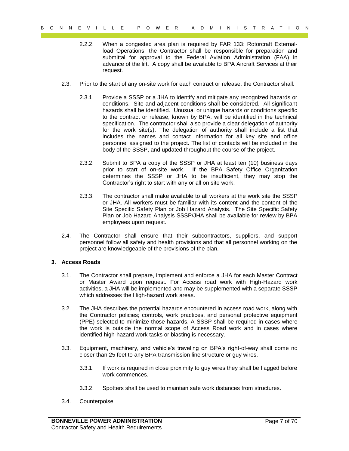- 2.2.2. When a congested area plan is required by FAR 133: Rotorcraft Externalload Operations, the Contractor shall be responsible for preparation and submittal for approval to the Federal Aviation Administration (FAA) in advance of the lift. A copy shall be available to BPA Aircraft Services at their request.
- 2.3. Prior to the start of any on-site work for each contract or release, the Contractor shall:
- Payer L. The Extra Constraints of Art TV I L C P O W E R A T I O N I M I L C P T A T I O N I M I S T R A T I O N I M I S T R A T I O N I M I S T R A T I O N I M I S T R A T I O N I M I S T R A T T A T I O N I N I S T R A 2.3.1. Provide a SSSP or a JHA to identify and mitigate any recognized hazards or conditions. Site and adjacent conditions shall be considered. All significant hazards shall be identified. Unusual or unique hazards or conditions specific to the contract or release, known by BPA, will be identified in the technical specification. The contractor shall also provide a clear delegation of authority for the work site(s). The delegation of authority shall include a list that includes the names and contact information for all key site and office personnel assigned to the project. The list of contacts will be included in the body of the SSSP, and updated throughout the course of the project.
	- 2.3.2. Submit to BPA a copy of the SSSP or JHA at least ten (10) business days prior to start of on-site work. If the BPA Safety Office Organization determines the SSSP or JHA to be insufficient, they may stop the Contractor's right to start with any or all on site work.
	- 2.3.3. The contractor shall make available to all workers at the work site the SSSP or JHA. All workers must be familiar with its content and the content of the Site Specific Safety Plan or Job Hazard Analysis. The Site Specific Safety Plan or Job Hazard Analysis SSSP/JHA shall be available for review by BPA employees upon request.
	- 2.4. The Contractor shall ensure that their subcontractors, suppliers, and support personnel follow all safety and health provisions and that all personnel working on the project are knowledgeable of the provisions of the plan.

#### <span id="page-6-0"></span>**3. Access Roads**

- 3.1. The Contractor shall prepare, implement and enforce a JHA for each Master Contract or Master Award upon request. For Access road work with High-Hazard work activities, a JHA will be implemented and may be supplemented with a separate SSSP which addresses the High-hazard work areas.
- 3.2. The JHA describes the potential hazards encountered in access road work, along with the Contractor policies; controls, work practices, and personal protective equipment (PPE) selected to minimize those hazards. A SSSP shall be required in cases where the work is outside the normal scope of Access Road work and in cases where identified high-hazard work tasks or blasting is necessary.
- 3.3. Equipment, machinery, and vehicle's traveling on BPA's right-of-way shall come no closer than 25 feet to any BPA transmission line structure or guy wires.
	- 3.3.1. If work is required in close proximity to guy wires they shall be flagged before work commences.
	- 3.3.2. Spotters shall be used to maintain safe work distances from structures.
- 3.4. Counterpoise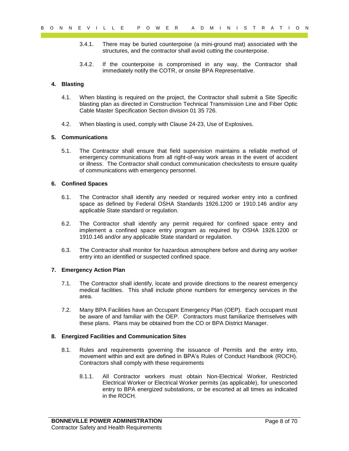- 3.4.1. There may be buried counterpoise (a mini-ground mat) associated with the structures, and the contractor shall avoid cutting the counterpoise.
- 3.4.2. If the counterpoise is compromised in any way, the Contractor shall immediately notify the COTR, or onsite BPA Representative.

#### <span id="page-7-0"></span>**4. Blasting**

- 4.1. When blasting is required on the project, the Contractor shall submit a Site Specific blasting plan as directed in Construction Technical Transmission Line and Fiber Optic Cable Master Specification Section division 01 35 726.
- 4.2. When blasting is used, comply with Clause 24-23, Use of Explosives.

#### <span id="page-7-1"></span>**5. Communications**

9 of  $R = V + L L = P = P$  on  $R = R$  or  $R = R$  or  $R = R$  or  $R = R$  or  $R = R$  or  $R = R$  or  $R = R$  or  $R = R$  or  $R = R$  or  $R = R$  or  $R = R$  or  $R = R$  or  $R = R$  or  $R = R$  or  $R = R$  or  $R = R$  or  $R = R$  or  $R = R$  or  $R = R$  or  $R = R$  or  $R = R$  and  $R = R$  or 5.1. The Contractor shall ensure that field supervision maintains a reliable method of emergency communications from all right-of-way work areas in the event of accident or illness. The Contractor shall conduct communication checks/tests to ensure quality of communications with emergency personnel.

#### <span id="page-7-2"></span>**6. Confined Spaces**

- 6.1. The Contractor shall identify any needed or required worker entry into a confined space as defined by Federal OSHA Standards 1926.1200 or 1910.146 and/or any applicable State standard or regulation.
- 6.2. The Contractor shall identify any permit required for confined space entry and implement a confined space entry program as required by OSHA 1926.1200 or 1910.146 and/or any applicable State standard or regulation.
- 6.3. The Contractor shall monitor for hazardous atmosphere before and during any worker entry into an identified or suspected confined space.

#### <span id="page-7-3"></span>**7. Emergency Action Plan**

- 7.1. The Contractor shall identify, locate and provide directions to the nearest emergency medical facilities. This shall include phone numbers for emergency services in the area.
- 7.2. Many BPA Facilities have an Occupant Emergency Plan (OEP). Each occupant must be aware of and familiar with the OEP. Contractors must familiarize themselves with these plans. Plans may be obtained from the CO or BPA District Manager.

#### <span id="page-7-4"></span>**8. Energized Facilities and Communication Sites**

- 8.1. Rules and requirements governing the issuance of Permits and the entry into, movement within and exit are defined in BPA's Rules of Conduct Handbook (ROCH). Contractors shall comply with these requirements
	- 8.1.1. All Contractor workers must obtain Non-Electrical Worker, Restricted Electrical Worker or Electrical Worker permits (as applicable), for unescorted entry to BPA energized substations, or be escorted at all times as indicated in the ROCH.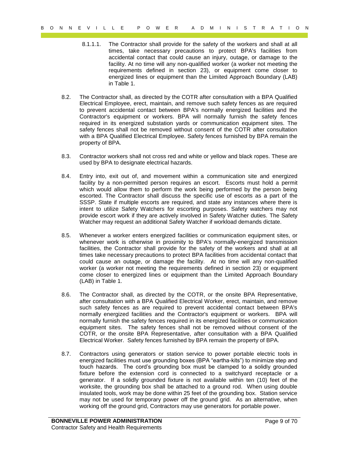- 8.1.1.1. The Contractor shall provide for the safety of the workers and shall at all times, take necessary precautions to protect BPA's facilities from accidental contact that could cause an injury, outage, or damage to the facility. At no time will any non-qualified worker (a worker not meeting the requirements defined in section 23), or equipment come closer to energized lines or equipment than the Limited Approach Boundary (LAB) in Table 1.
- 8.2. The Contractor shall, as directed by the COTR after consultation with a BPA Qualified Electrical Employee, erect, maintain, and remove such safety fences as are required to prevent accidental contact between BPA's normally energized facilities and the Contractor's equipment or workers. BPA will normally furnish the safety fences required in its energized substation yards or communication equipment sites. The safety fences shall not be removed without consent of the COTR after consultation with a BPA Qualified Electrical Employee. Safety fences furnished by BPA remain the property of BPA.
- 8.3. Contractor workers shall not cross red and white or yellow and black ropes. These are used by BPA to designate electrical hazards.
- 8.4. Entry into, exit out of, and movement within a communication site and energized facility by a non-permitted person requires an escort. Escorts must hold a permit which would allow them to perform the work being performed by the person being escorted. The Contractor shall discuss the specific use of escorts as a part of the SSSP. State if multiple escorts are required, and state any instances where there is intent to utilize Safety Watchers for escorting purposes. Safety watchers may not provide escort work if they are actively involved in Safety Watcher duties. The Safety Watcher may request an additional Safety Watcher if workload demands dictate.
- 8.5. Whenever a worker enters energized facilities or communication equipment sites, or whenever work is otherwise in proximity to BPA's normally-energized transmission facilities, the Contractor shall provide for the safety of the workers and shall at all times take necessary precautions to protect BPA facilities from accidental contact that could cause an outage, or damage the facility. At no time will any non-qualified worker (a worker not meeting the requirements defined in section 23) or equipment come closer to energized lines or equipment than the Limited Approach Boundary (LAB) in Table 1.
- 8.6. The Contractor shall, as directed by the COTR, or the onsite BPA Representative, after consultation with a BPA Qualified Electrical Worker, erect, maintain, and remove such safety fences as are required to prevent accidental contact between BPA's normally energized facilities and the Contractor's equipment or workers. BPA will normally furnish the safety fences required in its energized facilities or communication equipment sites. The safety fences shall not be removed without consent of the COTR, or the onsite BPA Representative, after consultation with a BPA Qualified Electrical Worker. Safety fences furnished by BPA remain the property of BPA.
- 9 of  $R = V + L L = T$  is a constraint of  $R = V + R$  is a constraint of  $R = V + R$  is a constraint of  $R = V + R$  is a constraint of  $R = V + R$  is a constraint of  $R = V + R$  and  $R = V + R$  and  $R = V + R$  and  $R = V + R$  and  $R = V + R$  and  $R = V + R$  and  $R = V + R$ 8.7. Contractors using generators or station service to power portable electric tools in energized facilities must use grounding boxes (BPA "eartha-kits") to minimize step and touch hazards. The cord's grounding box must be clamped to a solidly grounded fixture before the extension cord is connected to a switchyard receptacle or a generator. If a solidly grounded fixture is not available within ten (10) feet of the worksite, the grounding box shall be attached to a ground rod. When using double insulated tools, work may be done within 25 feet of the grounding box. Station service may not be used for temporary power off the ground grid. As an alternative, when working off the ground grid, Contractors may use generators for portable power.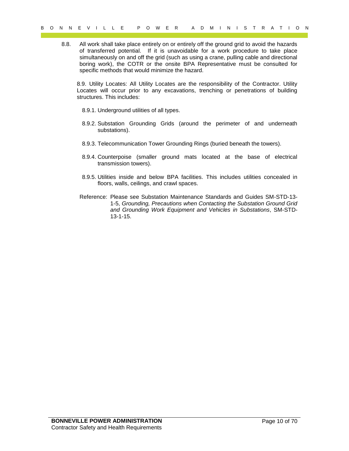$P = P = 0$  or  $P = 6$  or  $P = 6$  or  $P = 6$  and  $P = 6$  and  $P = 6$  and  $P = 6$  and  $P = 6$  and  $P = 6$  and  $P = 6$  and  $P = 6$  and  $P = 6$  and  $P = 6$  and  $P = 6$  and  $P = 6$  and  $P = 6$  and  $P = 6$  and  $P = 6$  and  $P = 6$  and  $P = 6$  and  $P$ 8.8. All work shall take place entirely on or entirely off the ground grid to avoid the hazards of transferred potential. If it is unavoidable for a work procedure to take place simultaneously on and off the grid (such as using a crane, pulling cable and directional boring work), the COTR or the onsite BPA Representative must be consulted for specific methods that would minimize the hazard.

8.9. Utility Locates: All Utility Locates are the responsibility of the Contractor. Utility Locates will occur prior to any excavations, trenching or penetrations of building structures. This includes:

- 8.9.1. Underground utilities of all types.
- 8.9.2. Substation Grounding Grids (around the perimeter of and underneath substations).
- 8.9.3. Telecommunication Tower Grounding Rings (buried beneath the towers).
- 8.9.4. Counterpoise (smaller ground mats located at the base of electrical transmission towers).
- 8.9.5. Utilities inside and below BPA facilities. This includes utilities concealed in floors, walls, ceilings, and crawl spaces.
- Reference: Please see Substation Maintenance Standards and Guides SM-STD-13- 1-5, *Grounding, Precautions when Contacting the Substation Ground Grid and Grounding Work Equipment and Vehicles in Substations*, SM-STD-13-1-15.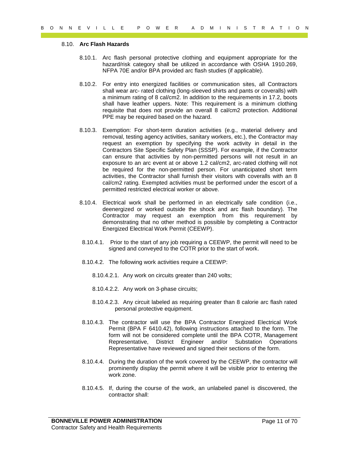#### 8.10. **Arc Flash Hazards**

- 8.10.1. Arc flash personal protective clothing and equipment appropriate for the hazard/risk category shall be utilized in accordance with OSHA 1910.269, NFPA 70E and/or BPA provided arc flash studies (if applicable).
- 8.10.2. For entry into energized facilities or communication sites, all Contractors shall wear arc- rated clothing (long-sleeved shirts and pants or coveralls) with a minimum rating of 8 cal/cm2. In addition to the requirements in 17.2, boots shall have leather uppers. Note: This requirement is a minimum clothing requisite that does not provide an overall 8 cal/cm2 protection. Additional PPE may be required based on the hazard.
- 9 0 M R E V I L L E P O W E R A D M I M I S T R A T I O N<br>
8 10. Are flesh the annual protocol protocole of ching and conjenes with the time in the stationary better that the protocole with 1910.269.<br>
8 10.2. For each per 8.10.3. Exemption: For short-term duration activities (e.g., material delivery and removal, testing agency activities, sanitary workers, etc.), the Contractor may request an exemption by specifying the work activity in detail in the Contractors Site Specific Safety Plan (SSSP). For example, if the Contractor can ensure that activities by non-permitted persons will not result in an exposure to an arc event at or above 1.2 cal/cm2, arc-rated clothing will not be required for the non-permitted person. For unanticipated short term activities, the Contractor shall furnish their visitors with coveralls with an 8 cal/cm2 rating. Exempted activities must be performed under the escort of a permitted restricted electrical worker or above.
	- 8.10.4. Electrical work shall be performed in an electrically safe condition (i.e., deenergized or worked outside the shock and arc flash boundary). The Contractor may request an exemption from this requirement by demonstrating that no other method is possible by completing a Contractor Energized Electrical Work Permit (CEEWP).
	- 8.10.4.1. Prior to the start of any job requiring a CEEWP, the permit will need to be signed and conveyed to the COTR prior to the start of work.
	- 8.10.4.2. The following work activities require a CEEWP:
		- 8.10.4.2.1. Any work on circuits greater than 240 volts;
		- 8.10.4.2.2. Any work on 3-phase circuits;
		- 8.10.4.2.3. Any circuit labeled as requiring greater than 8 calorie arc flash rated personal protective equipment.
	- 8.10.4.3. The contractor will use the BPA Contractor Energized Electrical Work Permit (BPA F 6410.42), following instructions attached to the form. The form will not be considered complete until the BPA COTR, Management Representative, District Engineer and/or Substation Operations Representative have reviewed and signed their sections of the form.
	- 8.10.4.4. During the duration of the work covered by the CEEWP, the contractor will prominently display the permit where it will be visible prior to entering the work zone.
	- 8.10.4.5. If, during the course of the work, an unlabeled panel is discovered, the contractor shall: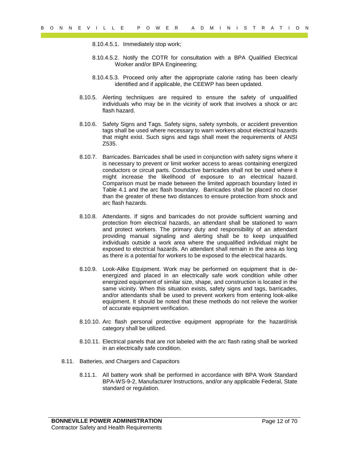8.10.4.5.1. Immediately stop work;

- 8.10.4.5.2. Notify the COTR for consultation with a BPA Qualified Electrical Worker and/or BPA Engineering;
- 8.10.4.5.3. Proceed only after the appropriate calorie rating has been clearly identified and if applicable, the CEEWP has been updated.
- 8.10.5. Alerting techniques are required to ensure the safety of unqualified individuals who may be in the vicinity of work that involves a shock or arc flash hazard.
- 8.10.6. Safety Signs and Tags. Safety signs, safety symbols, or accident prevention tags shall be used where necessary to warn workers about electrical hazards that might exist. Such signs and tags shall meet the requirements of ANSI Z535.
- 9 of  $R = V + L + L = P$  of  $R$  or  $R = V$  is a constructed by the control of the studies of the studies of the studies of the control of the studies of the studies of the studies of the studies of the studies of the studies of the 8.10.7. Barricades. Barricades shall be used in conjunction with safety signs where it is necessary to prevent or limit worker access to areas containing energized conductors or circuit parts. Conductive barricades shall not be used where it might increase the likelihood of exposure to an electrical hazard. Comparison must be made between the limited approach boundary listed in Table 4.1 and the arc flash boundary. Barricades shall be placed no closer than the greater of these two distances to ensure protection from shock and arc flash hazards.
	- 8.10.8. Attendants. If signs and barricades do not provide sufficient warning and protection from electrical hazards, an attendant shall be stationed to warn and protect workers. The primary duty and responsibility of an attendant providing manual signaling and alerting shall be to keep unqualified individuals outside a work area where the unqualified individual might be exposed to electrical hazards. An attendant shall remain in the area as long as there is a potential for workers to be exposed to the electrical hazards.
	- 8.10.9. Look-Alike Equipment. Work may be performed on equipment that is deenergized and placed in an electrically safe work condition while other energized equipment of similar size, shape, and construction is located in the same vicinity. When this situation exists, safety signs and tags, barricades. and/or attendants shall be used to prevent workers from entering look-alike equipment. It should be noted that these methods do not relieve the worker of accurate equipment verification.
	- 8.10.10. Arc flash personal protective equipment appropriate for the hazard/risk category shall be utilized.
	- 8.10.11. Electrical panels that are not labeled with the arc flash rating shall be worked in an electrically safe condition.
	- 8.11. Batteries, and Chargers and Capacitors
		- 8.11.1. All battery work shall be performed in accordance with BPA Work Standard BPA-WS-9-2, Manufacturer Instructions, and/or any applicable Federal, State standard or regulation.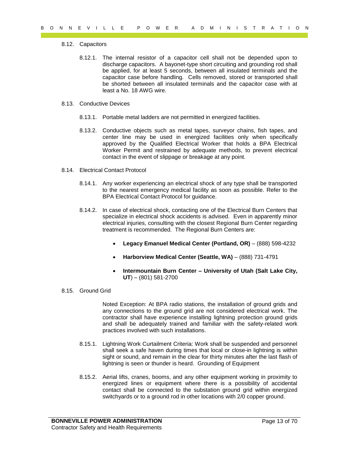#### 8.12. Capacitors

- 9 of  $R = V + L + L$  is a one of a considerable that is a considerable that is a considerable to the set of a considerable a summarized by the set of a considerable and the set of a summarized by the set of a summarized by the 8.12.1. The internal resistor of a capacitor cell shall not be depended upon to discharge capacitors. A bayonet-type short circuiting and grounding rod shall be applied, for at least 5 seconds, between all insulated terminals and the capacitor case before handling. Cells removed, stored or transported shall be shorted between all insulated terminals and the capacitor case with at least a No. 18 AWG wire.
	- 8.13. Conductive Devices
		- 8.13.1. Portable metal ladders are not permitted in energized facilities.
		- 8.13.2. Conductive objects such as metal tapes, surveyor chains, fish tapes, and center line may be used in energized facilities only when specifically approved by the Qualified Electrical Worker that holds a BPA Electrical Worker Permit and restrained by adequate methods, to prevent electrical contact in the event of slippage or breakage at any point.
	- 8.14. Electrical Contact Protocol
		- 8.14.1. Any worker experiencing an electrical shock of any type shall be transported to the nearest emergency medical facility as soon as possible. Refer to the BPA Electrical Contact Protocol for guidance.
		- 8.14.2. In case of electrical shock, contacting one of the Electrical Burn Centers that specialize in electrical shock accidents is advised. Even in apparently minor electrical injuries, consulting with the closest Regional Burn Center regarding treatment is recommended. The Regional Burn Centers are:
			- **Legacy Emanuel Medical Center (Portland, OR)** (888) 598-4232
			- **Harborview Medical Center (Seattle, WA)** (888) 731-4791
			- **Intermountain Burn Center – University of Utah (Salt Lake City, UT**) – (801) 581-2700
	- 8.15. Ground Grid

Noted Exception: At BPA radio stations, the installation of ground grids and any connections to the ground grid are not considered electrical work. The contractor shall have experience installing lightning protection ground grids and shall be adequately trained and familiar with the safety-related work practices involved with such installations.

- 8.15.1. Lightning Work Curtailment Criteria: Work shall be suspended and personnel shall seek a safe haven during times that local or close-in lightning is within sight or sound, and remain in the clear for thirty minutes after the last flash of lightning is seen or thunder is heard. Grounding of Equipment
- 8.15.2. Aerial lifts, cranes, booms, and any other equipment working in proximity to energized lines or equipment where there is a possibility of accidental contact shall be connected to the substation ground grid within energized switchyards or to a ground rod in other locations with 2/0 copper ground.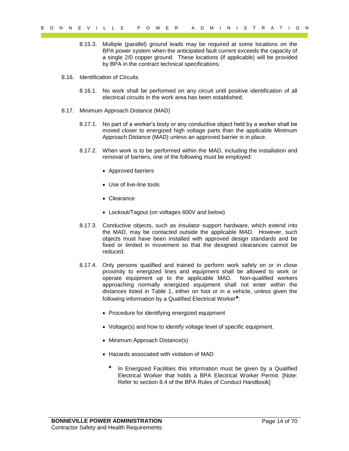- 8.15.3. Multiple (parallel) ground leads may be required at some locations on the BPA power system when the anticipated fault current exceeds the capacity of a single 2/0 copper ground. These locations (if applicable) will be provided by BPA in the contract technical specifications.
- 8.16. Identification of Circuits
	- 8.16.1. No work shall be performed on any circuit until positive identification of all electrical circuits in the work area has been established.
- 8.17. Minimum Approach Distance (MAD)
	- 8.17.1. No part of a worker's body or any conductive object held by a worker shall be moved closer to energized high voltage parts than the applicable Minimum Approach Distance (MAD) unless an approved barrier is in place.
	- 8.17.2. When work is to be performed within the MAD, including the installation and removal of barriers, one of the following must be employed:
		- Approved barriers
		- Use of live-line tools
		- Clearance
		- Lockout/Tagout (on voltages 600V and below)
	- 8.17.3. Conductive objects, such as insulator support hardware, which extend into the MAD, may be contacted outside the applicable MAD. However, such objects must have been installed with approved design standards and be fixed or limited in movement so that the designed clearances cannot be reduced.
- 9 o N K E V I L E P O W E R A T D and I in 19 T R A T in 19 T R A T D C T C Consider the state of the state of the state of the state of the state of the state of the state of the state of the state of the state of the st 8.17.4. Only persons qualified and trained to perform work safely on or in close proximity to energized lines and equipment shall be allowed to work or operate equipment up to the applicable MAD. Non-qualified workers approaching normally energized equipment shall not enter within the distances listed in Table 1, either on foot or in a vehicle, unless given the following information by a Qualified Electrical Worker**\***:
	- Procedure for identifying energized equipment
	- Voltage(s) and how to identify voltage level of specific equipment.
	- Minimum Approach Distance(s)
	- Hazards associated with violation of MAD
		- **\*** In Energized Facilities this information must be given by a Qualified Electrical Worker that holds a BPA Electrical Worker Permit. [Note: Refer to section 8.4 of the BPA Rules of Conduct Handbook]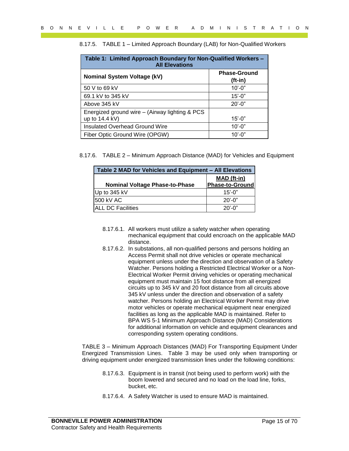| Table 1: Limited Approach Boundary for Non-Qualified Workers -<br><b>All Elevations</b> |                                  |  |  |  |
|-----------------------------------------------------------------------------------------|----------------------------------|--|--|--|
| <b>Nominal System Voltage (kV)</b>                                                      | <b>Phase-Ground</b><br>$(ft-in)$ |  |  |  |
| 50 V to 69 kV                                                                           | $10' - 0"$                       |  |  |  |
| 69.1 kV to 345 kV                                                                       | $15' - 0''$                      |  |  |  |
| Above 345 kV                                                                            | $20' - 0''$                      |  |  |  |
| Energized ground wire - (Airway lighting & PCS<br>up to 14.4 kV)                        | $15' - 0''$                      |  |  |  |
| Insulated Overhead Ground Wire                                                          | $10' - 0''$                      |  |  |  |
| Fiber Optic Ground Wire (OPGW)                                                          | $10' - 0''$                      |  |  |  |

|  |  |  | 8.17.5. TABLE 1 - Limited Approach Boundary (LAB) for Non-Qualified Workers |  |
|--|--|--|-----------------------------------------------------------------------------|--|
|--|--|--|-----------------------------------------------------------------------------|--|

|  |  | 8.17.6. TABLE 2 - Minimum Approach Distance (MAD) for Vehicles and Equipment |  |  |  |
|--|--|------------------------------------------------------------------------------|--|--|--|
|--|--|------------------------------------------------------------------------------|--|--|--|

| Table 2 MAD for Vehicles and Equipment - All Elevations |                                       |  |  |
|---------------------------------------------------------|---------------------------------------|--|--|
| <b>Nominal Voltage Phase-to-Phase</b>                   | MAD (ft-in)<br><b>Phase-to-Ground</b> |  |  |
| Up to 345 kV                                            | $15' - 0''$                           |  |  |
| 1500 kV AC                                              | $20' - 0''$                           |  |  |
| <b>IALL DC Facilities</b>                               | $20'$ -0"                             |  |  |

- 8.17.6.1. All workers must utilize a safety watcher when operating mechanical equipment that could encroach on the applicable MAD distance.
- 9 of  $R = V + L + L = P = 0$  with  $R = R = (1 \text{Im} \cos \theta)$  and  $R = (1 \text{Im} \cos \theta)$  and  $R = (1 \text{Im} \cos \theta)$  and  $R = (1 \text{Im} \cos \theta)$  and  $R = (1 \text{Im} \cos \theta)$  and  $R = (1 \text{Im} \cos \theta)$  and  $R = (1 \text{Im} \cos \theta)$  and  $R = (1 \text{Im} \cos \theta)$  and  $R = (1 \text{Im} \cos \theta)$  8.17.6.2. In substations, all non-qualified persons and persons holding an Access Permit shall not drive vehicles or operate mechanical equipment unless under the direction and observation of a Safety Watcher. Persons holding a Restricted Electrical Worker or a Non-Electrical Worker Permit driving vehicles or operating mechanical equipment must maintain 15 foot distance from all energized circuits up to 345 kV and 20 foot distance from all circuits above 345 kV unless under the direction and observation of a safety watcher. Persons holding an Electrical Worker Permit may drive motor vehicles or operate mechanical equipment near energized facilities as long as the applicable MAD is maintained. Refer to BPA WS 5-1 Minimum Approach Distance (MAD) Considerations for additional information on vehicle and equipment clearances and corresponding system operating conditions.

TABLE 3 – Minimum Approach Distances (MAD) For Transporting Equipment Under Energized Transmission Lines. Table 3 may be used only when transporting or driving equipment under energized transmission lines under the following conditions:

- 8.17.6.3. Equipment is in transit (not being used to perform work) with the boom lowered and secured and no load on the load line, forks, bucket, etc.
- 8.17.6.4. A Safety Watcher is used to ensure MAD is maintained.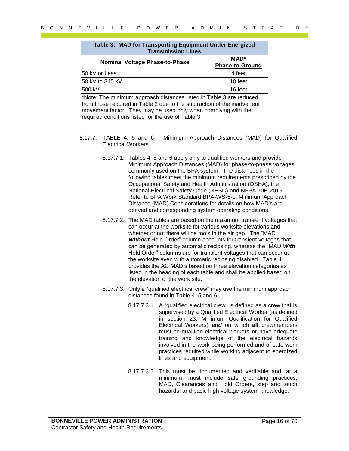|                                                    | <b>Nominal Voltage Phase-to-Phase</b> |                                      | MAD*<br><b>Phase-to-Ground</b>                                                                                                                                                                                                                                                                                                                                                                                                                                                                                                                                                                                          |  |
|----------------------------------------------------|---------------------------------------|--------------------------------------|-------------------------------------------------------------------------------------------------------------------------------------------------------------------------------------------------------------------------------------------------------------------------------------------------------------------------------------------------------------------------------------------------------------------------------------------------------------------------------------------------------------------------------------------------------------------------------------------------------------------------|--|
| 50 kV or Less                                      |                                       |                                      | 4 feet                                                                                                                                                                                                                                                                                                                                                                                                                                                                                                                                                                                                                  |  |
| 50 kV to 345 kV                                    |                                       |                                      | 10 feet                                                                                                                                                                                                                                                                                                                                                                                                                                                                                                                                                                                                                 |  |
| 500 kV                                             |                                       |                                      | 16 feet                                                                                                                                                                                                                                                                                                                                                                                                                                                                                                                                                                                                                 |  |
| required conditions listed for the use of Table 3. |                                       |                                      | *Note: The minimum approach distances listed in Table 3 are reduced<br>from those required in Table 2 due to the subtraction of the inadvertent<br>movement factor. They may be used only when complying with the                                                                                                                                                                                                                                                                                                                                                                                                       |  |
| <b>Electrical Workers</b>                          |                                       |                                      | 8.17.7. TABLE 4, 5 and 6 - Minimum Approach Distances (MAD) for Qualified                                                                                                                                                                                                                                                                                                                                                                                                                                                                                                                                               |  |
|                                                    |                                       |                                      | 8.17.7.1. Tables 4, 5 and 6 apply only to qualified workers and provide<br>Minimum Approach Distances (MAD) for phase-to-phase voltages<br>commonly used on the BPA system. The distances in the<br>following tables meet the minimum requirements prescribed by the<br>Occupational Safety and Health Administration (OSHA), the<br>National Electrical Safety Code (NESC) and NFPA 70E-2015.<br>Refer to BPA Work Standard BPA-WS-5-1, Minimum Approach<br>Distance (MAD) Considerations for details on how MAD's are<br>derived and corresponding system operating conditions.                                       |  |
|                                                    | the elevation of the work site.       |                                      | 8.17.7.2. The MAD tables are based on the maximum transient voltages that<br>can occur at the worksite for various worksite elevations and<br>whether or not there will be tools in the air gap. The "MAD<br>Without Hold Order" column accounts for transient voltages that<br>can be generated by automatic reclosing, whereas the "MAD With<br>Hold Order" columns are for transient voltages that can occur at<br>the worksite even with automatic reclosing disabled. Table 4<br>provides the AC MAD's based on three elevation categories as<br>listed in the heading of each table and shall be applied based on |  |
|                                                    |                                       | distances found in Table 4, 5 and 6. | 8.17.7.3. Only a "qualified electrical crew" may use the minimum approach                                                                                                                                                                                                                                                                                                                                                                                                                                                                                                                                               |  |
|                                                    |                                       | lines and equipment.                 | 8.17.7.3.1. A "qualified electrical crew" is defined as a crew that is<br>supervised by a Qualified Electrical Worker (as defined<br>in section 23, Minimum Qualification for Qualified<br>Electrical Workers) and on which all crewmembers<br>must be qualified electrical workers or have adequate<br>training and knowledge of the electrical hazards<br>involved in the work being performed and of safe work<br>practices required while working adjacent to energized                                                                                                                                             |  |
|                                                    |                                       |                                      | 8.17.7.3.2. This must be documented and verifiable and, at a<br>minimum, must include safe grounding practices,<br>MAD, Clearances and Hold Orders, step and touch<br>hazards, and basic high voltage system knowledge.                                                                                                                                                                                                                                                                                                                                                                                                 |  |

- 8.17.7. TABLE 4, 5 and 6 Minimum Approach Distances (MAD) for Qualified Electrical Workers
	- 8.17.7.1. Tables 4, 5 and 6 apply only to qualified workers and provide Minimum Approach Distances (MAD) for phase-to-phase voltages commonly used on the BPA system. The distances in the following tables meet the minimum requirements prescribed by the Occupational Safety and Health Administration (OSHA), the National Electrical Safety Code (NESC) and NFPA 70E-2015. Refer to BPA Work Standard BPA-WS-5-1, Minimum Approach Distance (MAD) Considerations for details on how MAD's are derived and corresponding system operating conditions.
	- 8.17.7.2. The MAD tables are based on the maximum transient voltages that can occur at the worksite for various worksite elevations and whether or not there will be tools in the air gap. The "MAD *Without* Hold Order" column accounts for transient voltages that can be generated by automatic reclosing, whereas the "MAD *With* Hold Order" columns are for transient voltages that can occur at the worksite even with automatic reclosing disabled. Table 4 provides the AC MAD's based on three elevation categories as listed in the heading of each table and shall be applied based on the elevation of the work site.
	- 8.17.7.3. Only a "qualified electrical crew" may use the minimum approach distances found in Table 4, 5 and 6.
		- 8.17.7.3.1. A "qualified electrical crew" is defined as a crew that is supervised by a Qualified Electrical Worker (as defined in section 23, Minimum Qualification for Qualified Electrical Workers) *and* on which **all** crewmembers must be qualified electrical workers **or** have adequate training and knowledge of the electrical hazards involved in the work being performed and of safe work practices required while working adjacent to energized lines and equipment.
		- 8.17.7.3.2. This must be documented and verifiable and, at a minimum, must include safe grounding practices, MAD, Clearances and Hold Orders, step and touch hazards, and basic high voltage system knowledge.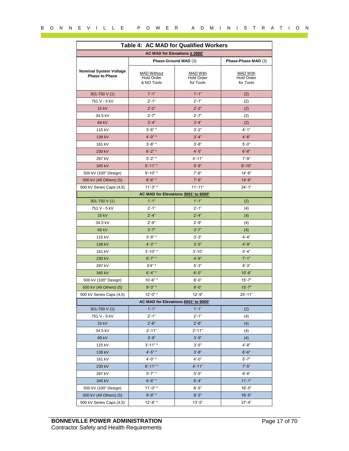|                                                        | Table 4: AC MAD for Qualified Workers<br>AC MAD for Elevations ≤ 3000' |                                                   |                                            |
|--------------------------------------------------------|------------------------------------------------------------------------|---------------------------------------------------|--------------------------------------------|
| Phase-Ground MAD (3)                                   |                                                                        |                                                   | Phase-Phase MAD (3)                        |
|                                                        |                                                                        |                                                   |                                            |
| <b>Nominal System Voltage</b><br><b>Phase to Phase</b> | <b>MAD Without</b><br><b>Hold Order</b><br>& NO Tools                  | <b>MAD With</b><br><b>Hold Order</b><br>for Tools | <b>MAD With</b><br>Hold Order<br>for Tools |
| 301-750 V (1)                                          | $1'-1$ "                                                               | $1'-1$ "                                          | (2)                                        |
| 751 V - 5 kV                                           | $2' - 1''$                                                             | $2' - 1''$                                        | (2)                                        |
| 15 kV                                                  | $2^{\prime}$ -2"                                                       | $2^{\prime}$ -2"                                  | (2)                                        |
| 34.5 kV                                                | $2' - 7"$                                                              | $2' - 7"$                                         | (2)                                        |
| 69 kV                                                  | $3' - 4''$                                                             | $3'-4"$                                           | (2)                                        |
| 115 kV                                                 | $3' - 6''$ *                                                           | $3'-2"$                                           | $4'-1"$                                    |
| 138 kV                                                 | $4' - 0''$ *                                                           | $3' - 4''$                                        | $4'-6"$                                    |
| 161 kV                                                 | $3' - 8''$ *                                                           | $3'-8"$                                           | $5'-0''$                                   |
| 230 kV                                                 | $6' - 2''$ *                                                           | $4'-5"$                                           | $6'-8"$                                    |
| 287 kV                                                 | $5' - 2''$                                                             | $4' - 11"$                                        | $7' - 9''$                                 |
| 345 kV                                                 | $5' - 11"$                                                             | $5' - 9''$                                        | $9' - 10"$                                 |
| 500 kV (100" Design)                                   | $9' - 10"$ *                                                           | $7' - 6"$                                         | $14 - 6"$                                  |
| 500 kV (All Others) (5)                                | $8' - 8''$ *                                                           | $7' - 6"$                                         | $14'-6''$                                  |
| 500 kV Series Caps (4,5)                               | $11' - 3"$                                                             | $11' - 11"$                                       | $24' - 1"$                                 |
|                                                        | AC MAD for Elevations 3001' to 6000'                                   |                                                   |                                            |
| 301-750 V (1)                                          | $1' - 1''$                                                             | $1' - 1''$                                        | (2)                                        |
| 751 V - 5 kV                                           | $2' - 1"$                                                              | $2' - 1''$                                        | (4)                                        |
| 15 kV                                                  | $2' - 4''$                                                             | $2' - 4''$                                        | (4)                                        |
| 34.5 kV                                                | $2^{\prime}$ -9"                                                       | $2^{\prime}$ -9"                                  | (4)                                        |
| 69 kV                                                  | $3'-7"$                                                                | $3'-7"$                                           | (4)                                        |
| 115 kV                                                 | $3' - 9''$ *                                                           | $3' - 3"$                                         | $4' - 4''$                                 |
| 138 kV                                                 | $4' - 3''$ *                                                           | $3'-5"$                                           | $4' - 9''$                                 |
| 161 kV                                                 | $3' - 10"$ *                                                           | $3' - 10"$                                        | $5' - 4"$                                  |
| 230 kV                                                 | $6' - 7''$ *                                                           | $4' - 9''$                                        | $7' - 1''$                                 |
| 287 kV                                                 | $5'4" *$                                                               | $5' - 3"$                                         | $8' - 3"$                                  |
| 345 kV                                                 | $6' - 4''$ *                                                           | $6' - 0''$                                        | $10'-6$ "                                  |
| 500 kV (100" Design)                                   | $10' - 6"$ *                                                           | $8' - 0''$                                        | $15' - 7"$                                 |
| 500 kV (All Others) (5)                                | $9' - 3''$ *                                                           | $8' - 0''$                                        | $15' - 7"$                                 |
| 500 kV Series Caps (4,5)                               | $12 - 0"$ *                                                            | $12 - 9"$                                         | $25' - 11"$                                |
|                                                        | AC MAD for Elevations 6001' to 9000'<br>$1' - 1''$                     | $1' - 1''$                                        |                                            |
| 301-750 V (1)<br>751 V - 5 kV                          | $2' - 1"$                                                              | $2' - 1''$                                        | (2)                                        |
| 15 kV                                                  | $2'-6"$                                                                | $2'-6"$                                           | (4)<br>(4)                                 |
| 34.5 kV                                                | $2' - 11"$                                                             | $2' - 11"$                                        |                                            |
| 69 kV                                                  | $3' - 9''$                                                             | $3' - 9''$                                        | (4)                                        |
| 115 kV                                                 | $3' - 11''$ *                                                          | $3'-5''$                                          | (4)<br>$4'-8"$                             |
| 138 kV                                                 | $4^{\prime}$ -5" *                                                     | $3'-8"$                                           | $6'-6''$                                   |
| 161 kV                                                 | $4'$ -0" *                                                             | $4'-0''$                                          | $5' - 7"$                                  |
| 230 kV                                                 | $6' - 11"$                                                             | $4' - 11"$                                        | $7' - 5"$                                  |
| 287 kV                                                 | $5' - 7''$ *                                                           | $5'-5"$                                           | $8 - 8"$                                   |
| 345 kV                                                 | $6' - 8''$ *                                                           | $6' - 4"$                                         | $11'-1$                                    |
| 500 kV (100" Design)                                   | $11' - 0''$ *                                                          | $8 - 5"$                                          | $16 - 5"$                                  |
|                                                        | $9' - 9''$ *                                                           | $8'-5"$                                           | $16'-5"$                                   |
| 500 kV (All Others) (5)<br>500 kV Series Caps (4,5)    | $12 - 8"$ *                                                            | $13 - 5"$                                         | $27 - 4"$                                  |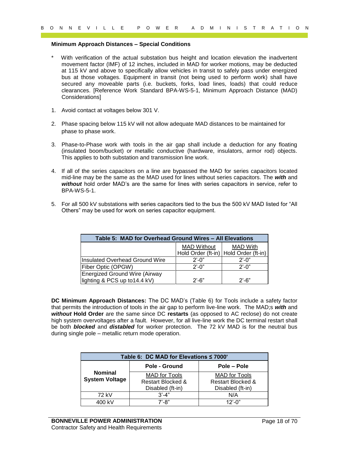#### **Minimum Approach Distances – Special Conditions**

- 9 of  $9'$  R E V I L L E P O W E R A D and I at the control of the control of the minimum Approach Distance as Special Conditions<br>
With winding the properties control of the properties and MAD the vector motions, may be de With verification of the actual substation bus height and location elevation the inadvertent movement factor (IMF) of 12 inches, included in MAD for worker motions, may be deducted at 115 kV and above to specifically allow vehicles in transit to safely pass under energized bus at those voltages. Equipment in transit (not being used to perform work) shall have secured any moveable parts (i.e. buckets, forks, load lines, loads) that could reduce clearances. [Reference Work Standard BPA-WS-5-1, Minimum Approach Distance (MAD) Considerations]
	- 1. Avoid contact at voltages below 301 V.
	- 2. Phase spacing below 115 kV will not allow adequate MAD distances to be maintained for phase to phase work.
	- 3. Phase-to-Phase work with tools in the air gap shall include a deduction for any floating (insulated boom/bucket) or metallic conductive (hardware, insulators, armor rod) objects. This applies to both substation and transmission line work.
	- 4. If all of the series capacitors on a line are bypassed the MAD for series capacitors located mid-line may be the same as the MAD used for lines without series capacitors. The *with* and *without* hold order MAD's are the same for lines with series capacitors in service, refer to BPA-WS-5-1.
	- 5. For all 500 kV substations with series capacitors tied to the bus the 500 kV MAD listed for "All Others" may be used for work on series capacitor equipment.

| Table 5: MAD for Overhead Ground Wires - All Elevations        |                                                             |                 |  |  |
|----------------------------------------------------------------|-------------------------------------------------------------|-----------------|--|--|
|                                                                | <b>MAD Without</b><br>Hold Order (ft-in) Hold Order (ft-in) | <b>MAD With</b> |  |  |
| Insulated Overhead Ground Wire                                 | $2^{\prime}$ -0"                                            | $2'$ -0"        |  |  |
| Fiber Optic (OPGW)                                             | $2^{\prime}$ -0"                                            | $2'$ -0"        |  |  |
| Energized Ground Wire (Airway<br>lighting & PCS up to 14.4 kV) | $2'$ -6"                                                    | $2'$ -6"        |  |  |

**DC Minimum Approach Distances:** The DC MAD's (Table 6) for Tools include a safety factor that permits the introduction of tools in the air gap to perform live-line work. The MAD;s *with* and *without* **Hold Order** are the same since DC **restarts** (as opposed to AC reclose) do not create high system overvoltages after a fault. However, for all live-line work the DC terminal restart shall be both *blocked* and *distabled* for worker protection. The 72 kV MAD is for the neutral bus during single pole – metallic return mode operation.

| Table 6: DC MAD for Elevations $\leq 7000'$ |                      |                      |  |  |  |
|---------------------------------------------|----------------------|----------------------|--|--|--|
|                                             | Pole - Ground        | Pole – Pole          |  |  |  |
| <b>Nominal</b>                              | <b>MAD</b> for Tools | <b>MAD</b> for Tools |  |  |  |
| <b>System Voltage</b>                       | Restart Blocked &    | Restart Blocked &    |  |  |  |
|                                             | Disabled (ft-in)     | Disabled (ft-in)     |  |  |  |
| 72 kV                                       | $3' - 4"$            | N/A                  |  |  |  |
| 400 kV                                      | $7' - 8"$            | $12' - 0''$          |  |  |  |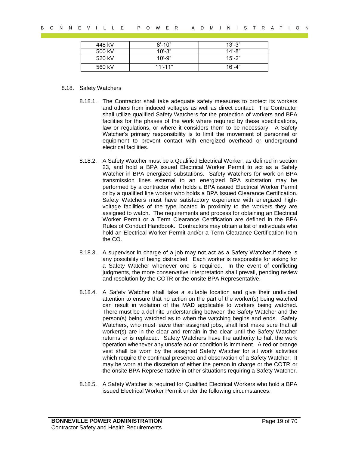| 448 kV | $8' - 10"$   | $13' - 3"$ |
|--------|--------------|------------|
| 500 kV | $10' - 3"$   | $14 - 8$   |
| 520 kV | $10' - 9''$  | $15' - 2"$ |
| 560 kV | $11' - 11''$ | $16' - 4"$ |

#### 8.18. Safety Watchers

- 8.18.1. The Contractor shall take adequate safety measures to protect its workers and others from induced voltages as well as direct contact. The Contractor shall utilize qualified Safety Watchers for the protection of workers and BPA facilities for the phases of the work where required by these specifications, law or regulations, or where it considers them to be necessary. A Safety Watcher's primary responsibility is to limit the movement of personnel or equipment to prevent contact with energized overhead or underground electrical facilities.
- 8.18.2. A Safety Watcher must be a Qualified Electrical Worker, as defined in section 23, and hold a BPA issued Electrical Worker Permit to act as a Safety Watcher in BPA energized substations. Safety Watchers for work on BPA transmission lines external to an energized BPA substation may be performed by a contractor who holds a BPA issued Electrical Worker Permit or by a qualified line worker who holds a BPA Issued Clearance Certification. Safety Watchers must have satisfactory experience with energized highvoltage facilities of the type located in proximity to the workers they are assigned to watch. The requirements and process for obtaining an Electrical Worker Permit or a Term Clearance Certification are defined in the BPA Rules of Conduct Handbook. Contractors may obtain a list of individuals who hold an Electrical Worker Permit and/or a Term Clearance Certification from the CO.
- 8.18.3. A supervisor in charge of a job may not act as a Safety Watcher if there is any possibility of being distracted. Each worker is responsible for asking for a Safety Watcher whenever one is required. In the event of conflicting judgments, the more conservative interpretation shall prevail, pending review and resolution by the COTR or the onsite BPA Representative.
- Pays and the same of 70 B O N N E V I L L E P O W E R A T I O N<br>  $\frac{4\sqrt{3}}{2}$  C C  $\frac{4\sqrt{3}}{2}$  C C  $\frac{4\sqrt{3}}{2}$  C C  $\frac{4\sqrt{3}}{2}$  C C  $\frac{4\sqrt{3}}{2}$  C C  $\frac{4\sqrt{3}}{2}$  C C  $\frac{4\sqrt{3}}{2}$  C C  $\frac{4\sqrt{3}}{2}$  C C  $\frac{$ 8.18.4. A Safety Watcher shall take a suitable location and give their undivided attention to ensure that no action on the part of the worker(s) being watched can result in violation of the MAD applicable to workers being watched. There must be a definite understanding between the Safety Watcher and the person(s) being watched as to when the watching begins and ends. Safety Watchers, who must leave their assigned jobs, shall first make sure that all worker(s) are in the clear and remain in the clear until the Safety Watcher returns or is replaced. Safety Watchers have the authority to halt the work operation whenever any unsafe act or condition is imminent. A red or orange vest shall be worn by the assigned Safety Watcher for all work activities which require the continual presence and observation of a Safety Watcher. It may be worn at the discretion of either the person in charge or the COTR or the onsite BPA Representative in other situations requiring a Safety Watcher.
	- 8.18.5. A Safety Watcher is required for Qualified Electrical Workers who hold a BPA issued Electrical Worker Permit under the following circumstances: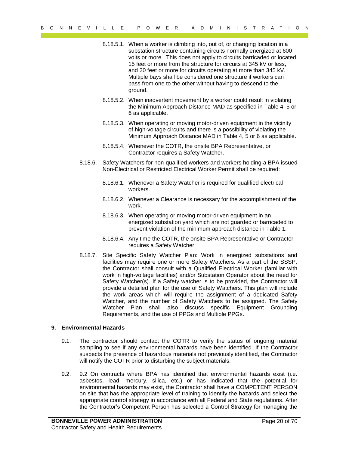- 8.18.5.1. When a worker is climbing into, out of, or changing location in a substation structure containing circuits normally energized at 600 volts or more. This does not apply to circuits barricaded or located 15 feet or more from the structure for circuits at 345 kV or less, and 20 feet or more for circuits operating at more than 345 kV. Multiple bays shall be considered one structure if workers can pass from one to the other without having to descend to the ground.
- 8.18.5.2. When inadvertent movement by a worker could result in violating the Minimum Approach Distance MAD as specified in Table 4, 5 or 6 as applicable.
- 8.18.5.3. When operating or moving motor-driven equipment in the vicinity of high-voltage circuits and there is a possibility of violating the Minimum Approach Distance MAD in Table 4, 5 or 6 as applicable.
- 8.18.5.4. Whenever the COTR, the onsite BPA Representative, or Contractor requires a Safety Watcher.
- 8.18.6. Safety Watchers for non-qualified workers and workers holding a BPA issued Non-Electrical or Restricted Electrical Worker Permit shall be required:
	- 8.18.6.1. Whenever a Safety Watcher is required for qualified electrical workers.
	- 8.18.6.2. Whenever a Clearance is necessary for the accomplishment of the work.
	- 8.18.6.3. When operating or moving motor-driven equipment in an energized substation yard which are not guarded or barricaded to prevent violation of the minimum approach distance in Table 1.
	- 8.18.6.4. Any time the COTR, the onsite BPA Representative or Contractor requires a Safety Watcher.
- Payer Litter From the method in the formula method in the same of  $R$  of  $R$  of  $R$  of  $R$  of  $R$  of  $R$  and  $R$  of  $R$  of  $R$  and  $R$  (see the method in the same of  $R$  of  $R$  and  $R$  (see the method in the same of  $R$  c 8.18.7. Site Specific Safety Watcher Plan: Work in energized substations and facilities may require one or more Safety Watchers. As a part of the SSSP, the Contractor shall consult with a Qualified Electrical Worker (familiar with work in high-voltage facilities) and/or Substation Operator about the need for Safety Watcher(s). If a Safety watcher is to be provided, the Contractor will provide a detailed plan for the use of Safety Watchers. This plan will include the work areas which will require the assignment of a dedicated Safety Watcher, and the number of Safety Watchers to be assigned. The Safety Watcher Plan shall also discuss specific Equipment Grounding Requirements, and the use of PPGs and Multiple PPGs.

#### <span id="page-19-0"></span>**9. Environmental Hazards**

- 9.1. The contractor should contact the COTR to verify the status of ongoing material sampling to see if any environmental hazards have been identified. If the Contractor suspects the presence of hazardous materials not previously identified, the Contractor will notify the COTR prior to disturbing the subject materials.
- 9.2. 9.2 On contracts where BPA has identified that environmental hazards exist (i.e. asbestos, lead, mercury, silica, etc.) or has indicated that the potential for environmental hazards may exist, the Contractor shall have a COMPETENT PERSON on site that has the appropriate level of training to identify the hazards and select the appropriate control strategy in accordance with all Federal and State regulations. After the Contractor's Competent Person has selected a Control Strategy for managing the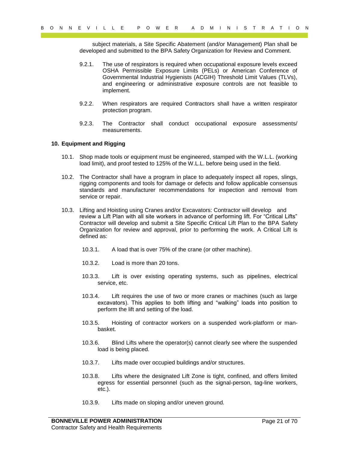subject materials, a Site Specific Abatement (and/or Management) Plan shall be developed and submitted to the BPA Safety Organization for Review and Comment.

- 9.2.1. The use of respirators is required when occupational exposure levels exceed OSHA Permissible Exposure Limits (PELs) or American Conference of Governmental Industrial Hygienists (ACGIH) Threshold Limit Values (TLVs), and engineering or administrative exposure controls are not feasible to implement.
- 9.2.2. When respirators are required Contractors shall have a written respirator protection program.
- 9.2.3. The Contractor shall conduct occupational exposure assessments/ measurements.

#### <span id="page-20-0"></span>**10. Equipment and Rigging**

- 10.1. Shop made tools or equipment must be engineered, stamped with the W.L.L. (working load limit), and proof tested to 125% of the W.L.L. before being used in the field.
- <span id="page-20-1"></span>10.2. The Contractor shall have a program in place to adequately inspect all ropes, slings, rigging components and tools for damage or defects and follow applicable consensus standards and manufacturer recommendations for inspection and removal from service or repair.
- 9 of  $R = V + 1$  L L E P of R A T is a pair in a straight and the straight and the straight and the straight and the straight and the straight and the straight and the straight and the straight and the straight and the strai 10.3. Lifting and Hoisting using Cranes and/or Excavators: Contractor will develop and review a Lift Plan with all site workers in advance of performing lift. For "Critical Lifts" Contractor will develop and submit a Site Specific Critical Lift Plan to the BPA Safety Organization for review and approval, prior to performing the work. A Critical Lift is defined as:
	- 10.3.1. A load that is over 75% of the crane (or other machine).
	- 10.3.2. Load is more than 20 tons.
	- 10.3.3. Lift is over existing operating systems, such as pipelines, electrical service, etc.
	- 10.3.4. Lift requires the use of two or more cranes or machines (such as large excavators). This applies to both lifting and "walking" loads into position to perform the lift and setting of the load.
	- 10.3.5. Hoisting of contractor workers on a suspended work-platform or manbasket.
	- 10.3.6. Blind Lifts where the operator(s) cannot clearly see where the suspended load is being placed.
	- 10.3.7. Lifts made over occupied buildings and/or structures.
	- 10.3.8. Lifts where the designated Lift Zone is tight, confined, and offers limited egress for essential personnel (such as the signal-person, tag-line workers, etc.).
	- 10.3.9. Lifts made on sloping and/or uneven ground.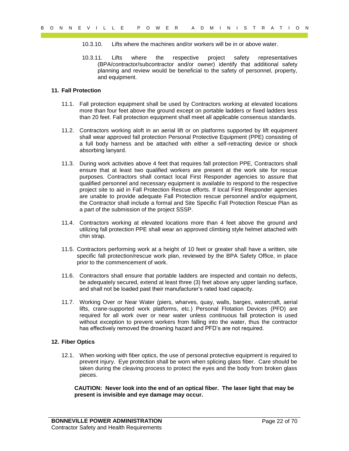- 10.3.10. Lifts where the machines and/or workers will be in or above water.
- 10.3.11. Lifts where the respective project safety representatives (BPA/contractor/subcontractor and/or owner) identify that additional safety planning and review would be beneficial to the safety of personnel, property, and equipment.

#### **11. Fall Protection**

- 11.1. Fall protection equipment shall be used by Contractors working at elevated locations more than four feet above the ground except on portable ladders or fixed ladders less than 20 feet. Fall protection equipment shall meet all applicable consensus standards.
- 11.2. Contractors working aloft in an aerial lift or on platforms supported by lift equipment shall wear approved fall protection Personal Protective Equipment (PPE) consisting of a full body harness and be attached with either a self-retracting device or shock absorbing lanyard.
- 9 0 N R E V I L L E P O W E R A T I O N<br>
1933 (1. Little web the matches and revolved and the methods and the second will be the matches and the matches and the method and the method and the method and the method and the 11.3. During work activities above 4 feet that requires fall protection PPE, Contractors shall ensure that at least two qualified workers are present at the work site for rescue purposes. Contractors shall contact local First Responder agencies to assure that qualified personnel and necessary equipment is available to respond to the respective project site to aid in Fall Protection Rescue efforts. If local First Responder agencies are unable to provide adequate Fall Protection rescue personnel and/or equipment, the Contractor shall include a formal and Site Specific Fall Protection Rescue Plan as a part of the submission of the project SSSP.
	- 11.4. Contractors working at elevated locations more than 4 feet above the ground and utilizing fall protection PPE shall wear an approved climbing style helmet attached with chin strap.
	- 11.5. Contractors performing work at a height of 10 feet or greater shall have a written, site specific fall protection/rescue work plan, reviewed by the BPA Safety Office, in place prior to the commencement of work.
	- 11.6. Contractors shall ensure that portable ladders are inspected and contain no defects, be adequately secured, extend at least three (3) feet above any upper landing surface, and shall not be loaded past their manufacturer's rated load capacity.
	- 11.7. Working Over or Near Water (piers, wharves, quay, walls, barges, watercraft, aerial lifts, crane-supported work platforms, etc.) Personal Flotation Devices (PFD) are required for all work over or near water unless continuous fall protection is used without exception to prevent workers from falling into the water, thus the contractor has effectively removed the drowning hazard and PFD's are not required.

#### <span id="page-21-0"></span>**12. Fiber Optics**

12.1. When working with fiber optics, the use of personal protective equipment is required to prevent injury. Eye protection shall be worn when splicing glass fiber. Care should be taken during the cleaving process to protect the eyes and the body from broken glass pieces.

**CAUTION: Never look into the end of an optical fiber. The laser light that may be present is invisible and eye damage may occur.**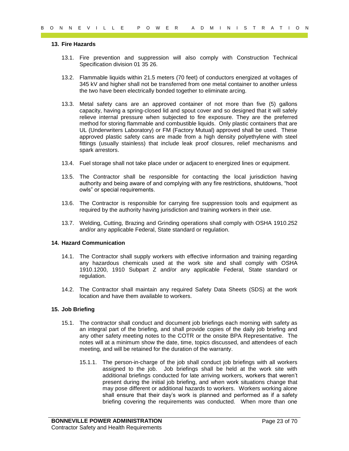#### <span id="page-22-0"></span>**13. Fire Hazards**

- 13.1. Fire prevention and suppression will also comply with Construction Technical Specification division 01 35 26.
- 13.2. Flammable liquids within 21.5 meters (70 feet) of conductors energized at voltages of 345 kV and higher shall not be transferred from one metal container to another unless the two have been electrically bonded together to eliminate arcing.
- 9 of N E V I L L E P O W E C N H M S T R A T I O N<br>
13. First proven the distance of N and Section 20 and Section 20 and Section 20 and Section 20 and Section 20 and Section 20 and Section 20 and Section 20 and Section 20 13.3. Metal safety cans are an approved container of not more than five (5) gallons capacity, having a spring-closed lid and spout cover and so designed that it will safely relieve internal pressure when subjected to fire exposure. They are the preferred method for storing flammable and combustible liquids. Only plastic containers that are UL (Underwriters Laboratory) or FM (Factory Mutual) approved shall be used. These approved plastic safety cans are made from a high density polyethylene with steel fittings (usually stainless) that include leak proof closures, relief mechanisms and spark arrestors.
	- 13.4. Fuel storage shall not take place under or adjacent to energized lines or equipment.
	- 13.5. The Contractor shall be responsible for contacting the local jurisdiction having authority and being aware of and complying with any fire restrictions, shutdowns, "hoot owls" or special requirements.
	- 13.6. The Contractor is responsible for carrying fire suppression tools and equipment as required by the authority having jurisdiction and training workers in their use.
	- 13.7. Welding, Cutting, Brazing and Grinding operations shall comply with OSHA 1910.252 and/or any applicable Federal, State standard or regulation.

#### <span id="page-22-1"></span>**14. Hazard Communication**

- 14.1. The Contractor shall supply workers with effective information and training regarding any hazardous chemicals used at the work site and shall comply with OSHA 1910.1200, 1910 Subpart Z and/or any applicable Federal, State standard or regulation.
- 14.2. The Contractor shall maintain any required Safety Data Sheets (SDS) at the work location and have them available to workers.

#### <span id="page-22-2"></span>**15. Job Briefing**

- 15.1. The contractor shall conduct and document job briefings each morning with safety as an integral part of the briefing, and shall provide copies of the daily job briefing and any other safety meeting notes to the COTR or the onsite BPA Representative. The notes will at a minimum show the date, time, topics discussed, and attendees of each meeting, and will be retained for the duration of the warranty.
	- 15.1.1. The person-in-charge of the job shall conduct job briefings with all workers assigned to the job. Job briefings shall be held at the work site with additional briefings conducted for late arriving workers, workers that weren't present during the initial job briefing, and when work situations change that may pose different or additional hazards to workers. Workers working alone shall ensure that their day's work is planned and performed as if a safety briefing covering the requirements was conducted. When more than one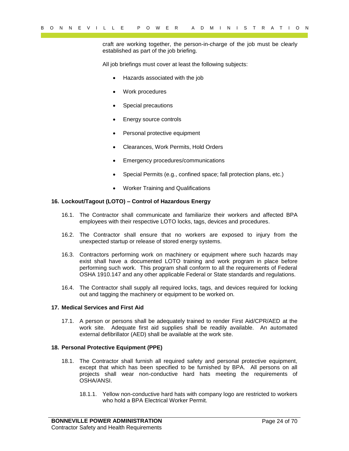craft are working together, the person-in-charge of the job must be clearly established as part of the job briefing.

All job briefings must cover at least the following subjects:

- Hazards associated with the job
- Work procedures
- Special precautions
- Energy source controls
- Personal protective equipment
- Clearances, Work Permits, Hold Orders
- Emergency procedures/communications
- Special Permits (e.g., confined space; fall protection plans, etc.)
- Worker Training and Qualifications

#### <span id="page-23-0"></span>**16. Lockout/Tagout (LOTO) – Control of Hazardous Energy**

- 16.1. The Contractor shall communicate and familiarize their workers and affected BPA employees with their respective LOTO locks, tags, devices and procedures.
- 16.2. The Contractor shall ensure that no workers are exposed to injury from the unexpected startup or release of stored energy systems.
- Payer III LE THE OWER CAN ALT INTERNATION or the material and the specifical and the specifical and solution and a specifical and the specifical and the specifical and the specifical and the specifical and the specifical 16.3. Contractors performing work on machinery or equipment where such hazards may exist shall have a documented LOTO training and work program in place before performing such work. This program shall conform to all the requirements of Federal OSHA 1910.147 and any other applicable Federal or State standards and regulations.
	- 16.4. The Contractor shall supply all required locks, tags, and devices required for locking out and tagging the machinery or equipment to be worked on.

#### <span id="page-23-1"></span>**17. Medical Services and First Aid**

17.1. A person or persons shall be adequately trained to render First Aid/CPR/AED at the work site. Adequate first aid supplies shall be readily available. An automated external defibrillator (AED) shall be available at the work site.

#### <span id="page-23-2"></span>**18. Personal Protective Equipment (PPE)**

- 18.1. The Contractor shall furnish all required safety and personal protective equipment, except that which has been specified to be furnished by BPA. All persons on all projects shall wear non-conductive hard hats meeting the requirements of OSHA/ANSI.
	- 18.1.1. Yellow non-conductive hard hats with company logo are restricted to workers who hold a BPA Electrical Worker Permit.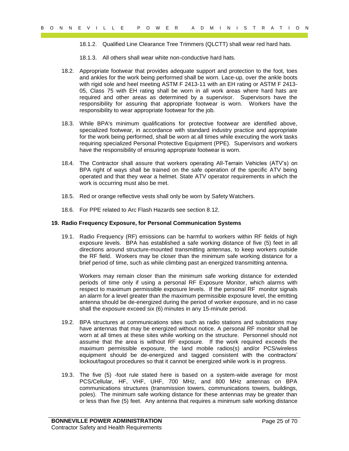18.1.2. Qualified Line Clearance Tree Trimmers (QLCTT) shall wear red hard hats.

- 18.1.3. All others shall wear white non-conductive hard hats.
- 18.2. Appropriate footwear that provides adequate support and protection to the foot, toes and ankles for the work being performed shall be worn. Lace-up, over the ankle boots with rigid sole and heel meeting ASTM F 2413-11 with an EH rating or ASTM F 2413- 05, Class 75 with EH rating shall be worn in all work areas where hard hats are required and other areas as determined by a supervisor. Supervisors have the responsibility for assuring that appropriate footwear is worn. Workers have the responsibility to wear appropriate footwear for the job.
- 18.3. While BPA's minimum qualifications for protective footwear are identified above, specialized footwear, in accordance with standard industry practice and appropriate for the work being performed, shall be worn at all times while executing the work tasks requiring specialized Personal Protective Equipment (PPE). Supervisors and workers have the responsibility of ensuring appropriate footwear is worn.
- 18.4. The Contractor shall assure that workers operating All-Terrain Vehicles (ATV's) on BPA right of ways shall be trained on the safe operation of the specific ATV being operated and that they wear a helmet. State ATV operator requirements in which the work is occurring must also be met.
- 18.5. Red or orange reflective vests shall only be worn by Safety Watchers.
- 18.6. For PPE related to Arc Flash Hazards see section 8.12.

#### <span id="page-24-0"></span>**19. Radio Frequency Exposure, for Personal Communication Systems**

19.1. Radio Frequency (RF) emissions can be harmful to workers within RF fields of high exposure levels. BPA has established a safe working distance of five (5) feet in all directions around structure-mounted transmitting antennas, to keep workers outside the RF field. Workers may be closer than the minimum safe working distance for a brief period of time, such as while climbing past an energized transmitting antenna.

Workers may remain closer than the minimum safe working distance for extended periods of time only if using a personal RF Exposure Monitor, which alarms with respect to maximum permissible exposure levels. If the personal RF monitor signals an alarm for a level greater than the maximum permissible exposure level, the emitting antenna should be de-energized during the period of worker exposure, and in no case shall the exposure exceed six (6) minutes in any 15-minute period.

- Payer Control in the UV of the state in the state of the state of the state of the state of the state of the state of the state of the state of the state of the state of the state of the state of the state of the state of 19.2. BPA structures at communications sites such as radio stations and substations may have antennas that may be energized without notice. A personal RF monitor shall be worn at all times at these sites while working on the structure. Personnel should not assume that the area is without RF exposure. If the work required exceeds the maximum permissible exposure, the land mobile radios(s) and/or PCS/wireless equipment should be de-energized and tagged consistent with the contractors' lockout/tagout procedures so that it cannot be energized while work is in progress.
	- 19.3. The five (5) -foot rule stated here is based on a system-wide average for most PCS/Cellular, HF, VHF, UHF, 700 MHz, and 800 MHz antennas on BPA communications structures (transmission towers, communications towers, buildings, poles). The minimum safe working distance for these antennas may be greater than or less than five (5) feet. Any antenna that requires a minimum safe working distance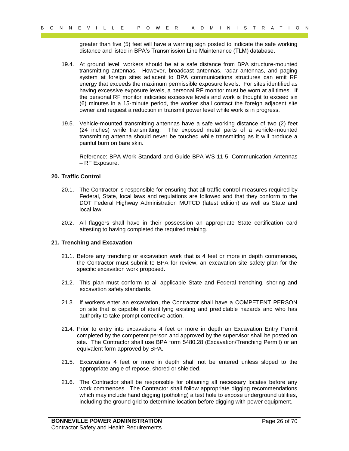greater than five (5) feet will have a warning sign posted to indicate the safe working distance and listed in BPA's Transmission Line Maintenance (TLM) database.

- 26 of 1 R C P D W E C P O W E R A T II a T R A T II a T R A T D W I LET IS TRANSFERENCES at the proposition of the U.S. A D M I II a T R A T D M I A T D M I A T D M I A T D M I A T D M I A T T D M I A T T T D M I A T T T 19.4. At ground level, workers should be at a safe distance from BPA structure-mounted transmitting antennas. However, broadcast antennas, radar antennas, and paging system at foreign sites adjacent to BPA communications structures can emit RF energy that exceeds the maximum permissible exposure levels. For sites identified as having excessive exposure levels, a personal RF monitor must be worn at all times. If the personal RF monitor indicates excessive levels and work is thought to exceed six (6) minutes in a 15-minute period, the worker shall contact the foreign adjacent site owner and request a reduction in transmit power level while work is in progress.
	- 19.5. Vehicle-mounted transmitting antennas have a safe working distance of two (2) feet (24 inches) while transmitting. The exposed metal parts of a vehicle-mounted transmitting antenna should never be touched while transmitting as it will produce a painful burn on bare skin.

Reference: BPA Work Standard and Guide BPA-WS-11-5, Communication Antennas – RF Exposure.

#### <span id="page-25-0"></span>**20. Traffic Control**

- 20.1. The Contractor is responsible for ensuring that all traffic control measures required by Federal, State, local laws and regulations are followed and that they conform to the DOT Federal Highway Administration MUTCD (latest edition) as well as State and local law.
- 20.2. All flaggers shall have in their possession an appropriate State certification card attesting to having completed the required training.

#### <span id="page-25-1"></span>**21. Trenching and Excavation**

- 21.1. Before any trenching or excavation work that is 4 feet or more in depth commences, the Contractor must submit to BPA for review, an excavation site safety plan for the specific excavation work proposed.
- 21.2. This plan must conform to all applicable State and Federal trenching, shoring and excavation safety standards.
- 21.3. If workers enter an excavation, the Contractor shall have a COMPETENT PERSON on site that is capable of identifying existing and predictable hazards and who has authority to take prompt corrective action.
- 21.4. Prior to entry into excavations 4 feet or more in depth an Excavation Entry Permit completed by the competent person and approved by the supervisor shall be posted on site. The Contractor shall use BPA form 5480.28 (Excavation/Trenching Permit) or an equivalent form approved by BPA.
- 21.5. Excavations 4 feet or more in depth shall not be entered unless sloped to the appropriate angle of repose, shored or shielded.
- 21.6. The Contractor shall be responsible for obtaining all necessary locates before any work commences. The Contractor shall follow appropriate digging recommendations which may include hand digging (potholing) a test hole to expose underground utilities, including the ground grid to determine location before digging with power equipment.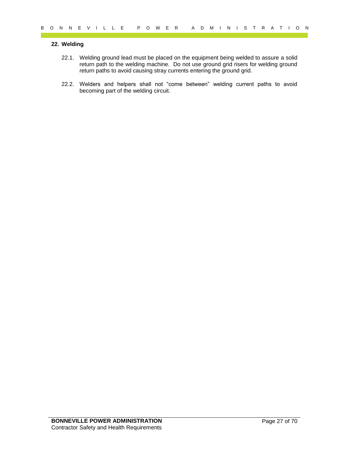#### <span id="page-26-0"></span>**22. Welding**

- 22 White Ein and the matter of 70 B O N N R A D M I N I S T R A T I O N<br>22.1 Whisking pround lead must be placed on the equipment being webford to assure a said<br>return path to the webford presente. Do not the equipment of 22.1. Welding ground lead must be placed on the equipment being welded to assure a solid return path to the welding machine. Do not use ground grid risers for welding ground return paths to avoid causing stray currents entering the ground grid.
	- 22.2. Welders and helpers shall not "come between" welding current paths to avoid becoming part of the welding circuit.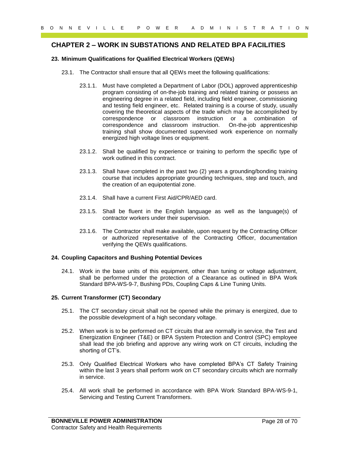# <span id="page-27-0"></span>**CHAPTER 2 – WORK IN SUBSTATIONS AND RELATED BPA FACILITIES**

#### <span id="page-27-1"></span>**23. Minimum Qualifications for Qualified Electrical Workers (QEWs)**

- 23.1. The Contractor shall ensure that all QEWs meet the following qualifications:
- 9 of  $Y = E + C$  P o  $W = E + A > 0$  M i  $N = 0$  F  $R = ACC11TFE$ <br>
23. CHAPTER 2 WORK IN SUBSTATIONS AND RELATED BPA FACILITIES<br>
23.1. The Contractions for Qualified Bluetical Workers (SEWs)<br>
23.1. The Contractions that all organic t 23.1.1. Must have completed a Department of Labor (DOL) approved apprenticeship program consisting of on-the-job training and related training or possess an engineering degree in a related field, including field engineer, commissioning and testing field engineer, etc. Related training is a course of study, usually covering the theoretical aspects of the trade which may be accomplished by correspondence or classroom instruction or a combination of correspondence and classroom instruction. On-the-job apprenticeship training shall show documented supervised work experience on normally energized high voltage lines or equipment.
	- 23.1.2. Shall be qualified by experience or training to perform the specific type of work outlined in this contract.
	- 23.1.3. Shall have completed in the past two (2) years a grounding/bonding training course that includes appropriate grounding techniques, step and touch, and the creation of an equipotential zone.
	- 23.1.4. Shall have a current First Aid/CPR/AED card.
	- 23.1.5. Shall be fluent in the English language as well as the language(s) of contractor workers under their supervision.
	- 23.1.6. The Contractor shall make available, upon request by the Contracting Officer or authorized representative of the Contracting Officer, documentation verifying the QEWs qualifications.

#### <span id="page-27-2"></span>**24. Coupling Capacitors and Bushing Potential Devices**

24.1. Work in the base units of this equipment, other than tuning or voltage adjustment, shall be performed under the protection of a Clearance as outlined in BPA Work Standard BPA-WS-9-7, Bushing PDs, Coupling Caps & Line Tuning Units.

#### <span id="page-27-3"></span>**25. Current Transformer (CT) Secondary**

- 25.1. The CT secondary circuit shall not be opened while the primary is energized, due to the possible development of a high secondary voltage.
- 25.2. When work is to be performed on CT circuits that are normally in service, the Test and Energization Engineer (T&E) or BPA System Protection and Control (SPC) employee shall lead the job briefing and approve any wiring work on CT circuits, including the shorting of CT's.
- 25.3. Only Qualified Electrical Workers who have completed BPA's CT Safety Training within the last 3 years shall perform work on CT secondary circuits which are normally in service.
- 25.4. All work shall be performed in accordance with BPA Work Standard BPA-WS-9-1, Servicing and Testing Current Transformers.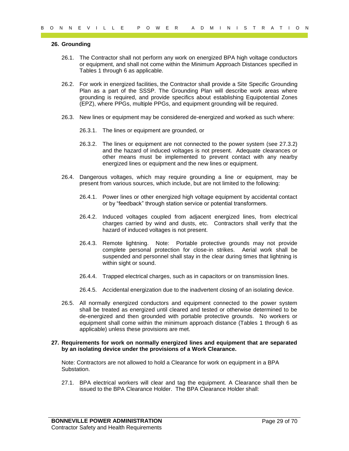#### <span id="page-28-0"></span>**26. Grounding**

- 26.1. The Contractor shall not perform any work on energized BPA high voltage conductors or equipment, and shall not come within the Minimum Approach Distances specified in Tables 1 through 6 as applicable.
- 26.2. For work in energized facilities, the Contractor shall provide a Site Specific Grounding Plan as a part of the SSSP. The Grounding Plan will describe work areas where grounding is required, and provide specifics about establishing Equipotential Zones (EPZ), where PPGs, multiple PPGs, and equipment grounding will be required.
- 26.3. New lines or equipment may be considered de-energized and worked as such where:
	- 26.3.1. The lines or equipment are grounded, or
	- 26.3.2. The lines or equipment are not connected to the power system (see 27.3.2) and the hazard of induced voltages is not present. Adequate clearances or other means must be implemented to prevent contact with any nearby energized lines or equipment and the new lines or equipment.
- 26.4. Dangerous voltages, which may require grounding a line or equipment, may be present from various sources, which include, but are not limited to the following:
	- 26.4.1. Power lines or other energized high voltage equipment by accidental contact or by "feedback" through station service or potential transformers.
	- 26.4.2. Induced voltages coupled from adjacent energized lines, from electrical charges carried by wind and dusts, etc. Contractors shall verify that the hazard of induced voltages is not present.
	- 26.4.3. Remote lightning. Note: Portable protective grounds may not provide complete personal protection for close-in strikes. Aerial work shall be suspended and personnel shall stay in the clear during times that lightning is within sight or sound.
	- 26.4.4. Trapped electrical charges, such as in capacitors or on transmission lines.
	- 26.4.5. Accidental energization due to the inadvertent closing of an isolating device.
- 9 of  $R = V + L L = P = P \times P$  or  $R = N \times N$  or  $R = N \times N$ <br>
28. Grounding the stationary work on energied BPA high velope conductors<br>
26.1 The Contractor shall not portorm any work on energied BPA high velope conductors<br>
26.2 For work 26.5. All normally energized conductors and equipment connected to the power system shall be treated as energized until cleared and tested or otherwise determined to be de-energized and then grounded with portable protective grounds. No workers or equipment shall come within the minimum approach distance (Tables 1 through 6 as applicable) unless these provisions are met.

#### <span id="page-28-1"></span>**27. Requirements for work on normally energized lines and equipment that are separated by an isolating device under the provisions of a Work Clearance.**

Note: Contractors are not allowed to hold a Clearance for work on equipment in a BPA Substation.

27.1. BPA electrical workers will clear and tag the equipment. A Clearance shall then be issued to the BPA Clearance Holder. The BPA Clearance Holder shall: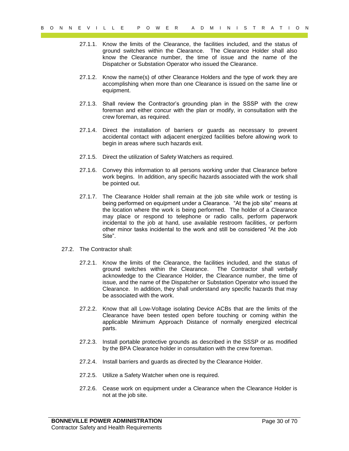- 27.1.1. Know the limits of the Clearance, the facilities included, and the status of ground switches within the Clearance. The Clearance Holder shall also know the Clearance number, the time of issue and the name of the Dispatcher or Substation Operator who issued the Clearance.
- 27.1.2. Know the name(s) of other Clearance Holders and the type of work they are accomplishing when more than one Clearance is issued on the same line or equipment.
- 27.1.3. Shall review the Contractor's grounding plan in the SSSP with the crew foreman and either concur with the plan or modify, in consultation with the crew foreman, as required.
- 27.1.4. Direct the installation of barriers or guards as necessary to prevent accidental contact with adjacent energized facilities before allowing work to begin in areas where such hazards exit.
- 27.1.5. Direct the utilization of Safety Watchers as required.
- 27.1.6. Convey this information to all persons working under that Clearance before work begins. In addition, any specific hazards associated with the work shall be pointed out.
- 9 of  $N = C \times 1 C$  P of  $C = R \times 2$  of  $R = 10$  of  $R = 10$  and  $R = 10$  and  $R = 10$  and  $R = 10$  and  $R = 10$  and  $R = 10$  and  $R = 10$  and  $R = 10$  and  $R = 10$  and  $R = 10$  and  $R = 10$  and  $R = 10$  and  $R = 10$  and  $R = 10$  and  $R = 10$ 27.1.7. The Clearance Holder shall remain at the job site while work or testing is being performed on equipment under a Clearance. "At the job site" means at the location where the work is being performed. The holder of a Clearance may place or respond to telephone or radio calls, perform paperwork incidental to the job at hand, use available restroom facilities, or perform other minor tasks incidental to the work and still be considered "At the Job Site".
	- 27.2. The Contractor shall:
		- 27.2.1. Know the limits of the Clearance, the facilities included, and the status of ground switches within the Clearance. The Contractor shall verbally acknowledge to the Clearance Holder, the Clearance number, the time of issue, and the name of the Dispatcher or Substation Operator who issued the Clearance. In addition, they shall understand any specific hazards that may be associated with the work.
		- 27.2.2. Know that all Low-Voltage isolating Device ACBs that are the limits of the Clearance have been tested open before touching or coming within the applicable Minimum Approach Distance of normally energized electrical parts.
		- 27.2.3. Install portable protective grounds as described in the SSSP or as modified by the BPA Clearance holder in consultation with the crew foreman.
		- 27.2.4. Install barriers and guards as directed by the Clearance Holder.
		- 27.2.5. Utilize a Safety Watcher when one is required.
		- 27.2.6. Cease work on equipment under a Clearance when the Clearance Holder is not at the job site.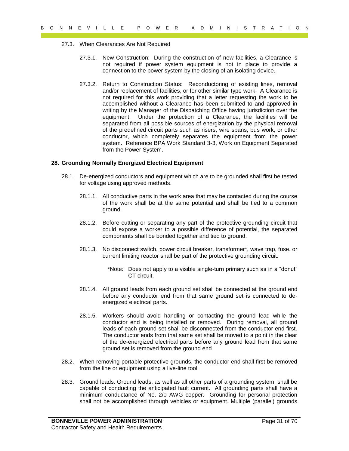- 27.3. When Clearances Are Not Required
	- 27.3.1. New Construction: During the construction of new facilities, a Clearance is not required if power system equipment is not in place to provide a connection to the power system by the closing of an isolating device.
- 9 of N E V I L L E P O W E R A D M I N I S T R A T I O N<br>
22.3. When Clearances Are More Magneting the construction of now facilities, a Clearance is<br>
27.3.1. New Construction During the construction of now facilities, a 27.3.2. Return to Construction Status: Reconductoring of existing lines, removal and/or replacement of facilities, or for other similar type work. A Clearance is not required for this work providing that a letter requesting the work to be accomplished without a Clearance has been submitted to and approved in writing by the Manager of the Dispatching Office having jurisdiction over the equipment. Under the protection of a Clearance, the facilities will be separated from all possible sources of energization by the physical removal of the predefined circuit parts such as risers, wire spans, bus work, or other conductor, which completely separates the equipment from the power system. Reference BPA Work Standard 3-3, Work on Equipment Separated from the Power System.

#### <span id="page-30-0"></span>**28. Grounding Normally Energized Electrical Equipment**

- 28.1. De-energized conductors and equipment which are to be grounded shall first be tested for voltage using approved methods.
	- 28.1.1. All conductive parts in the work area that may be contacted during the course of the work shall be at the same potential and shall be tied to a common ground.
	- 28.1.2. Before cutting or separating any part of the protective grounding circuit that could expose a worker to a possible difference of potential, the separated components shall be bonded together and tied to ground.
	- 28.1.3. No disconnect switch, power circuit breaker, transformer\*, wave trap, fuse, or current limiting reactor shall be part of the protective grounding circuit.
		- \*Note: Does not apply to a visible single-turn primary such as in a "donut" CT circuit.
	- 28.1.4. All ground leads from each ground set shall be connected at the ground end before any conductor end from that same ground set is connected to deenergized electrical parts.
	- 28.1.5. Workers should avoid handling or contacting the ground lead while the conductor end is being installed or removed. During removal, all ground leads of each ground set shall be disconnected from the conductor end first. The conductor ends from that same set shall be moved to a point in the clear of the de-energized electrical parts before any ground lead from that same ground set is removed from the ground end.
- 28.2. When removing portable protective grounds, the conductor end shall first be removed from the line or equipment using a live-line tool.
- 28.3. Ground leads. Ground leads, as well as all other parts of a grounding system, shall be capable of conducting the anticipated fault current. All grounding parts shall have a minimum conductance of No. 2/0 AWG copper. Grounding for personal protection shall not be accomplished through vehicles or equipment. Multiple (parallel) grounds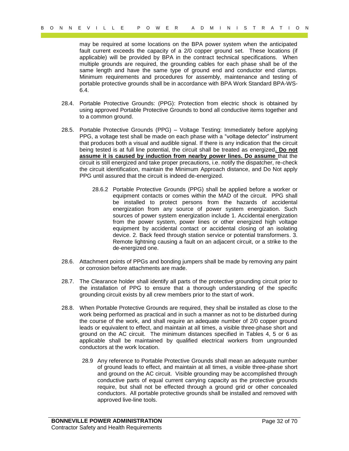may be required at some locations on the BPA power system when the anticipated fault current exceeds the capacity of a 2/0 copper ground set. These locations (if applicable) will be provided by BPA in the contract technical specifications. When multiple grounds are required, the grounding cables for each phase shall be of the same length and have the same type of ground end and conductor end clamps. Minimum requirements and procedures for assembly, maintenance and testing of portable protective grounds shall be in accordance with BPA Work Standard BPA-WS-6.4.

- 28.4. Portable Protective Grounds: (PPG): Protection from electric shock is obtained by using approved Portable Protective Grounds to bond all conductive items together and to a common ground.
- 28.5. Portable Protective Grounds (PPG) Voltage Testing: Immediately before applying PPG, a voltage test shall be made on each phase with a "voltage detector" instrument that produces both a visual and audible signal. If there is any indication that the circuit being tested is at full line potential, the circuit shall be treated as energized**. Do not assume it is caused by induction from nearby power lines. Do assume** that the circuit is still energized and take proper precautions, i.e. notify the dispatcher, re-check the circuit identification, maintain the Minimum Approach distance, and Do Not apply PPG until assured that the circuit is indeed de-energized.
- 0 o N K C T L E P O W E R A T I O W T H I S T R A T I O W T H I S T R A T I O W T H I O T R A T I O W T H I O T R A T I O W T H I O T R A T I O W T I O T T C C A T I O T T C C A T I O T T C C C C C C C C C C C C C C C C 28.6.2 Portable Protective Grounds (PPG) shall be applied before a worker or equipment contacts or comes within the MAD of the circuit. PPG shall be installed to protect persons from the hazards of accidental energization from any source of power system energization. Such sources of power system energization include 1. Accidental energization from the power system, power lines or other energized high voltage equipment by accidental contact or accidental closing of an isolating device. 2. Back feed through station service or potential transformers. 3. Remote lightning causing a fault on an adjacent circuit, or a strike to the de-energized one.
	- 28.6. Attachment points of PPGs and bonding jumpers shall be made by removing any paint or corrosion before attachments are made.
	- 28.7. The Clearance holder shall identify all parts of the protective grounding circuit prior to the installation of PPG to ensure that a thorough understanding of the specific grounding circuit exists by all crew members prior to the start of work.
	- 28.8. When Portable Protective Grounds are required, they shall be installed as close to the work being performed as practical and in such a manner as not to be disturbed during the course of the work, and shall require an adequate number of 2/0 copper ground leads or equivalent to effect, and maintain at all times, a visible three-phase short and ground on the AC circuit. The minimum distances specified in Tables 4, 5 or 6 as applicable shall be maintained by qualified electrical workers from ungrounded conductors at the work location.
		- 28.9 Any reference to Portable Protective Grounds shall mean an adequate number of ground leads to effect, and maintain at all times, a visible three-phase short and ground on the AC circuit. Visible grounding may be accomplished through conductive parts of equal current carrying capacity as the protective grounds require, but shall not be effected through a ground grid or other concealed conductors. All portable protective grounds shall be installed and removed with approved live-line tools.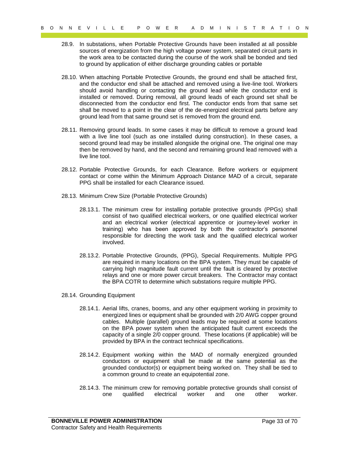- 28.9. In substations, when Portable Protective Grounds have been installed at all possible sources of energization from the high voltage power system, separated circuit parts in the work area to be contacted during the course of the work shall be bonded and tied to ground by application of either discharge grounding cables or portable
- 9  $\times$  18 C  $\times$  11 Let  $\times$  5 o W E R  $\times$  70 M I R i  $\times$  7 B A T i O N i C A T i O N i C A T i O N i C A T i O N i C A T i O N i C A T i O N i C A T i O N i C A T i O N i C A T i O N i C A T i O N i C A T i O N i C A 28.10. When attaching Portable Protective Grounds, the ground end shall be attached first, and the conductor end shall be attached and removed using a live-line tool. Workers should avoid handling or contacting the ground lead while the conductor end is installed or removed. During removal, all ground leads of each ground set shall be disconnected from the conductor end first. The conductor ends from that same set shall be moved to a point in the clear of the de-energized electrical parts before any ground lead from that same ground set is removed from the ground end.
	- 28.11. Removing ground leads. In some cases it may be difficult to remove a ground lead with a live line tool (such as one installed during construction). In these cases, a second ground lead may be installed alongside the original one. The original one may then be removed by hand, and the second and remaining ground lead removed with a live line tool.
	- 28.12. Portable Protective Grounds, for each Clearance. Before workers or equipment contact or come within the Minimum Approach Distance MAD of a circuit, separate PPG shall be installed for each Clearance issued.
	- 28.13. Minimum Crew Size (Portable Protective Grounds)
		- 28.13.1. The minimum crew for installing portable protective grounds (PPGs) shall consist of two qualified electrical workers, or one qualified electrical worker and an electrical worker (electrical apprentice or journey-level worker in training) who has been approved by both the contractor's personnel responsible for directing the work task and the qualified electrical worker involved.
		- 28.13.2. Portable Protective Grounds, (PPG), Special Requirements. Multiple PPG are required in many locations on the BPA system. They must be capable of carrying high magnitude fault current until the fault is cleared by protective relays and one or more power circuit breakers. The Contractor may contact the BPA COTR to determine which substations require multiple PPG.
	- 28.14. Grounding Equipment
		- 28.14.1. Aerial lifts, cranes, booms, and any other equipment working in proximity to energized lines or equipment shall be grounded with 2/0 AWG copper ground cables. Multiple (parallel) ground leads may be required at some locations on the BPA power system when the anticipated fault current exceeds the capacity of a single 2/0 copper ground. These locations (if applicable) will be provided by BPA in the contract technical specifications.
		- 28.14.2. Equipment working within the MAD of normally energized grounded conductors or equipment shall be made at the same potential as the grounded conductor(s) or equipment being worked on. They shall be tied to a common ground to create an equipotential zone.
		- 28.14.3. The minimum crew for removing portable protective grounds shall consist of one qualified electrical worker and one other worker.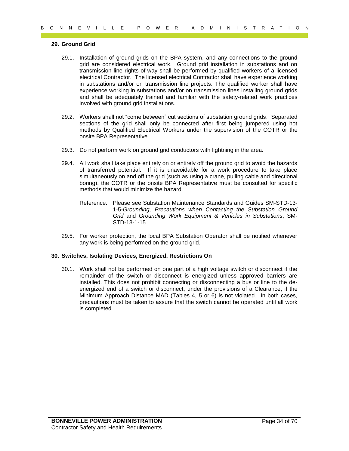#### <span id="page-33-0"></span>**29. Ground Grid**

- 9 of  $R = V = 1$  L  $R = P = 0$  W T E N A D M I N I S T R A T I O N<br>
23. Ground Grid are considered allocated with GRA system, and any commutions to the ground<br>
26.1. Installation of ground grid are finding the installation in a 29.1. Installation of ground grids on the BPA system, and any connections to the ground grid are considered electrical work. Ground grid installation in substations and on transmission line rights-of-way shall be performed by qualified workers of a licensed electrical Contractor. The licensed electrical Contractor shall have experience working in substations and/or on transmission line projects. The qualified worker shall have experience working in substations and/or on transmission lines installing ground grids and shall be adequately trained and familiar with the safety-related work practices involved with ground grid installations.
	- 29.2. Workers shall not "come between" cut sections of substation ground grids. Separated sections of the grid shall only be connected after first being jumpered using hot methods by Qualified Electrical Workers under the supervision of the COTR or the onsite BPA Representative.
	- 29.3. Do not perform work on ground grid conductors with lightning in the area.
	- 29.4. All work shall take place entirely on or entirely off the ground grid to avoid the hazards of transferred potential. If it is unavoidable for a work procedure to take place simultaneously on and off the grid (such as using a crane, pulling cable and directional boring), the COTR or the onsite BPA Representative must be consulted for specific methods that would minimize the hazard.
		- Reference: Please see Substation Maintenance Standards and Guides SM-STD-13- 1-5-*Grounding, Precautions when Contacting the Substation Ground Grid* and *Grounding Work Equipment & Vehicles in Substations*, SM-STD-13-1-15
	- 29.5. For worker protection, the local BPA Substation Operator shall be notified whenever any work is being performed on the ground grid.

#### <span id="page-33-1"></span>**30. Switches, Isolating Devices, Energized, Restrictions On**

30.1. Work shall not be performed on one part of a high voltage switch or disconnect if the remainder of the switch or disconnect is energized unless approved barriers are installed. This does not prohibit connecting or disconnecting a bus or line to the deenergized end of a switch or disconnect, under the provisions of a Clearance, if the Minimum Approach Distance MAD (Tables 4, 5 or 6) is not violated. In both cases, precautions must be taken to assure that the switch cannot be operated until all work is completed.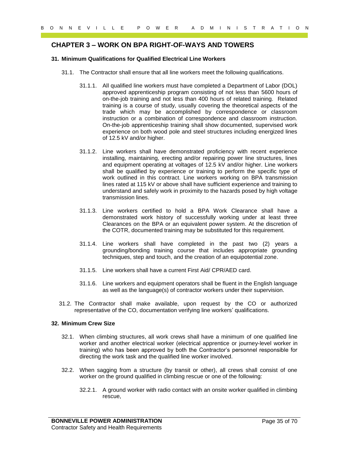# <span id="page-34-0"></span>**CHAPTER 3 – WORK ON BPA RIGHT-OF-WAYS AND TOWERS**

#### <span id="page-34-1"></span>**31. Minimum Qualifications for Qualified Electrical Line Workers**

- 31.1. The Contractor shall ensure that all line workers meet the following qualifications.
- 9 of  $Y = L + L$  is  $P = 0$  W E R A D M I N I S T R A T I O N<br>
CHAPTER 3 WORK ON BPA RIGHT-OF-WAYB AND TOWERS<br>
31. Minimum dualitations of Cause of the RIGHT-OF-WAYB AND TOWERS<br>
31.1. The Contractor stall about that all lime 31.1.1. All qualified line workers must have completed a Department of Labor (DOL) approved apprenticeship program consisting of not less than 5600 hours of on-the-job training and not less than 400 hours of related training. Related training is a course of study, usually covering the theoretical aspects of the trade which may be accomplished by correspondence or classroom instruction or a combination of correspondence and classroom instruction. On-the-job apprenticeship training shall show documented, supervised work experience on both wood pole and steel structures including energized lines of 12.5 kV and/or higher.
	- 31.1.2. Line workers shall have demonstrated proficiency with recent experience installing, maintaining, erecting and/or repairing power line structures, lines and equipment operating at voltages of 12.5 kV and/or higher. Line workers shall be qualified by experience or training to perform the specific type of work outlined in this contract. Line workers working on BPA transmission lines rated at 115 kV or above shall have sufficient experience and training to understand and safely work in proximity to the hazards posed by high voltage transmission lines.
	- 31.1.3. Line workers certified to hold a BPA Work Clearance shall have a demonstrated work history of successfully working under at least three Clearances on the BPA or an equivalent power system. At the discretion of the COTR, documented training may be substituted for this requirement.
	- 31.1.4. Line workers shall have completed in the past two (2) years a grounding/bonding training course that includes appropriate grounding techniques, step and touch, and the creation of an equipotential zone.
	- 31.1.5. Line workers shall have a current First Aid/ CPR/AED card.
	- 31.1.6. Line workers and equipment operators shall be fluent in the English language as well as the language(s) of contractor workers under their supervision.
	- 31.2. The Contractor shall make available, upon request by the CO or authorized representative of the CO, documentation verifying line workers' qualifications.

#### <span id="page-34-2"></span>**32. Minimum Crew Size**

- 32.1. When climbing structures, all work crews shall have a minimum of one qualified line worker and another electrical worker (electrical apprentice or journey-level worker in training) who has been approved by both the Contractor's personnel responsible for directing the work task and the qualified line worker involved.
- 32.2. When sagging from a structure (by transit or other), all crews shall consist of one worker on the ground qualified in climbing rescue or one of the following:
	- 32.2.1. A ground worker with radio contact with an onsite worker qualified in climbing rescue,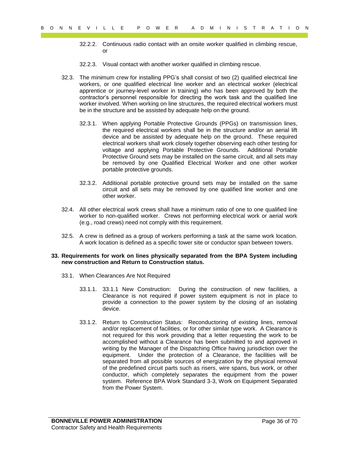- 32.2.2. Continuous radio contact with an onsite worker qualified in climbing rescue, or
- 32.2.3. Visual contact with another worker qualified in climbing rescue.
- 32.3. The minimum crew for installing PPG's shall consist of two (2) qualified electrical line workers, or one qualified electrical line worker and an electrical worker (electrical apprentice or journey-level worker in training) who has been approved by both the contractor's personnel responsible for directing the work task and the qualified line worker involved. When working on line structures, the required electrical workers must be in the structure and be assisted by adequate help on the ground.
	- 32.3.1. When applying Portable Protective Grounds (PPGs) on transmission lines, the required electrical workers shall be in the structure and/or an aerial lift device and be assisted by adequate help on the ground. These required electrical workers shall work closely together observing each other testing for voltage and applying Portable Protective Grounds. Additional Portable Protective Ground sets may be installed on the same circuit, and all sets may be removed by one Qualified Electrical Worker and one other worker portable protective grounds.
	- 32.3.2. Additional portable protective ground sets may be installed on the same circuit and all sets may be removed by one qualified line worker and one other worker.
- 32.4. All other electrical work crews shall have a minimum ratio of one to one qualified line worker to non-qualified worker. Crews not performing electrical work or aerial work (e.g., road crews) need not comply with this requirement.
- 32.5. A crew is defined as a group of workers performing a task at the same work location. A work location is defined as a specific tower site or conductor span between towers.

#### <span id="page-35-0"></span>**33. Requirements for work on lines physically separated from the BPA System including new construction and Return to Construction status.**

- 33.1. When Clearances Are Not Required
	- 33.1.1. 33.1.1 New Construction: During the construction of new facilities, a Clearance is not required if power system equipment is not in place to provide a connection to the power system by the closing of an isolating device.
- 9 of 70 B C N D C V I L L E P O W E R A D M I N I S T R A T I O N<br>
9 32.2. Cominuous radio contract with a nontract we qualified in climinally reason.<br>
9 32.3. Yield contract with a nontract with a broad in climinally rea 33.1.2. Return to Construction Status: Reconductoring of existing lines, removal and/or replacement of facilities, or for other similar type work. A Clearance is not required for this work providing that a letter requesting the work to be accomplished without a Clearance has been submitted to and approved in writing by the Manager of the Dispatching Office having jurisdiction over the equipment. Under the protection of a Clearance, the facilities will be separated from all possible sources of energization by the physical removal of the predefined circuit parts such as risers, wire spans, bus work, or other conductor, which completely separates the equipment from the power system. Reference BPA Work Standard 3-3, Work on Equipment Separated from the Power System.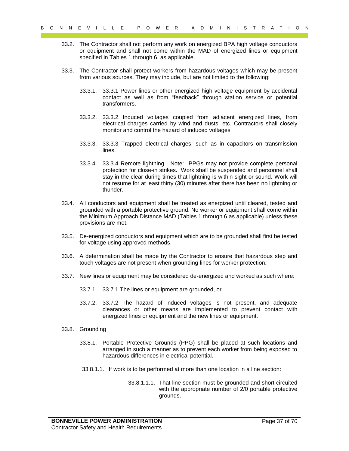- 33.2. The Contractor shall not perform any work on energized BPA high voltage conductors or equipment and shall not come within the MAD of energized lines or equipment specified in Tables 1 through 6, as applicable.
- 33.3. The Contractor shall protect workers from hazardous voltages which may be present from various sources. They may include, but are not limited to the following:
	- 33.3.1. 33.3.1 Power lines or other energized high voltage equipment by accidental contact as well as from "feedback" through station service or potential transformers.
	- 33.3.2. 33.3.2 Induced voltages coupled from adjacent energized lines, from electrical charges carried by wind and dusts, etc. Contractors shall closely monitor and control the hazard of induced voltages
	- 33.3.3. 33.3.3 Trapped electrical charges, such as in capacitors on transmission lines.
- 9 of N E V I L L E P O W E R A B M I N I S T R A T I O N<br>
9 32. The Contractor shall not extern the year of the A D M I N I S T R A T I O New York of the system of the system of the system of the system of the system of t 33.3.4. 33.3.4 Remote lightning. Note: PPGs may not provide complete personal protection for close-in strikes. Work shall be suspended and personnel shall stay in the clear during times that lightning is within sight or sound. Work will not resume for at least thirty (30) minutes after there has been no lightning or thunder.
	- 33.4. All conductors and equipment shall be treated as energized until cleared, tested and grounded with a portable protective ground. No worker or equipment shall come within the Minimum Approach Distance MAD (Tables 1 through 6 as applicable) unless these provisions are met.
	- 33.5. De-energized conductors and equipment which are to be grounded shall first be tested for voltage using approved methods.
	- 33.6. A determination shall be made by the Contractor to ensure that hazardous step and touch voltages are not present when grounding lines for worker protection.
	- 33.7. New lines or equipment may be considered de-energized and worked as such where:
		- 33.7.1. 33.7.1 The lines or equipment are grounded, or
		- 33.7.2. 33.7.2 The hazard of induced voltages is not present, and adequate clearances or other means are implemented to prevent contact with energized lines or equipment and the new lines or equipment.
	- 33.8. Grounding
		- 33.8.1. Portable Protective Grounds (PPG) shall be placed at such locations and arranged in such a manner as to prevent each worker from being exposed to hazardous differences in electrical potential.
		- 33.8.1.1. If work is to be performed at more than one location in a line section:
			- 33.8.1.1.1. That line section must be grounded and short circuited with the appropriate number of 2/0 portable protective grounds.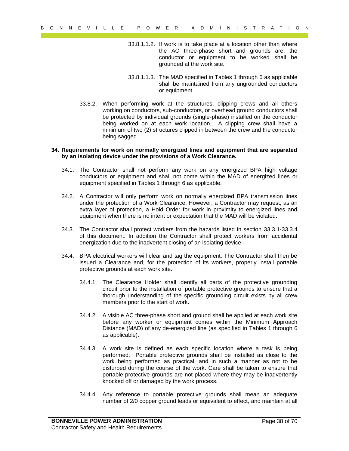- 33.8.1.1.2. If work is to take place at a location other than where the AC three-phase short and grounds are, the conductor or equipment to be worked shall be grounded at the work site.
- 33.8.1.1.3. The MAD specified in Tables 1 through 6 as applicable shall be maintained from any ungrounded conductors or equipment.
- 33.8.2. When performing work at the structures, clipping crews and all others working on conductors, sub-conductors, or overhead ground conductors shall be protected by individual grounds (single-phase) installed on the conductor being worked on at each work location. A clipping crew shall have a minimum of two (2) structures clipped in between the crew and the conductor being sagged.

#### <span id="page-37-0"></span>**34. Requirements for work on normally energized lines and equipment that are separated by an isolating device under the provisions of a Work Clearance.**

- 34.1. The Contractor shall not perform any work on any energized BPA high voltage conductors or equipment and shall not come within the MAD of energized lines or equipment specified in Tables 1 through 6 as applicable.
- 34.2. A Contractor will only perform work on normally energized BPA transmission lines under the protection of a Work Clearance. However, a Contractor may request, as an extra layer of protection, a Hold Order for work in proximity to energized lines and equipment when there is no intent or expectation that the MAD will be violated.
- 34.3. The Contractor shall protect workers from the hazards listed in section 33.3.1-33.3.4 of this document. In addition the Contractor shall protect workers from accidental energization due to the inadvertent closing of an isolating device.
- 34.4. BPA electrical workers will clear and tag the equipment. The Contractor shall then be issued a Clearance and, for the protection of its workers, properly install portable protective grounds at each work site.
	- 34.4.1. The Clearance Holder shall identify all parts of the protective grounding circuit prior to the installation of portable protective grounds to ensure that a thorough understanding of the specific grounding circuit exists by all crew members prior to the start of work.
	- 34.4.2. A visible AC three-phase short and ground shall be applied at each work site before any worker or equipment comes within the Minimum Approach Distance (MAD) of any de-energized line (as specified in Tables 1 through 6 as applicable).
- Payar EV I L L E P OW ER A T D (1) The V T C M I N I S T R A T D (1) The V T D (1) The V C observation of the three stats of the state of the state of the state of the state of the state of the state of the state of the s 34.4.3. A work site is defined as each specific location where a task is being performed. Portable protective grounds shall be installed as close to the work being performed as practical, and in such a manner as not to be disturbed during the course of the work. Care shall be taken to ensure that portable protective grounds are not placed where they may be inadvertently knocked off or damaged by the work process.
	- 34.4.4. Any reference to portable protective grounds shall mean an adequate number of 2/0 copper ground leads or equivalent to effect, and maintain at all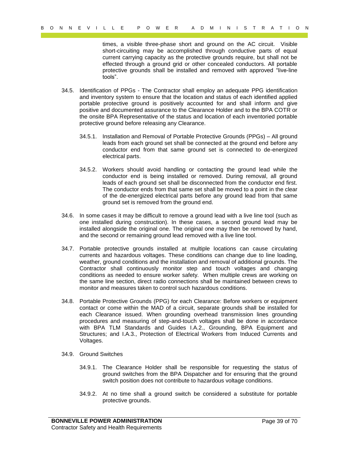times, a visible three-phase short and ground on the AC circuit. Visible short-circuiting may be accomplished through conductive parts of equal current carrying capacity as the protective grounds require, but shall not be effected through a ground grid or other concealed conductors. All portable protective grounds shall be installed and removed with approved "live-line tools".

- 34.5. Identification of PPGs The Contractor shall employ an adequate PPG identification and inventory system to ensure that the location and status of each identified applied portable protective ground is positively accounted for and shall inform and give positive and documented assurance to the Clearance Holder and to the BPA COTR or the onsite BPA Representative of the status and location of each inventoried portable protective ground before releasing any Clearance.
	- 34.5.1. Installation and Removal of Portable Protective Grounds (PPGs) All ground leads from each ground set shall be connected at the ground end before any conductor end from that same ground set is connected to de-energized electrical parts.
	- 34.5.2. Workers should avoid handling or contacting the ground lead while the conductor end is being installed or removed. During removal, all ground leads of each ground set shall be disconnected from the conductor end first. The conductor ends from that same set shall be moved to a point in the clear of the de-energized electrical parts before any ground lead from that same ground set is removed from the ground end.
- 34.6. In some cases it may be difficult to remove a ground lead with a live line tool (such as one installed during construction). In these cases, a second ground lead may be installed alongside the original one. The original one may then be removed by hand, and the second or remaining ground lead removed with a live line tool.
- 9 of 1 R C P interesting manual control is a particular of 1 B A C P interesting manual control is a particular manual control is a particular manual control is a particular manual control is a particular manual control i 34.7. Portable protective grounds installed at multiple locations can cause circulating currents and hazardous voltages. These conditions can change due to line loading, weather, ground conditions and the installation and removal of additional grounds. The Contractor shall continuously monitor step and touch voltages and changing conditions as needed to ensure worker safety. When multiple crews are working on the same line section, direct radio connections shall be maintained between crews to monitor and measures taken to control such hazardous conditions.
	- 34.8. Portable Protective Grounds (PPG) for each Clearance: Before workers or equipment contact or come within the MAD of a circuit, separate grounds shall be installed for each Clearance issued. When grounding overhead transmission lines grounding procedures and measuring of step-and-touch voltages shall be done in accordance with BPA TLM Standards and Guides I.A.2., Grounding, BPA Equipment and Structures; and I.A.3., Protection of Electrical Workers from Induced Currents and Voltages.
	- 34.9. Ground Switches
		- 34.9.1. The Clearance Holder shall be responsible for requesting the status of ground switches from the BPA Dispatcher and for ensuring that the ground switch position does not contribute to hazardous voltage conditions.
		- 34.9.2. At no time shall a ground switch be considered a substitute for portable protective grounds.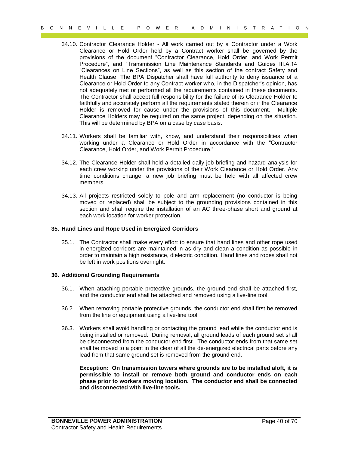- Page 40 of 70 B O N N E V I L L E P O W E R A D M I N I S T R A T I O N 34.10. Contractor Clearance Holder - All work carried out by a Contractor under a Work Clearance or Hold Order held by a Contract worker shall be governed by the provisions of the document "Contractor Clearance, Hold Order, and Work Permit Procedure", and "Transmission Line Maintenance Standards and Guides III.A.14 "Clearances on Line Sections", as well as this section of the contract Safety and Health Clause. The BPA Dispatcher shall have full authority to deny issuance of a Clearance or Hold Order to any Contract worker who, in the Dispatcher's opinion, has not adequately met or performed all the requirements contained in these documents. The Contractor shall accept full responsibility for the failure of its Clearance Holder to faithfully and accurately perform all the requirements stated therein or if the Clearance Holder is removed for cause under the provisions of this document. Multiple Clearance Holders may be required on the same project, depending on the situation. This will be determined by BPA on a case by case basis.
	- 34.11. Workers shall be familiar with, know, and understand their responsibilities when working under a Clearance or Hold Order in accordance with the "Contractor Clearance, Hold Order, and Work Permit Procedure."
	- 34.12. The Clearance Holder shall hold a detailed daily job briefing and hazard analysis for each crew working under the provisions of their Work Clearance or Hold Order. Any time conditions change, a new job briefing must be held with all affected crew members.
	- 34.13. All projects restricted solely to pole and arm replacement (no conductor is being moved or replaced) shall be subject to the grounding provisions contained in this section and shall require the installation of an AC three-phase short and ground at each work location for worker protection.

#### <span id="page-39-0"></span>**35. Hand Lines and Rope Used in Energized Corridors**

35.1. The Contractor shall make every effort to ensure that hand lines and other rope used in energized corridors are maintained in as dry and clean a condition as possible in order to maintain a high resistance, dielectric condition. Hand lines and ropes shall not be left in work positions overnight.

#### <span id="page-39-1"></span>**36. Additional Grounding Requirements**

- 36.1. When attaching portable protective grounds, the ground end shall be attached first, and the conductor end shall be attached and removed using a live-line tool.
- 36.2. When removing portable protective grounds, the conductor end shall first be removed from the line or equipment using a live-line tool.
- 36.3. Workers shall avoid handling or contacting the ground lead while the conductor end is being installed or removed. During removal, all ground leads of each ground set shall be disconnected from the conductor end first. The conductor ends from that same set shall be moved to a point in the clear of all the de-energized electrical parts before any lead from that same ground set is removed from the ground end.

**Exception: On transmission towers where grounds are to be installed aloft, it is permissible to install or remove both ground and conductor ends on each phase prior to workers moving location. The conductor end shall be connected and disconnected with live-line tools.**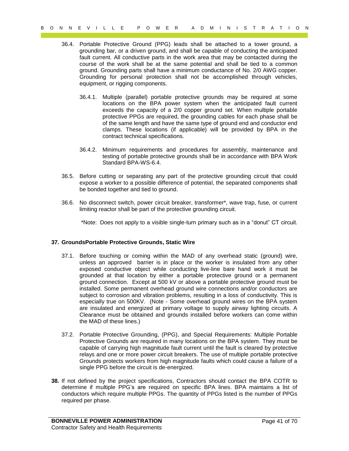- 36.4. Portable Protective Ground (PPG) leads shall be attached to a tower ground, a grounding bar, or a driven ground, and shall be capable of conducting the anticipated fault current. All conductive parts in the work area that may be contacted during the course of the work shall be at the same potential and shall be tied to a common ground. Grounding parts shall have a minimum conductance of No. 2/0 AWG copper. Grounding for personal protection shall not be accomplished through vehicles, equipment, or rigging components.
	- 36.4.1. Multiple (parallel) portable protective grounds may be required at some locations on the BPA power system when the anticipated fault current exceeds the capacity of a 2/0 copper ground set. When multiple portable protective PPGs are required, the grounding cables for each phase shall be of the same length and have the same type of ground end and conductor end clamps. These locations (if applicable) will be provided by BPA in the contract technical specifications.
	- 36.4.2. Minimum requirements and procedures for assembly, maintenance and testing of portable protective grounds shall be in accordance with BPA Work Standard BPA-WS-6.4.
- 36.5. Before cutting or separating any part of the protective grounding circuit that could expose a worker to a possible difference of potential, the separated components shall be bonded together and tied to ground.
- 36.6. No disconnect switch, power circuit breaker, transformer\*, wave trap, fuse, or current limiting reactor shall be part of the protective grounding circuit.

\*Note: Does not apply to a visible single-turn primary such as in a "donut" CT circuit.

#### <span id="page-40-1"></span><span id="page-40-0"></span>**37. GroundsPortable Protective Grounds, Static Wire**

- Page 41 of 70 B O N N E V I L L E P O W E R A D M I N I S T R A T I O N 37.1. Before touching or coming within the MAD of any overhead static (ground) wire, unless an approved barrier is in place or the worker is insulated from any other exposed conductive object while conducting live-line bare hand work it must be grounded at that location by either a portable protective ground or a permanent ground connection. Except at 500 kV or above a portable protective ground must be installed. Some permanent overhead ground wire connections and/or conductors are subject to corrosion and vibration problems, resulting in a loss of conductivity. This is especially true on 500KV. (Note - Some overhead ground wires on the BPA system are insulated and energized at primary voltage to supply airway lighting circuits. A Clearance must be obtained and grounds installed before workers can come within the MAD of these lines.)
	- 37.2. Portable Protective Grounding, (PPG), and Special Requirements: Multiple Portable Protective Grounds are required in many locations on the BPA system. They must be capable of carrying high magnitude fault current until the fault is cleared by protective relays and one or more power circuit breakers. The use of multiple portable protective Grounds protects workers from high magnitude faults which could cause a failure of a single PPG before the circuit is de-energized.
	- **38.** If not defined by the project specifications, Contractors should contact the BPA COTR to determine if multiple PPG's are required on specific BPA lines. BPA maintains a list of conductors which require multiple PPGs. The quantity of PPGs listed is the number of PPGs required per phase.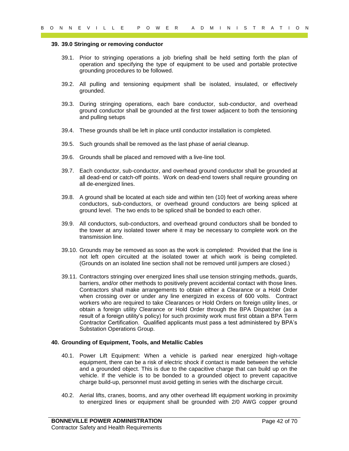#### **39. 39.0 Stringing or removing conductor**

- 39.1. Prior to stringing operations a job briefing shall be held setting forth the plan of operation and specifying the type of equipment to be used and portable protective grounding procedures to be followed.
- 39.2. All pulling and tensioning equipment shall be isolated, insulated, or effectively grounded.
- 39.3. During stringing operations, each bare conductor, sub-conductor, and overhead ground conductor shall be grounded at the first tower adjacent to both the tensioning and pulling setups
- 39.4. These grounds shall be left in place until conductor installation is completed.
- 39.5. Such grounds shall be removed as the last phase of aerial cleanup.
- 39.6. Grounds shall be placed and removed with a live-line tool.
- 39.7. Each conductor, sub-conductor, and overhead ground conductor shall be grounded at all dead-end or catch-off points. Work on dead-end towers shall require grounding on all de-energized lines.
- 39.8. A ground shall be located at each side and within ten (10) feet of working areas where conductors, sub-conductors, or overhead ground conductors are being spliced at ground level. The two ends to be spliced shall be bonded to each other.
- 39.9. All conductors, sub-conductors, and overhead ground conductors shall be bonded to the tower at any isolated tower where it may be necessary to complete work on the transmission line.
- 39.10. Grounds may be removed as soon as the work is completed: Provided that the line is not left open circuited at the isolated tower at which work is being completed. (Grounds on an isolated line section shall not be removed until jumpers are closed.)
- 0 N N E V I L L E P O W E R A D M I N I S T R A T I O N<br>
39.39.39 CM triplets or recovering contactors and by briding shall be held setting better has pleased as the formula main specifying them by the plan of properties 39.11. Contractors stringing over energized lines shall use tension stringing methods, guards, barriers, and/or other methods to positively prevent accidental contact with those lines. Contractors shall make arrangements to obtain either a Clearance or a Hold Order when crossing over or under any line energized in excess of 600 volts. Contract workers who are required to take Clearances or Hold Orders on foreign utility lines, or obtain a foreign utility Clearance or Hold Order through the BPA Dispatcher (as a result of a foreign utility's policy) for such proximity work must first obtain a BPA Term Contractor Certification. Qualified applicants must pass a test administered by BPA's Substation Operations Group.

#### <span id="page-41-0"></span>**40. Grounding of Equipment, Tools, and Metallic Cables**

- 40.1. Power Lift Equipment: When a vehicle is parked near energized high-voltage equipment, there can be a risk of electric shock if contact is made between the vehicle and a grounded object. This is due to the capacitive charge that can build up on the vehicle. If the vehicle is to be bonded to a grounded object to prevent capacitive charge build-up, personnel must avoid getting in series with the discharge circuit.
- 40.2. Aerial lifts, cranes, booms, and any other overhead lift equipment working in proximity to energized lines or equipment shall be grounded with 2/0 AWG copper ground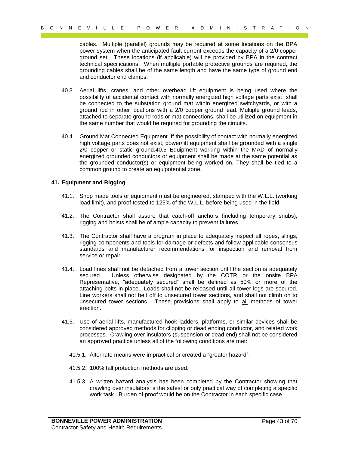cables. Multiple (parallel) grounds may be required at some locations on the BPA power system when the anticipated fault current exceeds the capacity of a 2/0 copper ground set. These locations (if applicable) will be provided by BPA in the contract technical specifications. When multiple portable protective grounds are required, the grounding cables shall be of the same length and have the same type of ground end and conductor end clamps.

- 40.3. Aerial lifts, cranes, and other overhead lift equipment is being used where the possibility of accidental contact with normally energized high voltage parts exist, shall be connected to the substation ground mat within energized switchyards, or with a ground rod in other locations with a 2/0 copper ground lead. Multiple ground leads, attached to separate ground rods or mat connections, shall be utilized on equipment in the same number that would be required for grounding the circuits.
- 40.4. Ground Mat Connected Equipment. If the possibility of contact with normally energized high voltage parts does not exist, power/lift equipment shall be grounded with a single 2/0 copper or static ground.40.5 Equipment working within the MAD of normally energized grounded conductors or equipment shall be made at the same potential as the grounded conductor(s) or equipment being worked on. They shall be tied to a common ground to create an equipotential zone.

#### <span id="page-42-0"></span>**41. Equipment and Rigging**

- 41.1. Shop made tools or equipment must be engineered, stamped with the W.L.L. (working load limit), and proof tested to 125% of the W.L.L. before being used in the field.
- 41.2. The Contractor shall assure that catch-off anchors (including temporary snubs), rigging and hoists shall be of ample capacity to prevent failures.
- 41.3. The Contractor shall have a program in place to adequately inspect all ropes, slings, rigging components and tools for damage or defects and follow applicable consensus standards and manufacturer recommendations for inspection and removal from service or repair.
- Page 43 of 70 B O N N E V I L L E P O W E R A D M I N I S T R A T I O N 41.4. Load lines shall not be detached from a tower section until the section is adequately secured. Unless otherwise designated by the COTR or the onsite BPA Representative, "adequately secured" shall be defined as 50% or more of the attaching bolts in place. Loads shall not be released until all tower legs are secured. Line workers shall not belt off to unsecured tower sections, and shall not climb on to unsecured tower sections. These provisions shall apply to all methods of tower erection.
	- 41.5. Use of aerial lifts, manufactured hook ladders, platforms, or similar devices shall be considered approved methods for clipping or dead ending conductor, and related work processes. Crawling over insulators (suspension or dead end) shall not be considered an approved practice unless all of the following conditions are met:
		- 41.5.1. Alternate means were impractical or created a "greater hazard".
		- 41.5.2. 100% fall protection methods are used.
		- 41.5.3. A written hazard analysis has been completed by the Contractor showing that crawling over insulators is the safest or only practical way of completing a specific work task. Burden of proof would be on the Contractor in each specific case.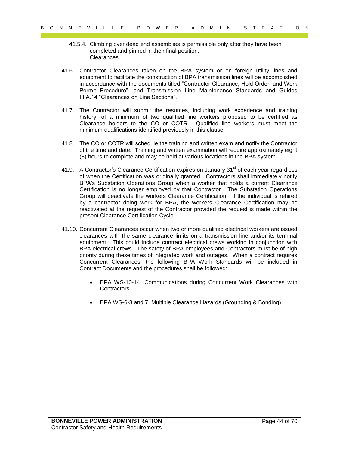- 41.5.4. Climbing over dead end assemblies is permissible only after they have been completed and pinned in their final position. **Clearances**
- <span id="page-43-0"></span>41.6. Contractor Clearances taken on the BPA system or on foreign utility lines and equipment to facilitate the construction of BPA transmission lines will be accomplished in accordance with the documents titled "Contractor Clearance, Hold Order, and Work Permit Procedure", and Transmission Line Maintenance Standards and Guides III.A.14 "Clearances on Line Sections".
- 41.7. The Contractor will submit the resumes, including work experience and training history, of a minimum of two qualified line workers proposed to be certified as Clearance holders to the CO or COTR. Qualified line workers must meet the minimum qualifications identified previously in this clause.
- 41.8. The CO or COTR will schedule the training and written exam and notify the Contractor of the time and date. Training and written examination will require approximately eight (8) hours to complete and may be held at various locations in the BPA system.
- 9  $\times$  14 of 70 B of 70 B of 70 B of 70 B of 70 B of 70 B of 70 B of 11 a 14 of 70 B of 11 a 14 of 70 B of 11 a 14 of 70 B of 11 a 14 of 11 a Contractor Centernoids have the president of the other three dentated in the ma 41.9. A Contractor's Clearance Certification expires on January  $31<sup>st</sup>$  of each year regardless of when the Certification was originally granted. Contractors shall immediately notify BPA's Substation Operations Group when a worker that holds a current Clearance Certification is no longer employed by that Contractor. The Substation Operations Group will deactivate the workers Clearance Certification. If the individual is rehired by a contractor doing work for BPA, the workers Clearance Certification may be reactivated at the request of the Contractor provided the request is made within the present Clearance Certification Cycle.
	- 41.10. Concurrent Clearances occur when two or more qualified electrical workers are issued clearances with the same clearance limits on a transmission line and/or its terminal equipment. This could include contract electrical crews working in conjunction with BPA electrical crews. The safety of BPA employees and Contractors must be of high priority during these times of integrated work and outages. When a contract requires Concurrent Clearances, the following BPA Work Standards will be included in Contract Documents and the procedures shall be followed:
		- BPA WS-10-14. Communications during Concurrent Work Clearances with **Contractors**
		- BPA WS-6-3 and 7. Multiple Clearance Hazards (Grounding & Bonding)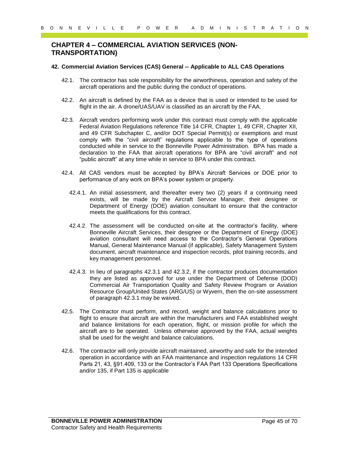# <span id="page-44-0"></span>**CHAPTER 4 – COMMERCIAL AVIATION SERVICES (NON-TRANSPORTATION)**

#### <span id="page-44-1"></span>**42. Commercial Aviation Services (CAS) General -- Applicable to ALL CAS Operations**

- 42.1. The contractor has sole responsibility for the airworthiness, operation and safety of the aircraft operations and the public during the conduct of operations.
- 42.2. An aircraft is defined by the FAA as a device that is used or intended to be used for flight in the air. A drone/UAS/UAV is classified as an aircraft by the FAA.
- Page 45 of 70 B O N N E V I L L E P O W E R A D M I N I S T R A T I O N 42.3. Aircraft vendors performing work under this contract must comply with the applicable Federal Aviation Regulations reference Title 14 CFR, Chapter 1, 49 CFR, Chapter XII, and 49 CFR Subchapter C, and/or DOT Special Permit(s) or exemptions and must comply with the "civil aircraft" regulations applicable to the type of operations conducted while in service to the Bonneville Power Administration. BPA has made a declaration to the FAA that aircraft operations for BPA are "civil aircraft" and not "public aircraft" at any time while in service to BPA under this contract.
	- 42.4. All CAS vendors must be accepted by BPA's Aircraft Services or DOE prior to performance of any work on BPA's power system or property.
		- 42.4.1. An initial assessment, and thereafter every two (2) years if a continuing need exists, will be made by the Aircraft Service Manager, their designee or Department of Energy (DOE) aviation consultant to ensure that the contractor meets the qualifications for this contract.
		- 42.4.2. The assessment will be conducted on-site at the contractor's facility, where Bonneville Aircraft Services, their designee or the Department of Energy (DOE) aviation consultant will need access to the Contractor's General Operations Manual, General Maintenance Manual (if applicable), Safety Management System document, aircraft maintenance and inspection records, pilot training records, and key management personnel.
		- 42.4.3. In lieu of paragraphs 42.3.1 and 42.3.2, if the contractor produces documentation they are listed as approved for use under the Department of Defense (DOD) Commercial Air Transportation Quality and Safety Review Program or Aviation Resource Group/United States (ARG/US) or Wyvern, then the on-site assessment of paragraph 42.3.1 may be waived.
	- 42.5. The Contractor must perform, and record, weight and balance calculations prior to flight to ensure that aircraft are within the manufacturers and FAA established weight and balance limitations for each operation, flight, or mission profile for which the aircraft are to be operated. Unless otherwise approved by the FAA, actual weights shall be used for the weight and balance calculations.
	- 42.6. The contractor will only provide aircraft maintained, airworthy and safe for the intended operation in accordance with an FAA maintenance and inspection regulations 14 CFR Parts 21, 43, §91.409, 133 or the Contractor's FAA Part 133 Operations Specifications and/or 135, if Part 135 is applicable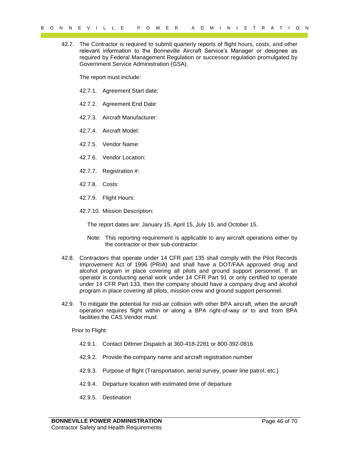42.7. The Contractor is required to submit quarterly reports of flight hours, costs, and other relevant information to the Bonneville Aircraft Service's Manager or designee as required by Federal Management Regulation or successor regulation promulgated by Government Service Administration (GSA).

The report must include:

- 42.7.1. Agreement Start date:
- 42.7.2. Agreement End Date:
- 42.7.3. Aircraft Manufacturer:
- 42.7.4. Aircraft Model:
- 42.7.5. Vendor Name:
- 42.7.6. Vendor Location:
- 42.7.7. Registration #:
- 42.7.8. Costs:
- 42.7.9. Flight Hours:
- 42.7.10. Mission Description:

The report dates are: January 15, April 15, July 15, and October 15.

- Note: This reporting requirement is applicable to any aircraft operations either by the contractor or their sub-contractor.
- $\alpha = 0.9$  M R C V I L L E P O W C R A D M I M I S T R A T I O N<br>
Representation in the system of the system of the system of the system of the system of the system of the system of the system of the system of the system o 42.8. Contractors that operate under 14 CFR part 135 shall comply with the Pilot Records Improvement Act of 1996 (PRIA) and shall have a DOT/FAA approved drug and alcohol program in place covering all pilots and ground support personnel. If an operator is conducting aerial work under 14 CFR Part 91 or only certified to operate under 14 CFR Part 133, then the company should have a company drug and alcohol program in place covering all pilots, mission crew and ground support personnel.
	- 42.9. To mitigate the potential for mid-air collision with other BPA aircraft, when the aircraft operation requires flight within or along a BPA right-of-way or to and from BPA facilities the CAS Vendor must:

Prior to Flight:

- 42.9.1. Contact Dittmer Dispatch at 360-418-2281 or 800-392-0816
- 42.9.2. Provide the company name and aircraft registration number
- 42.9.3. Purpose of flight (Transportation, aerial survey, power line patrol, etc.)
- 42.9.4. Departure location with estimated time of departure
- 42.9.5. Destination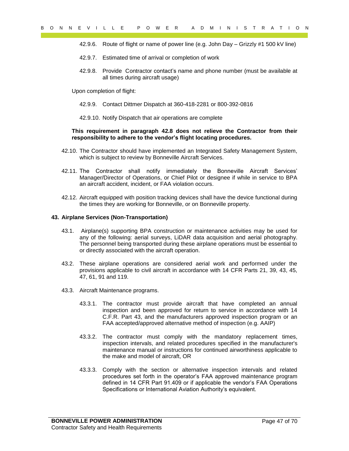- 42.9.6. Route of flight or name of power line (e.g. John Day Grizzly #1 500 kV line)
- 42.9.7. Estimated time of arrival or completion of work
- 42.9.8. Provide Contractor contact's name and phone number (must be available at all times during aircraft usage)

Upon completion of flight:

- 42.9.9. Contact Dittmer Dispatch at 360-418-2281 or 800-392-0816
- 42.9.10. Notify Dispatch that air operations are complete

#### **This requirement in paragraph 42.8 does not relieve the Contractor from their responsibility to adhere to the vendor's flight locating procedures.**

- 42.10. The Contractor should have implemented an Integrated Safety Management System, which is subject to review by Bonneville Aircraft Services.
- 42.11. The Contractor shall notify immediately the Bonneville Aircraft Services' Manager/Director of Operations, or Chief Pilot or designee if while in service to BPA an aircraft accident, incident, or FAA violation occurs.
- 42.12. Aircraft equipped with position tracking devices shall have the device functional during the times they are working for Bonneville, or on Bonneville property.

#### <span id="page-46-0"></span>**43. Airplane Services (Non-Transportation)**

- $P = \frac{1}{2}$  of  $P = \frac{1}{2}$  of  $P = \frac{1}{2}$  of  $P = \frac{1}{2}$  of  $P = \frac{1}{2}$  of  $P = \frac{1}{2}$  of  $P = \frac{1}{2}$  of  $P = \frac{1}{2}$  of  $P = \frac{1}{2}$  of  $P = \frac{1}{2}$  of  $P = \frac{1}{2}$  of  $P = \frac{1}{2}$  of  $P = \frac{1}{2}$  of  $P = \frac{1}{2}$  of  $P = \frac{1}{2}$ 43.1. Airplane(s) supporting BPA construction or maintenance activities may be used for any of the following: aerial surveys, LiDAR data acquisition and aerial photography. The personnel being transported during these airplane operations must be essential to or directly associated with the aircraft operation.
	- 43.2. These airplane operations are considered aerial work and performed under the provisions applicable to civil aircraft in accordance with 14 CFR Parts 21, 39, 43, 45, 47, 61, 91 and 119.
	- 43.3. Aircraft Maintenance programs.
		- 43.3.1. The contractor must provide aircraft that have completed an annual inspection and been approved for return to service in accordance with 14 C.F.R. Part 43, and the manufacturers approved inspection program or an FAA accepted/approved alternative method of inspection (e.g. AAIP)
		- 43.3.2. The contractor must comply with the mandatory replacement times, inspection intervals, and related procedures specified in the manufacturer's maintenance manual or instructions for continued airworthiness applicable to the make and model of aircraft, OR
		- 43.3.3. Comply with the section or alternative inspection intervals and related procedures set forth in the operator's FAA approved maintenance program defined in 14 CFR Part 91.409 or if applicable the vendor's FAA Operations Specifications or International Aviation Authority's equivalent.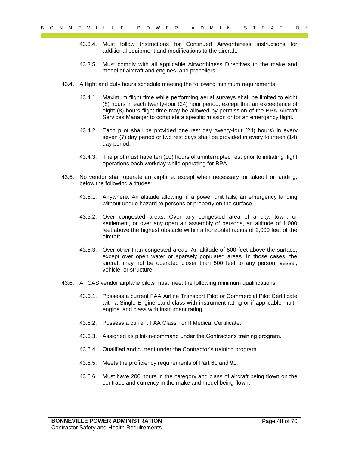- 43.3.4. Must follow Instructions for Continued Airworthiness instructions for additional equipment and modifications to the aircraft.
- 43.3.5. Must comply with all applicable Airworthiness Directives to the make and model of aircraft and engines, and propellers.
- 43.4. A flight and duty hours schedule meeting the following minimum requirements:
- 9 o N R E V I L L E P O W ER W ERIT O N<br>
43.3.4. Nagat dallow interactions for Contened American chief particular state and the set of the set of the set of the set of the set of the set of the set of the set of the set o 43.4.1. Maximum flight time while performing aerial surveys shall be limited to eight (8) hours in each twenty-four (24) hour period; except that an exceedance of eight (8) hours flight time may be allowed by permission of the BPA Aircraft Services Manager to complete a specific mission or for an emergency flight.
	- 43.4.2. Each pilot shall be provided one rest day twenty-four (24) hours) in every seven (7) day period or two rest days shall be provided in every fourteen (14) day period.
	- 43.4.3. The pilot must have ten (10) hours of uninterrupted rest prior to initiating flight operations each workday while operating for BPA.
	- 43.5. No vendor shall operate an airplane, except when necessary for takeoff or landing, below the following altitudes:
		- 43.5.1. Anywhere. An altitude allowing, if a power unit fails, an emergency landing without undue hazard to persons or property on the surface.
		- 43.5.2. Over congested areas. Over any congested area of a city, town, or settlement, or over any open air assembly of persons, an altitude of 1,000 feet above the highest obstacle within a horizontal radius of 2,000 feet of the aircraft.
		- 43.5.3. Over other than congested areas. An altitude of 500 feet above the surface, except over open water or sparsely populated areas. In those cases, the aircraft may not be operated closer than 500 feet to any person, vessel, vehicle, or structure.
	- 43.6. All CAS vendor airplane pilots must meet the following minimum qualifications:
		- 43.6.1. Possess a current FAA Airline Transport Pilot or Commercial Pilot Certificate with a Single-Engine Land class with instrument rating or if applicable multiengine land class with instrument rating..
		- 43.6.2. Possess a current FAA Class I or II Medical Certificate.
		- 43.6.3. Assigned as pilot-in-command under the Contractor's training program.
		- 43.6.4. Qualified and current under the Contractor's training program.
		- 43.6.5. Meets the proficiency requirements of Part 61 and 91.
		- 43.6.6. Must have 200 hours in the category and class of aircraft being flown on the contract, and currency in the make and model being flown.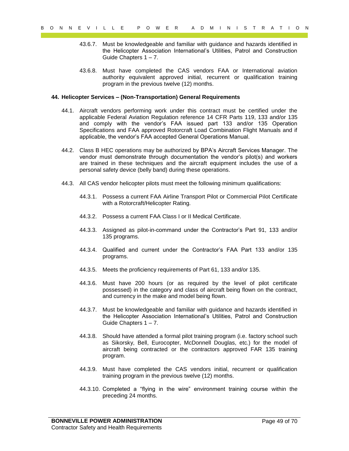- 43.6.7. Must be knowledgeable and familiar with guidance and hazards identified in the Helicopter Association International's Utilities, Patrol and Construction Guide Chapters 1 – 7.
- 43.6.8. Must have completed the CAS vendors FAA or International aviation authority equivalent approved initial, recurrent or qualification training program in the previous twelve (12) months.

#### <span id="page-48-0"></span>**44. Helicopter Services – (Non-Transportation) General Requirements**

- 9 of  $N = C \times 1 + C$  is  $T = P = Q \times P$  or  $R = 8$  or  $R = 8$  or  $R = 8$  or  $R = 8$  or  $R = 8$  or  $R = 8$  or  $R = 8$  or  $R = 8$  or  $R = 8$  or  $R = 8$  or  $R = 8$  or  $R = 8$  or  $R = 8$  or  $R = 8$  or  $R = 8$  or  $R = 8$  or  $R = 8$  or  $R = 8$  or  $R = 8$  44.1. Aircraft vendors performing work under this contract must be certified under the applicable Federal Aviation Regulation reference 14 CFR Parts 119, 133 and/or 135 and comply with the vendor's FAA issued part 133 and/or 135 Operation Specifications and FAA approved Rotorcraft Load Combination Flight Manuals and if applicable, the vendor's FAA accepted General Operations Manual.
	- 44.2. Class B HEC operations may be authorized by BPA's Aircraft Services Manager. The vendor must demonstrate through documentation the vendor's pilot(s) and workers are trained in these techniques and the aircraft equipment includes the use of a personal safety device (belly band) during these operations.
	- 44.3. All CAS vendor helicopter pilots must meet the following minimum qualifications:
		- 44.3.1. Possess a current FAA Airline Transport Pilot or Commercial Pilot Certificate with a Rotorcraft/Helicopter Rating.
		- 44.3.2. Possess a current FAA Class I or II Medical Certificate.
		- 44.3.3. Assigned as pilot-in-command under the Contractor's Part 91, 133 and/or 135 programs.
		- 44.3.4. Qualified and current under the Contractor's FAA Part 133 and/or 135 programs.
		- 44.3.5. Meets the proficiency requirements of Part 61, 133 and/or 135.
		- 44.3.6. Must have 200 hours (or as required by the level of pilot certificate possessed) in the category and class of aircraft being flown on the contract, and currency in the make and model being flown.
		- 44.3.7. Must be knowledgeable and familiar with guidance and hazards identified in the Helicopter Association International's Utilities, Patrol and Construction Guide Chapters 1 – 7.
		- 44.3.8. Should have attended a formal pilot training program (i.e. factory school such as Sikorsky, Bell, Eurocopter, McDonnell Douglas, etc.) for the model of aircraft being contracted or the contractors approved FAR 135 training program.
		- 44.3.9. Must have completed the CAS vendors initial, recurrent or qualification training program in the previous twelve (12) months.
		- 44.3.10. Completed a "flying in the wire" environment training course within the preceding 24 months.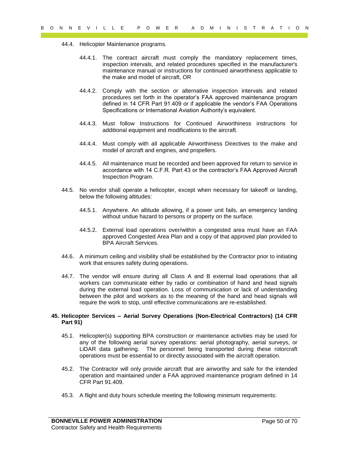- 44.4. Helicopter Maintenance programs.
	- 44.4.1. The contract aircraft must comply the mandatory replacement times, inspection intervals, and related procedures specified in the manufacturer's maintenance manual or instructions for continued airworthiness applicable to the make and model of aircraft, OR
	- 44.4.2. Comply with the section or alternative inspection intervals and related procedures set forth in the operator's FAA approved maintenance program defined in 14 CFR Part 91.409 or if applicable the vendor's FAA Operations Specifications or International Aviation Authority's equivalent.
	- 44.4.3. Must follow Instructions for Continued Airworthiness instructions for additional equipment and modifications to the aircraft.
	- 44.4.4. Must comply with all applicable Airworthiness Directives to the make and model of aircraft and engines, and propellers.
	- 44.4.5. All maintenance must be recorded and been approved for return to service in accordance with 14 C.F.R. Part 43 or the contractor's FAA Approved Aircraft Inspection Program.
- 44.5. No vendor shall operate a helicopter, except when necessary for takeoff or landing, below the following altitudes:
	- 44.5.1. Anywhere. An altitude allowing, if a power unit fails, an emergency landing without undue hazard to persons or property on the surface.
	- 44.5.2. External load operations over/within a congested area must have an FAA approved Congested Area Plan and a copy of that approved plan provided to BPA Aircraft Services.
- 44.6. A minimum ceiling and visibility shall be established by the Contractor prior to initiating work that ensures safety during operations.
- Payer TV Term in the control of the matter of the matter of the state of the state of the state of the matter of the matter of the matter of the matter of the matter of the matter of the matter of the matter of the matte 44.7. The vendor will ensure during all Class A and B external load operations that all workers can communicate either by radio or combination of hand and head signals during the external load operation. Loss of communication or lack of understanding between the pilot and workers as to the meaning of the hand and head signals will require the work to stop, until effective communications are re-established.

#### <span id="page-49-0"></span>**45. Helicopter Services – Aerial Survey Operations (Non-Electrical Contractors) (14 CFR Part 91)**

- 45.1. Helicopter(s) supporting BPA construction or maintenance activities may be used for any of the following aerial survey operations: aerial photography, aerial surveys, or LiDAR data gathering. The personnel being transported during these rotorcraft operations must be essential to or directly associated with the aircraft operation.
- 45.2. The Contractor will only provide aircraft that are airworthy and safe for the intended operation and maintained under a FAA approved maintenance program defined in 14 CFR Part 91.409.
- 45.3. A flight and duty hours schedule meeting the following minimum requirements: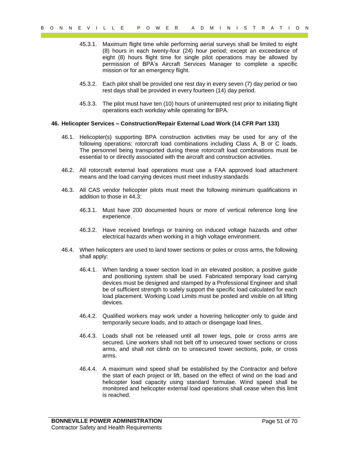- 45.3.1. Maximum flight time while performing aerial surveys shall be limited to eight (8) hours in each twenty-four (24) hour period; except an exceedance of eight (8) hours flight time for single pilot operations may be allowed by permission of BPA's Aircraft Services Manager to complete a specific mission or for an emergency flight.
- 45.3.2. Each pilot shall be provided one rest day in every seven (7) day period or two rest days shall be provided in every fourteen (14) day period.
- 45.3.3. The pilot must have ten (10) hours of uninterrupted rest prior to initiating flight operations each workday while operating for BPA.

#### <span id="page-50-0"></span>**46. Helicopter Services – Construction/Repair External Load Work (14 CFR Part 133)**

- 46.1. Helicopter(s) supporting BPA construction activities may be used for any of the following operations: rotorcraft load combinations including Class A, B or C loads. The personnel being transported during these rotorcraft load combinations must be essential to or directly associated with the aircraft and construction activities.
- 46.2. All rotorcraft external load operations must use a FAA approved load attachment means and the load carrying devices must meet industry standards
- 46.3. All CAS vendor helicopter pilots must meet the following minimum qualifications in addition to those in 44.3:
	- 46.3.1. Must have 200 documented hours or more of vertical reference long line experience.
	- 46.3.2. Have received briefings or training on induced voltage hazards and other electrical hazards when working in a high voltage environment.
- 46.4. When helicopters are used to land tower sections or poles or cross arms, the following shall apply:
- 9 of  $R = V + 1$  L L E P O W E R A T D O M<br>
46.3.1. Maximum fight time which participate is a mean of the fight of 7 in A T 1 of 8 A T M I A C M I NEW I C ( $R = V + 1$  or  $\frac{1}{2}$  and  $\frac{1}{2}$  and  $\frac{1}{2}$  and  $\frac{1}{2}$  and 46.4.1. When landing a tower section load in an elevated position, a positive guide and positioning system shall be used. Fabricated temporary load carrying devices must be designed and stamped by a Professional Engineer and shall be of sufficient strength to safely support the specific load calculated for each load placement. Working Load Limits must be posted and visible on all lifting devices.
	- 46.4.2. Qualified workers may work under a hovering helicopter only to guide and temporarily secure loads, and to attach or disengage load lines.
	- 46.4.3. Loads shall not be released until all tower legs, pole or cross arms are secured. Line workers shall not belt off to unsecured tower sections or cross arms, and shall not climb on to unsecured tower sections, pole, or cross arms.
	- 46.4.4. A maximum wind speed shall be established by the Contractor and before the start of each project or lift, based on the effect of wind on the load and helicopter load capacity using standard formulae. Wind speed shall be monitored and helicopter external load operations shall cease when this limit is reached.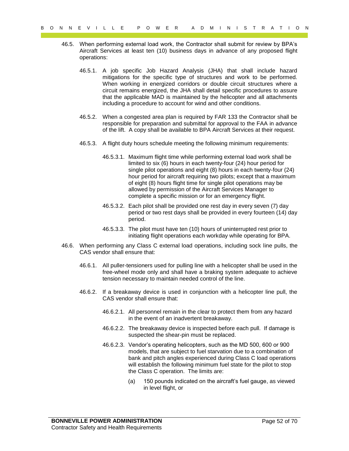- 46.5. When performing external load work, the Contractor shall submit for review by BPA's Aircraft Services at least ten (10) business days in advance of any proposed flight operations:
	- 46.5.1. A job specific Job Hazard Analysis (JHA) that shall include hazard mitigations for the specific type of structures and work to be performed. When working in energized corridors or double circuit structures where a circuit remains energized, the JHA shall detail specific procedures to assure that the applicable MAD is maintained by the helicopter and all attachments including a procedure to account for wind and other conditions.
	- 46.5.2. When a congested area plan is required by FAR 133 the Contractor shall be responsible for preparation and submittal for approval to the FAA in advance of the lift. A copy shall be available to BPA Aircraft Services at their request.
	- 46.5.3. A flight duty hours schedule meeting the following minimum requirements:
- 9 of  $Y = C + T = P$  of  $P = R + T + T$  of  $P = R + T$ <br>
46.5. When performing notes that is the original state of the energy of the state of the energy of the energy of the energy of the energy of the energy of the energy of the energy o 46.5.3.1. Maximum flight time while performing external load work shall be limited to six (6) hours in each twenty-four (24) hour period for single pilot operations and eight (8) hours in each twenty-four (24) hour period for aircraft requiring two pilots; except that a maximum of eight (8) hours flight time for single pilot operations may be allowed by permission of the Aircraft Services Manager to complete a specific mission or for an emergency flight.
	- 46.5.3.2. Each pilot shall be provided one rest day in every seven (7) day period or two rest days shall be provided in every fourteen (14) day period.
	- 46.5.3.3. The pilot must have ten (10) hours of uninterrupted rest prior to initiating flight operations each workday while operating for BPA.
	- 46.6. When performing any Class C external load operations, including sock line pulls, the CAS vendor shall ensure that:
		- 46.6.1. All puller-tensioners used for pulling line with a helicopter shall be used in the free-wheel mode only and shall have a braking system adequate to achieve tension necessary to maintain needed control of the line.
		- 46.6.2. If a breakaway device is used in conjunction with a helicopter line pull, the CAS vendor shall ensure that:
			- 46.6.2.1. All personnel remain in the clear to protect them from any hazard in the event of an inadvertent breakaway.
			- 46.6.2.2. The breakaway device is inspected before each pull. If damage is suspected the shear-pin must be replaced.
			- 46.6.2.3. Vendor's operating helicopters, such as the MD 500, 600 or 900 models, that are subject to fuel starvation due to a combination of bank and pitch angles experienced during Class C load operations will establish the following minimum fuel state for the pilot to stop the Class C operation. The limits are:
				- (a) 150 pounds indicated on the aircraft's fuel gauge, as viewed in level flight, or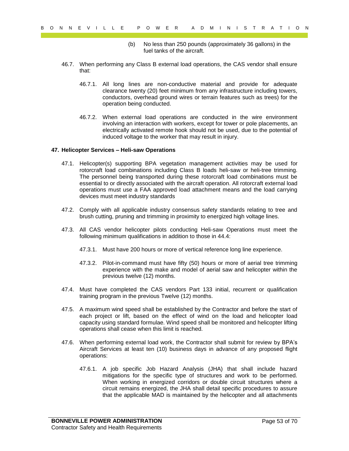- (b) No less than 250 pounds (approximately 36 gallons) in the fuel tanks of the aircraft.
- 46.7. When performing any Class B external load operations, the CAS vendor shall ensure that:
	- 46.7.1. All long lines are non-conductive material and provide for adequate clearance twenty (20) feet minimum from any infrastructure including towers, conductors, overhead ground wires or terrain features such as trees) for the operation being conducted.
	- 46.7.2. When external load operations are conducted in the wire environment involving an interaction with workers, except for tower or pole placements, an electrically activated remote hook should not be used, due to the potential of induced voltage to the worker that may result in injury.

#### <span id="page-52-0"></span>**47. Helicopter Services – Heli-saw Operations**

- Payer Controlled the Controlled the Controlled the Controlled the Controlled the Controlled the Controlled the Controlled the Controlled the Controlled the Controlled the Controlled the Controlled the Controlled the Contr 47.1. Helicopter(s) supporting BPA vegetation management activities may be used for rotorcraft load combinations including Class B loads heli-saw or heli-tree trimming. The personnel being transported during these rotorcraft load combinations must be essential to or directly associated with the aircraft operation. All rotorcraft external load operations must use a FAA approved load attachment means and the load carrying devices must meet industry standards
	- 47.2. Comply with all applicable industry consensus safety standards relating to tree and brush cutting, pruning and trimming in proximity to energized high voltage lines.
	- 47.3. All CAS vendor helicopter pilots conducting Heli-saw Operations must meet the following minimum qualifications in addition to those in 44.4:
		- 47.3.1. Must have 200 hours or more of vertical reference long line experience.
		- 47.3.2. Pilot-in-command must have fifty (50) hours or more of aerial tree trimming experience with the make and model of aerial saw and helicopter within the previous twelve (12) months.
	- 47.4. Must have completed the CAS vendors Part 133 initial, recurrent or qualification training program in the previous Twelve (12) months.
	- 47.5. A maximum wind speed shall be established by the Contractor and before the start of each project or lift, based on the effect of wind on the load and helicopter load capacity using standard formulae. Wind speed shall be monitored and helicopter lifting operations shall cease when this limit is reached.
	- 47.6. When performing external load work, the Contractor shall submit for review by BPA's Aircraft Services at least ten (10) business days in advance of any proposed flight operations:
		- 47.6.1. A job specific Job Hazard Analysis (JHA) that shall include hazard mitigations for the specific type of structures and work to be performed. When working in energized corridors or double circuit structures where a circuit remains energized, the JHA shall detail specific procedures to assure that the applicable MAD is maintained by the helicopter and all attachments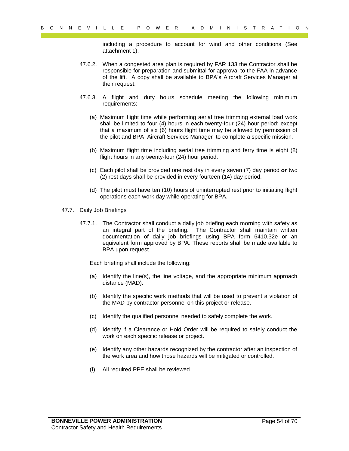including a procedure to account for wind and other conditions (See attachment 1).

- 47.6.2. When a congested area plan is required by FAR 133 the Contractor shall be responsible for preparation and submittal for approval to the FAA in advance of the lift. A copy shall be available to BPA's Aircraft Services Manager at their request.
- 47.6.3. A flight and duty hours schedule meeting the following minimum requirements:
	- (a) Maximum flight time while performing aerial tree trimming external load work shall be limited to four (4) hours in each twenty-four (24) hour period; except that a maximum of six (6) hours flight time may be allowed by permission of the pilot and BPA Aircraft Services Manager to complete a specific mission.
	- (b) Maximum flight time including aerial tree trimming and ferry time is eight (8) flight hours in any twenty-four (24) hour period.
	- (c) Each pilot shall be provided one rest day in every seven (7) day period *or* two (2) rest days shall be provided in every fourteen (14) day period.
	- (d) The pilot must have ten (10) hours of uninterrupted rest prior to initiating flight operations each work day while operating for BPA.
- 47.7. Daily Job Briefings
- Payer Little Transformation is a consent of wind and other conditions (See allowing a procedure to account for wind and other conditions (See allowing consent during the qualitative of a pair of the second of the payer of 47.7.1. The Contractor shall conduct a daily job briefing each morning with safety as an integral part of the briefing. The Contractor shall maintain written documentation of daily job briefings using BPA form 6410.32e or an equivalent form approved by BPA. These reports shall be made available to BPA upon request.

Each briefing shall include the following:

- (a) Identify the line(s), the line voltage, and the appropriate minimum approach distance (MAD).
- (b) Identify the specific work methods that will be used to prevent a violation of the MAD by contractor personnel on this project or release.
- (c) Identify the qualified personnel needed to safely complete the work.
- (d) Identify if a Clearance or Hold Order will be required to safely conduct the work on each specific release or project.
- (e) Identify any other hazards recognized by the contractor after an inspection of the work area and how those hazards will be mitigated or controlled.
- (f) All required PPE shall be reviewed.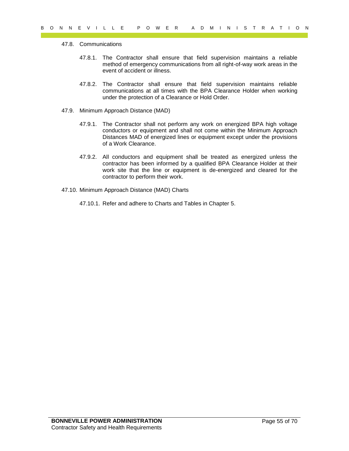#### 47.8. Communications

- 47.8.1. The Contractor shall ensure that field supervision maintains a reliable method of emergency communications from all right-of-way work areas in the event of accident or illness.
- 47.8.2. The Contractor shall ensure that field supervision maintains reliable communications at all times with the BPA Clearance Holder when working under the protection of a Clearance or Hold Order.
- 47.9. Minimum Approach Distance (MAD)
	- 47.9.1. The Contractor shall not perform any work on energized BPA high voltage conductors or equipment and shall not come within the Minimum Approach Distances MAD of energized lines or equipment except under the provisions of a Work Clearance.
- 9 of  $R = V + L + L = P = P$ <br>
47.8. Communications<br>
47.8. Channel of energiescle communications can be did supervision maintains a reliable<br>
47.8.1. The Contractor shall ensure that finds supervision maintains a reliable<br>
method of 47.9.2. All conductors and equipment shall be treated as energized unless the contractor has been informed by a qualified BPA Clearance Holder at their work site that the line or equipment is de-energized and cleared for the contractor to perform their work.
	- 47.10. Minimum Approach Distance (MAD) Charts
		- 47.10.1. Refer and adhere to Charts and Tables in Chapter 5.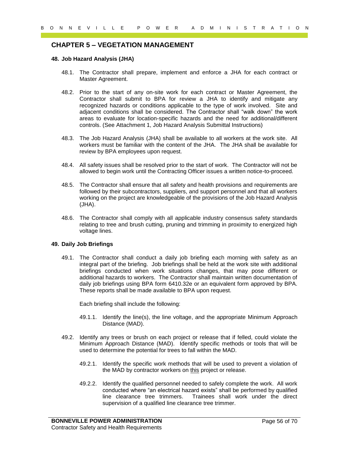# <span id="page-55-0"></span>**CHAPTER 5 – VEGETATION MANAGEMENT**

#### <span id="page-55-1"></span>**48. Job Hazard Analysis (JHA)**

- 48.1. The Contractor shall prepare, implement and enforce a JHA for each contract or Master Agreement.
- 0 N N E V I L L E P O W E R A D M I N I S T R A T I O N<br>
CHAPTER 5 VEGET ATION MANAGEMENT<br>
4.8. John Management and amplication and amplication and amplitude to the state of the state of the state of the state of the st 48.2. Prior to the start of any on-site work for each contract or Master Agreement, the Contractor shall submit to BPA for review a JHA to identify and mitigate any recognized hazards or conditions applicable to the type of work involved. Site and adjacent conditions shall be considered. The Contractor shall "walk down" the work areas to evaluate for location-specific hazards and the need for additional/different controls. (See Attachment 1, Job Hazard Analysis Submittal Instructions)
	- 48.3. The Job Hazard Analysis (JHA) shall be available to all workers at the work site. All workers must be familiar with the content of the JHA. The JHA shall be available for review by BPA employees upon request.
	- 48.4. All safety issues shall be resolved prior to the start of work. The Contractor will not be allowed to begin work until the Contracting Officer issues a written notice-to-proceed.
	- 48.5. The Contractor shall ensure that all safety and health provisions and requirements are followed by their subcontractors, suppliers, and support personnel and that all workers working on the project are knowledgeable of the provisions of the Job Hazard Analysis (JHA).
	- 48.6. The Contractor shall comply with all applicable industry consensus safety standards relating to tree and brush cutting, pruning and trimming in proximity to energized high voltage lines.

#### <span id="page-55-2"></span>**49. Daily Job Briefings**

49.1. The Contractor shall conduct a daily job briefing each morning with safety as an integral part of the briefing. Job briefings shall be held at the work site with additional briefings conducted when work situations changes, that may pose different or additional hazards to workers. The Contractor shall maintain written documentation of daily job briefings using BPA form 6410.32e or an equivalent form approved by BPA. These reports shall be made available to BPA upon request.

Each briefing shall include the following:

- 49.1.1. Identify the line(s), the line voltage, and the appropriate Minimum Approach Distance (MAD).
- 49.2. Identify any trees or brush on each project or release that if felled, could violate the Minimum Approach Distance (MAD). Identify specific methods or tools that will be used to determine the potential for trees to fall within the MAD.
	- 49.2.1. Identify the specific work methods that will be used to prevent a violation of the MAD by contractor workers on this project or release.
	- 49.2.2. Identify the qualified personnel needed to safely complete the work. All work conducted where "an electrical hazard exists" shall be performed by qualified line clearance tree trimmers. Trainees shall work under the direct supervision of a qualified line clearance tree trimmer.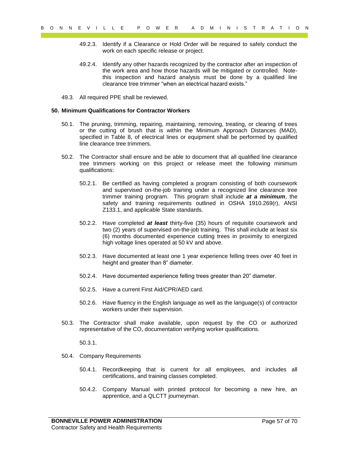- 49.2.3. Identify if a Clearance or Hold Order will be required to safely conduct the work on each specific release or project.
- 49.2.4. Identify any other hazards recognized by the contractor after an inspection of the work area and how those hazards will be mitigated or controlled. Notethis inspection and hazard analysis must be done by a qualified line clearance tree trimmer "when an electrical hazard exists."
- 49.3. All required PPE shall be reviewed.

#### <span id="page-56-0"></span>**50. Minimum Qualifications for Contractor Workers**

- 50.1. The pruning, trimming, repairing, maintaining, removing, treating, or clearing of trees or the cutting of brush that is within the Minimum Approach Distances (MAD), specified in Table 8, of electrical lines or equipment shall be performed by qualified line clearance tree trimmers.
- 50.2. The Contractor shall ensure and be able to document that all qualified line clearance tree trimmers working on this project or release meet the following minimum qualifications:
- 9 o N R E V I L L E P O W R E W I R O N R E W I R O N R E R A T I O N<br>
49.2.3. Identify as Clussence or Hold Order will be required to stately conduct the<br>
49.2.4. Using the magnetic relevants recognized by the required t 50.2.1. Be certified as having completed a program consisting of both coursework and supervised on-the-job training under a recognized line clearance tree trimmer training program. This program shall include *at a minimum*, the safety and training requirements outlined in OSHA 1910.269(r), ANSI Z133.1, and applicable State standards.
	- 50.2.2. Have completed *at least* thirty-five (35) hours of requisite coursework and two (2) years of supervised on-the-job training. This shall include at least six (6) months documented experience cutting trees in proximity to energized high voltage lines operated at 50 kV and above.
	- 50.2.3. Have documented at least one 1 year experience felling trees over 40 feet in height and greater than 8" diameter.
	- 50.2.4. Have documented experience felling trees greater than 20" diameter.
	- 50.2.5. Have a current First Aid/CPR/AED card.
	- 50.2.6. Have fluency in the English language as well as the language(s) of contractor workers under their supervision.
	- 50.3. The Contractor shall make available, upon request by the CO or authorized representative of the CO, documentation verifying worker qualifications.

50.3.1.

- <span id="page-56-1"></span>50.4. Company Requirements
	- 50.4.1. Recordkeeping that is current for all employees, and includes all certifications, and training classes completed.
	- 50.4.2. Company Manual with printed protocol for becoming a new hire, an apprentice, and a QLCTT journeyman.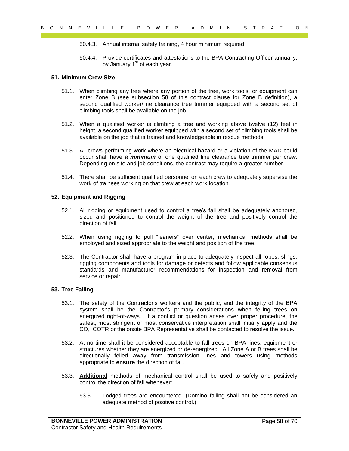- 50.4.3. Annual internal safety training, 4 hour minimum required
- 50.4.4. Provide certificates and attestations to the BPA Contracting Officer annually, by January  $1<sup>st</sup>$  of each year.

#### **51. Minimum Crew Size**

- 51.1. When climbing any tree where any portion of the tree, work tools, or equipment can enter Zone B (see subsection 58 of this contract clause for Zone B definition), a second qualified worker/line clearance tree trimmer equipped with a second set of climbing tools shall be available on the job.
- 51.2. When a qualified worker is climbing a tree and working above twelve (12) feet in height, a second qualified worker equipped with a second set of climbing tools shall be available on the job that is trained and knowledgeable in rescue methods.
- 51.3. All crews performing work where an electrical hazard or a violation of the MAD could occur shall have *a minimum* of one qualified line clearance tree trimmer per crew. Depending on site and job conditions, the contract may require a greater number.
- 51.4. There shall be sufficient qualified personnel on each crew to adequately supervise the work of trainees working on that crew at each work location.

#### <span id="page-57-0"></span>**52. Equipment and Rigging**

- 52.1. All rigging or equipment used to control a tree's fall shall be adequately anchored, sized and positioned to control the weight of the tree and positively control the direction of fall.
- 52.2. When using rigging to pull "leaners" over center, mechanical methods shall be employed and sized appropriate to the weight and position of the tree.
- 52.3. The Contractor shall have a program in place to adequately inspect all ropes, slings, rigging components and tools for damage or defects and follow applicable consensus standards and manufacturer recommendations for inspection and removal from service or repair.

#### <span id="page-57-1"></span>**53. Tree Falling**

- 9 of  $R = V + L L L = P = P = Q = Q$ <br>
9 of 2 R A Diminstration and the transmission of the BPA contracting Officer simulally.<br>
9 of 3. A Diminstration and interaction to the BPA Contracting Officer simulally.<br>
15. Minimum Cowe Size a g 53.1. The safety of the Contractor's workers and the public, and the integrity of the BPA system shall be the Contractor's primary considerations when felling trees on energized right-of-ways. If a conflict or question arises over proper procedure, the safest, most stringent or most conservative interpretation shall initially apply and the CO, COTR or the onsite BPA Representative shall be contacted to resolve the issue.
	- 53.2. At no time shall it be considered acceptable to fall trees on BPA lines, equipment or structures whether they are energized or de-energized. All Zone A or B trees shall be directionally felled away from transmission lines and towers using methods appropriate to **ensure** the direction of fall.
	- 53.3. **Additional** methods of mechanical control shall be used to safely and positively control the direction of fall whenever:
		- 53.3.1. Lodged trees are encountered. (Domino falling shall not be considered an adequate method of positive control.)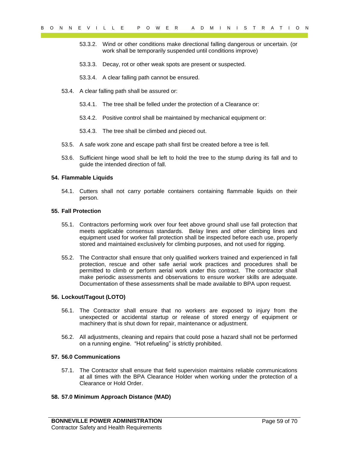- 53.3.2. Wind or other conditions make directional falling dangerous or uncertain. (or work shall be temporarily suspended until conditions improve)
- 53.3.3. Decay, rot or other weak spots are present or suspected.
- 53.3.4. A clear falling path cannot be ensured.
- 53.4. A clear falling path shall be assured or:
	- 53.4.1. The tree shall be felled under the protection of a Clearance or:
	- 53.4.2. Positive control shall be maintained by mechanical equipment or:
	- 53.4.3. The tree shall be climbed and pieced out.
- 53.5. A safe work zone and escape path shall first be created before a tree is fell.
- 53.6. Sufficient hinge wood shall be left to hold the tree to the stump during its fall and to guide the intended direction of fall.

#### <span id="page-58-0"></span>**54. Flammable Liquids**

54.1. Cutters shall not carry portable containers containing flammable liquids on their person.

#### <span id="page-58-1"></span>**55. Fall Protection**

- 55.1. Contractors performing work over four feet above ground shall use fall protection that meets applicable consensus standards. Belay lines and other climbing lines and equipment used for worker fall protection shall be inspected before each use, properly stored and maintained exclusively for climbing purposes, and not used for rigging.
- 9 of  $Y = L + L = P$  of  $P = R$  or  $R = 80$  M in  $R = 8$  or  $R = 80$ <br>
93.3.2. Wrich contains the simulation all interaction and the simulation are proposed or the simulation and the simulation and the simulation and the simulation a 55.2. The Contractor shall ensure that only qualified workers trained and experienced in fall protection, rescue and other safe aerial work practices and procedures shall be permitted to climb or perform aerial work under this contract. The contractor shall make periodic assessments and observations to ensure worker skills are adequate. Documentation of these assessments shall be made available to BPA upon request.

#### <span id="page-58-2"></span>**56. Lockout/Tagout (LOTO)**

- 56.1. The Contractor shall ensure that no workers are exposed to injury from the unexpected or accidental startup or release of stored energy of equipment or machinery that is shut down for repair, maintenance or adjustment.
- 56.2. All adjustments, cleaning and repairs that could pose a hazard shall not be performed on a running engine. "Hot refueling" is strictly prohibited.

#### <span id="page-58-3"></span>**57. 56.0 Communications**

57.1. The Contractor shall ensure that field supervision maintains reliable communications at all times with the BPA Clearance Holder when working under the protection of a Clearance or Hold Order.

#### <span id="page-58-4"></span>**58. 57.0 Minimum Approach Distance (MAD)**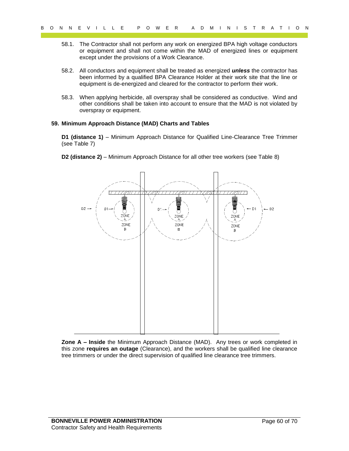- 58.1. The Contractor shall not perform any work on energized BPA high voltage conductors or equipment and shall not come within the MAD of energized lines or equipment except under the provisions of a Work Clearance.
- 58.2. All conductors and equipment shall be treated as energized *unless* the contractor has been informed by a qualified BPA Clearance Holder at their work site that the line or equipment is de-energized and cleared for the contractor to perform their work.
- 58.3. When applying herbicide, all overspray shall be considered as conductive. Wind and other conditions shall be taken into account to ensure that the MAD is not violated by overspray or equipment.

#### <span id="page-59-0"></span>**59. Minimum Approach Distance (MAD) Charts and Tables**

**D1 (distance 1)** – Minimum Approach Distance for Qualified Line-Clearance Tree Trimmer (see Table 7)

**D2 (distance 2)** – Minimum Approach Distance for all other tree workers (see Table 8)



**Zone A – Inside** the Minimum Approach Distance (MAD). Any trees or work completed in this zone **requires an outage** (Clearance), and the workers shall be qualified line clearance tree trimmers or under the direct supervision of qualified line clearance tree trimmers.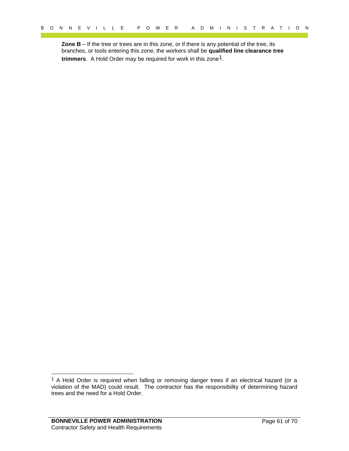**Zone B** – If the tree or trees are in this zone, or if there is any potential of the tree, its branches, or tools entering this zone, the workers shall be **qualified line clearance tree trimmers**. A Hold Order may be required for work in this zone1.

l

Payer 1. The TV II LET F PAYER and the content of 70 M II N 1 3 T R A T I O N N N E V I LET THE VEH ONE OF THE CONTENT OF THE CONTENT OF THE CONTENT OF THE CONTENT OF THE CONTENT OF THE CONTENT OF THE CONTENT OF THE CONTE <sup>1</sup> A Hold Order is required when falling or removing danger trees if an electrical hazard (or a violation of the MAD) could result. The contractor has the responsibility of determining hazard trees and the need for a Hold Order.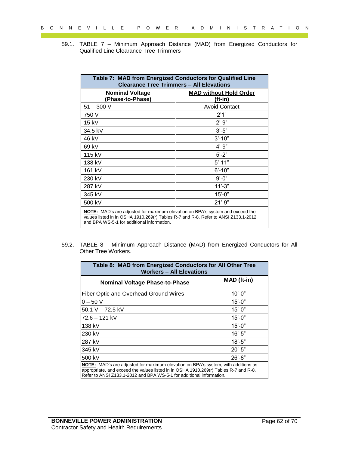|       | Table 7: MAD from Energized Conductors for Qualified Line                                                                                                                                                                                                                                               |                                 |                                   |  |
|-------|---------------------------------------------------------------------------------------------------------------------------------------------------------------------------------------------------------------------------------------------------------------------------------------------------------|---------------------------------|-----------------------------------|--|
|       | <b>Clearance Tree Trimmers - All Elevations</b><br><b>Nominal Voltage</b>                                                                                                                                                                                                                               |                                 | <b>MAD without Hold Order</b>     |  |
|       | (Phase-to-Phase)<br>$51 - 300$ V                                                                                                                                                                                                                                                                        |                                 | $(ft-in)$<br><b>Avoid Contact</b> |  |
|       | 750 V                                                                                                                                                                                                                                                                                                   |                                 | 2'1''                             |  |
|       | 15 kV                                                                                                                                                                                                                                                                                                   |                                 | $2' - 9''$                        |  |
|       | 34.5 kV                                                                                                                                                                                                                                                                                                 |                                 | $3'-5"$                           |  |
|       | 46 kV                                                                                                                                                                                                                                                                                                   |                                 | $3' - 10"$                        |  |
|       | 69 kV                                                                                                                                                                                                                                                                                                   |                                 | $4' - 9''$                        |  |
|       | 115 kV                                                                                                                                                                                                                                                                                                  |                                 | $5' - 2"$                         |  |
|       | 138 kV                                                                                                                                                                                                                                                                                                  |                                 | $5' - 11"$                        |  |
|       | 161 kV                                                                                                                                                                                                                                                                                                  |                                 | $6' - 10"$                        |  |
|       | 230 kV                                                                                                                                                                                                                                                                                                  |                                 | $9' - 0''$                        |  |
|       | 287 kV                                                                                                                                                                                                                                                                                                  |                                 | $11'-3"$                          |  |
|       | 345 kV                                                                                                                                                                                                                                                                                                  |                                 | $15' - 0''$                       |  |
|       | 500 kV                                                                                                                                                                                                                                                                                                  |                                 | $21' - 9"$                        |  |
| 59.2. | <b>NOTE:</b> MAD's are adjusted for maximum elevation on BPA's system and exceed the<br>values listed in in OSHA 1910.269(r) Tables R-7 and R-8. Refer to ANSI Z133.1-2012<br>and BPA WS-5-1 for additional information.<br>TABLE 8 - Minimum Approach Distance (MAD) from Energized Conductors for All |                                 |                                   |  |
|       | Other Tree Workers.<br>Table 8: MAD from Energized Conductors for All Other Tree                                                                                                                                                                                                                        |                                 |                                   |  |
|       |                                                                                                                                                                                                                                                                                                         | <b>Workers - All Elevations</b> |                                   |  |
|       | <b>Nominal Voltage Phase-to-Phase</b>                                                                                                                                                                                                                                                                   |                                 | MAD (ft-in)                       |  |
|       | Fiber Optic and Overhead Ground Wires                                                                                                                                                                                                                                                                   |                                 | $10'-0$ "                         |  |
|       | $0 - 50 V$                                                                                                                                                                                                                                                                                              |                                 | $15' - 0''$                       |  |
|       | 50.1 V - 72.5 kV                                                                                                                                                                                                                                                                                        |                                 | $15' - 0''$                       |  |
|       | 72.6 - 121 kV                                                                                                                                                                                                                                                                                           |                                 | $15' - 0''$                       |  |
|       | 138 kV                                                                                                                                                                                                                                                                                                  |                                 | $15' - 0''$                       |  |
|       | 230 kV                                                                                                                                                                                                                                                                                                  |                                 | $16' - 5"$                        |  |
|       | 287 kV                                                                                                                                                                                                                                                                                                  |                                 | $18 - 5"$                         |  |
|       | 345 kV                                                                                                                                                                                                                                                                                                  |                                 | $20' - 5"$                        |  |
|       | 500 kV<br>NOTE: MAD's are adjusted for maximum elevation on BPA's system, with additions as                                                                                                                                                                                                             |                                 | $26' - 8"$                        |  |

| Table 8: MAD from Energized Conductors for All Other Tree<br><b>Workers - All Elevations</b>                                                                                                                                                      |             |  |  |  |
|---------------------------------------------------------------------------------------------------------------------------------------------------------------------------------------------------------------------------------------------------|-------------|--|--|--|
| <b>Nominal Voltage Phase-to-Phase</b>                                                                                                                                                                                                             | MAD (ft-in) |  |  |  |
| Fiber Optic and Overhead Ground Wires                                                                                                                                                                                                             | $10' - 0''$ |  |  |  |
| $0 - 50 V$                                                                                                                                                                                                                                        | $15' - 0''$ |  |  |  |
| 50.1 V - 72.5 kV                                                                                                                                                                                                                                  | $15' - 0''$ |  |  |  |
| 72.6 – 121 kV                                                                                                                                                                                                                                     | $15' - 0''$ |  |  |  |
| 138 kV                                                                                                                                                                                                                                            | $15' - 0''$ |  |  |  |
| 230 kV                                                                                                                                                                                                                                            | $16' - 5"$  |  |  |  |
| 287 kV                                                                                                                                                                                                                                            | $18 - 5"$   |  |  |  |
| 345 kV                                                                                                                                                                                                                                            | $20' - 5"$  |  |  |  |
| 500 kV                                                                                                                                                                                                                                            | $26' - 8"$  |  |  |  |
| NOTE: MAD's are adjusted for maximum elevation on BPA's system, with additions as<br>appropriate, and exceed the values listed in in OSHA 1910.269(r) Tables R-7 and R-8.<br>Refer to ANSI Z133.1-2012 and BPA WS-5-1 for additional information. |             |  |  |  |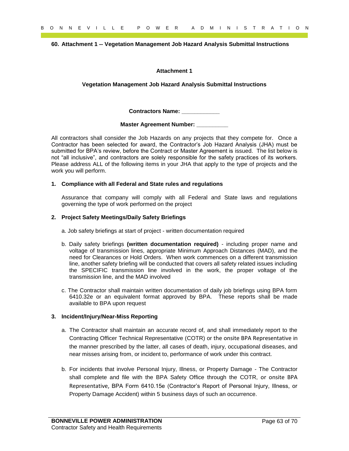#### <span id="page-62-0"></span>**60. Attachment 1 -- Vegetation Management Job Hazard Analysis Submittal Instructions**

#### **Attachment 1**

#### **Vegetation Management Job Hazard Analysis Submittal Instructions**

**Contractors Name: \_\_\_\_\_\_\_\_\_\_\_\_**

#### **Master Agreement Number: \_\_\_\_\_\_\_\_\_\_**

 $P = \frac{1}{2}$  of  $P = \frac{1}{2}$  of  $P = \frac{1}{2}$  of  $P = \frac{1}{2}$  of  $P = \frac{1}{2}$  of  $P = \frac{1}{2}$  of  $P = \frac{1}{2}$  of  $P = \frac{1}{2}$  of  $P = \frac{1}{2}$  of  $P = \frac{1}{2}$  of  $P = \frac{1}{2}$  of  $P = \frac{1}{2}$  of  $P = \frac{1}{2}$  of  $P = \frac{1}{2}$  of  $P = \frac{1}{2}$ All contractors shall consider the Job Hazards on any projects that they compete for. Once a Contractor has been selected for award, the Contractor's Job Hazard Analysis (JHA) must be submitted for BPA's review, before the Contract or Master Agreement is issued. The list below is not "all inclusive", and contractors are solely responsible for the safety practices of its workers. Please address ALL of the following items in your JHA that apply to the type of projects and the work you will perform.

#### **1. Compliance with all Federal and State rules and regulations**

Assurance that company will comply with all Federal and State laws and regulations governing the type of work performed on the project

#### **2. Project Safety Meetings/Daily Safety Briefings**

- a. Job safety briefings at start of project written documentation required
- b. Daily safety briefings **(written documentation required)** including proper name and voltage of transmission lines, appropriate Minimum Approach Distances (MAD), and the need for Clearances or Hold Orders. When work commences on a different transmission line, another safety briefing will be conducted that covers all safety related issues including the SPECIFIC transmission line involved in the work, the proper voltage of the transmission line, and the MAD involved
- c. The Contractor shall maintain written documentation of daily job briefings using BPA form 6410.32e or an equivalent format approved by BPA. These reports shall be made available to BPA upon request

#### **3. Incident/Injury/Near-Miss Reporting**

- a. The Contractor shall maintain an accurate record of, and shall immediately report to the Contracting Officer Technical Representative (COTR) or the onsite BPA Representative in the manner prescribed by the latter, all cases of death, injury, occupational diseases, and near misses arising from, or incident to, performance of work under this contract.
- b. For incidents that involve Personal Injury, Illness, or Property Damage The Contractor shall complete and file with the BPA Safety Office through the COTR, or onsite BPA Representative, BPA Form 6410.15e (Contractor's Report of Personal Injury, Illness, or Property Damage Accident) within 5 business days of such an occurrence.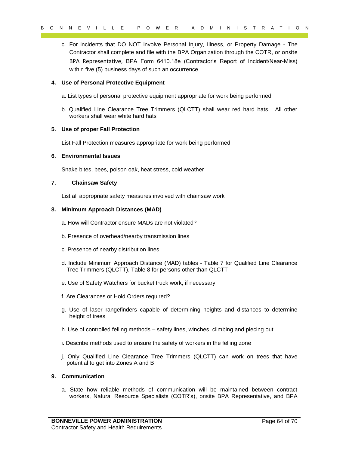9 of 18 C V I L L E P O W C R<br>
c. For includents and DOMD Treadys Persons Interpret in the contractor of the control of the control of the control of the control of the control of the control of the control of the control c. For incidents that DO NOT involve Personal Injury, Illness, or Property Damage - The Contractor shall complete and file with the BPA Organization through the COTR, or onsite BPA Representative, BPA Form 6410.18e (Contractor's Report of Incident/Near-Miss) within five (5) business days of such an occurrence

#### **4. Use of Personal Protective Equipment**

- a. List types of personal protective equipment appropriate for work being performed
- b. Qualified Line Clearance Tree Trimmers (QLCTT) shall wear red hard hats. All other workers shall wear white hard hats

#### **5. Use of proper Fall Protection**

List Fall Protection measures appropriate for work being performed

#### **6. Environmental Issues**

Snake bites, bees, poison oak, heat stress, cold weather

#### **7. Chainsaw Safety**

List all appropriate safety measures involved with chainsaw work

#### **8. Minimum Approach Distances (MAD)**

a. How will Contractor ensure MADs are not violated?

- b. Presence of overhead/nearby transmission lines
- c. Presence of nearby distribution lines
- d. Include Minimum Approach Distance (MAD) tables Table 7 for Qualified Line Clearance Tree Trimmers (QLCTT), Table 8 for persons other than QLCTT
- e. Use of Safety Watchers for bucket truck work, if necessary
- f. Are Clearances or Hold Orders required?
- g. Use of laser rangefinders capable of determining heights and distances to determine height of trees
- h. Use of controlled felling methods safety lines, winches, climbing and piecing out
- i. Describe methods used to ensure the safety of workers in the felling zone
- j. Only Qualified Line Clearance Tree Trimmers (QLCTT) can work on trees that have potential to get into Zones A and B

#### **9. Communication**

a. State how reliable methods of communication will be maintained between contract workers, Natural Resource Specialists (COTR's), onsite BPA Representative, and BPA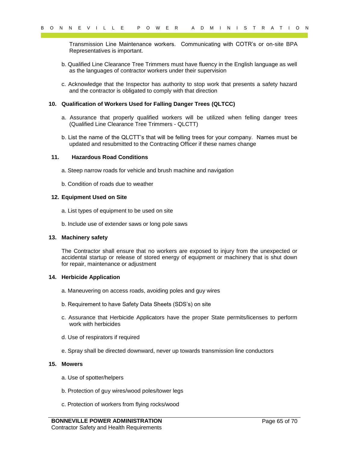Transmission Line Maintenance workers. Communicating with COTR's or on-site BPA Representatives is important.

- b. Qualified Line Clearance Tree Trimmers must have fluency in the English language as well as the languages of contractor workers under their supervision
- c. Acknowledge that the Inspector has authority to stop work that presents a safety hazard and the contractor is obligated to comply with that direction

#### **10. Qualification of Workers Used for Falling Danger Trees (QLTCC)**

- a. Assurance that properly qualified workers will be utilized when felling danger trees (Qualified Line Clearance Tree Trimmers - QLCTT)
- b. List the name of the QLCTT's that will be felling trees for your company. Names must be updated and resubmitted to the Contracting Officer if these names change

#### **11. Hazardous Road Conditions**

- a. Steep narrow roads for vehicle and brush machine and navigation
- b. Condition of roads due to weather

#### **12. Equipment Used on Site**

- a. List types of equipment to be used on site
- b. Include use of extender saws or long pole saws

#### **13. Machinery safety**

 $P = V + L L L = P = P = Q$ <br>
Transmission into Maintenance workers. Communicating with COTR's or on-site BPA<br>
Transmission into Bearance Tre Tramesa must that effectively into Beplies hanguage as well<br>
a. Dualified the Gestamon Tree The Contractor shall ensure that no workers are exposed to injury from the unexpected or accidental startup or release of stored energy of equipment or machinery that is shut down for repair, maintenance or adjustment

#### **14. Herbicide Application**

- a. Maneuvering on access roads, avoiding poles and guy wires
- b. Requirement to have Safety Data Sheets (SDS's) on site
- c. Assurance that Herbicide Applicators have the proper State permits/licenses to perform work with herbicides
- d. Use of respirators if required
- e. Spray shall be directed downward, never up towards transmission line conductors

#### **15. Mowers**

- a. Use of spotter/helpers
- b. Protection of guy wires/wood poles/tower legs
- c. Protection of workers from flying rocks/wood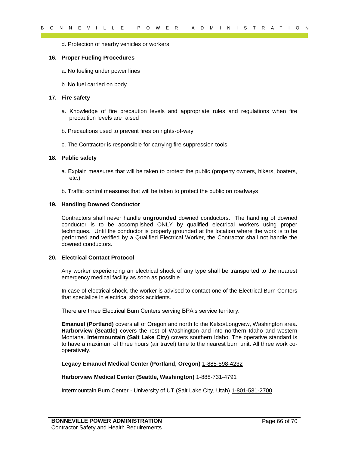d. Protection of nearby vehicles or workers

#### **16. Proper Fueling Procedures**

- a. No fueling under power lines
- b. No fuel carried on body

#### **17. Fire safety**

- a. Knowledge of fire precaution levels and appropriate rules and regulations when fire precaution levels are raised
- b. Precautions used to prevent fires on rights-of-way
- c. The Contractor is responsible for carrying fire suppression tools

#### **18. Public safety**

- a. Explain measures that will be taken to protect the public (property owners, hikers, boaters, etc.)
- b. Traffic control measures that will be taken to protect the public on roadways

#### **19. Handling Downed Conductor**

8 o N N E V I L L E P O W E R A D M I N I S T R A T I O N<br>
d. Proper Fusiling Procedures<br>
in A Point Control and by vehicle of vecking<br>
a Not fusiling the recentres<br>
b. No fusiling the recentres<br>
b. No fusiling the recent Contractors shall never handle **ungrounded** downed conductors. The handling of downed conductor is to be accomplished ONLY by qualified electrical workers using proper techniques. Until the conductor is properly grounded at the location where the work is to be performed and verified by a Qualified Electrical Worker, the Contractor shall not handle the downed conductors.

#### **20. Electrical Contact Protocol**

Any worker experiencing an electrical shock of any type shall be transported to the nearest emergency medical facility as soon as possible.

In case of electrical shock, the worker is advised to contact one of the Electrical Burn Centers that specialize in electrical shock accidents.

There are three Electrical Burn Centers serving BPA's service territory.

**Emanuel (Portland)** covers all of Oregon and north to the Kelso/Longview, Washington area. **Harborview (Seattle)** covers the rest of Washington and into northern Idaho and western Montana. **Intermountain (Salt Lake City)** covers southern Idaho. The operative standard is to have a maximum of three hours (air travel) time to the nearest burn unit. All three work cooperatively.

#### **Legacy Emanuel Medical Center (Portland, Oregon)** 1-888-598-4232

#### **Harborview Medical Center (Seattle, Washington)** 1-888-731-4791

Intermountain Burn Center - University of UT (Salt Lake City, Utah) 1-801-581-2700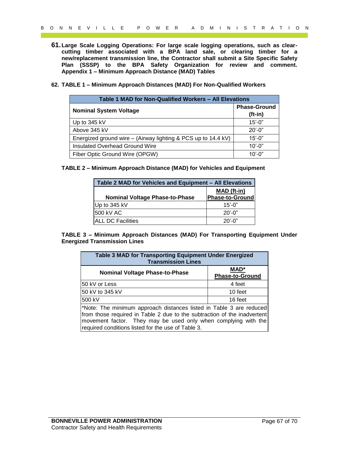- **61.Large Scale Logging Operations: For large scale logging operations, such as clearcutting timber associated with a BPA land sale, or clearing timber for a new/replacement transmission line, the Contractor shall submit a Site Specific Safety Plan (SSSP) to the BPA Safety Organization for review and comment. Appendix 1 – Minimum Approach Distance (MAD) Tables**
- <span id="page-66-1"></span><span id="page-66-0"></span>**62. TABLE 1 – Minimum Approach Distances (MAD) For Non-Qualified Workers**

| Table 1 MAD for Non-Qualified Workers - All Elevations        |                                  |  |  |  |
|---------------------------------------------------------------|----------------------------------|--|--|--|
| <b>Nominal System Voltage</b>                                 | <b>Phase-Ground</b><br>$(ft-in)$ |  |  |  |
| Up to $345$ kV                                                | $15' - 0''$                      |  |  |  |
| Above 345 kV                                                  | $20' - 0''$                      |  |  |  |
| Energized ground wire – (Airway lighting & PCS up to 14.4 kV) | $15' - 0''$                      |  |  |  |
| <b>Insulated Overhead Ground Wire</b>                         | $10' - 0''$                      |  |  |  |
| Fiber Optic Ground Wire (OPGW)                                | 10'-0"                           |  |  |  |

<span id="page-66-3"></span><span id="page-66-2"></span>

| Table 2 MAD for Vehicles and Equipment - All Elevations |                                       |  |
|---------------------------------------------------------|---------------------------------------|--|
| <b>Nominal Voltage Phase-to-Phase</b>                   | MAD (ft-in)<br><b>Phase-to-Ground</b> |  |
| Up to 345 kV                                            | $15' - 0''$                           |  |
| 500 kV AC                                               | $20' - 0''$                           |  |
| IALL DC Facilities                                      | $20'$ -0"                             |  |

|              |                                                                                     | Table 1 MAD for Non-Qualified Workers - All Elevations |                                  |
|--------------|-------------------------------------------------------------------------------------|--------------------------------------------------------|----------------------------------|
|              | <b>Nominal System Voltage</b>                                                       |                                                        | <b>Phase-Ground</b><br>$(ft-in)$ |
| Up to 345 kV |                                                                                     |                                                        | $15' - 0''$                      |
|              | Above 345 kV                                                                        |                                                        | $20' - 0"$                       |
|              | Energized ground wire - (Airway lighting & PCS up to 14.4 kV)                       |                                                        | $15 - 0$ "                       |
|              | <b>Insulated Overhead Ground Wire</b>                                               |                                                        | $10 - 0$ "                       |
|              | Fiber Optic Ground Wire (OPGW)                                                      |                                                        | $10 - 0$ "                       |
|              | <b>Nominal Voltage Phase-to-Phase</b>                                               | MAD (ft-in)<br>Phase-to-Ground                         |                                  |
|              |                                                                                     |                                                        |                                  |
|              | Up to 345 kV                                                                        | $15'-0$ "                                              |                                  |
|              | 500 kV AC                                                                           | $20'-0$ "                                              |                                  |
|              | <b>ALL DC Facilities</b>                                                            | $20' - 0''$                                            |                                  |
|              | Table 3 MAD for Transporting Equipment Under Energized<br><b>Transmission Lines</b> |                                                        |                                  |
|              | <b>Nominal Voltage Phase-to-Phase</b>                                               |                                                        | MAD*                             |
|              |                                                                                     |                                                        | Phase-to-Ground                  |
|              | 50 kV or Less<br>50 kV to 345 kV                                                    |                                                        | 4 feet<br>10 feet                |
|              |                                                                                     |                                                        | 16 feet                          |
|              | 500 kV                                                                              |                                                        |                                  |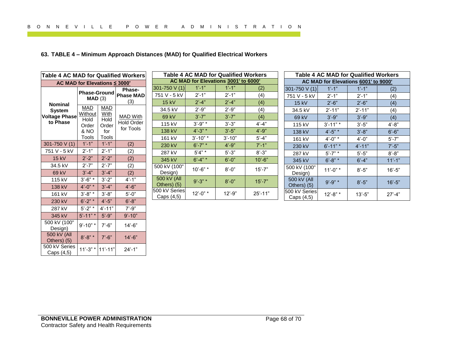## <span id="page-67-0"></span>**63. TABLE 4 – Minimum Approach Distances (MAD) for Qualified Electrical Workers**

| AC MAD for Elevations ≤ 3000'<br><b>Nominal</b><br><b>MAD</b><br><b>System</b><br>Without<br><b>Voltage Phase</b><br>Hold<br>to Phase | <b>Phase-Ground</b><br>MAD(3) | Phase-<br><b>Phase MAD</b> | 301-750 V (1)<br>751 V - 5 kV | $1' - 1''$        | AC MAD for Elevations 3001' to 6000'<br>$1' - 1''$ | (2)         |                 |
|---------------------------------------------------------------------------------------------------------------------------------------|-------------------------------|----------------------------|-------------------------------|-------------------|----------------------------------------------------|-------------|-----------------|
|                                                                                                                                       |                               |                            |                               |                   |                                                    |             |                 |
|                                                                                                                                       |                               |                            |                               | $2' - 1"$         | $2' - 1"$                                          | (4)         | 301-75<br>751 V |
|                                                                                                                                       |                               | (3)                        | <b>15 kV</b>                  | $2'-4"$           | $2^{\prime}$ -4"                                   | (4)         |                 |
|                                                                                                                                       | <b>MAD</b>                    |                            | 34.5 kV                       | $2' - 9''$        | $2' - 9''$                                         | (4)         |                 |
|                                                                                                                                       | With                          | <b>MAD With</b>            | 69 kV                         | $3' - 7"$         | $3' - 7"$                                          | (4)         |                 |
| Order                                                                                                                                 | Hold<br>Order                 | <b>Hold Order</b>          | 115 kV                        | $3' - 9''$ *      | $3' - 3"$                                          | $4' - 4"$   |                 |
| 8 NO                                                                                                                                  | for                           | for Tools                  | 138 kV                        | $4^{\circ}$ -3" * | $3'-5"$                                            | $4' - 9''$  |                 |
| Tools                                                                                                                                 | <b>Tools</b>                  |                            | 161 kV                        | $3' - 10"$ *      | $3'$ -10"                                          | $5' - 4"$   |                 |
| $1'-1$<br>301-750 V (1)                                                                                                               | $1'-1$                        | (2)                        | 230 kV                        | $6' - 7" *$       | $4' - 9''$                                         | $7' - 1''$  |                 |
| 751 V - 5 kV<br>$2' - 1"$                                                                                                             | $2'-1$                        | (2)                        | 287 kV                        | $5'4" *$          | $5' - 3"$                                          | $8' - 3"$   |                 |
| $2^{\prime}$ -2"<br><b>15 kV</b>                                                                                                      | $2^{\prime}$ -2"              | (2)                        | 345 kV                        | $6' - 4''$ *      | $6' - 0''$                                         | $10' - 6"$  |                 |
| 34.5 kV<br>$2' - 7"$                                                                                                                  | $2' - 7"$                     | (2)                        | 500 kV (100"                  | $10' - 6"$ *      | $8' - 0''$                                         | $15' - 7"$  | 500 kV          |
| $3' - 4"$<br>69 kV                                                                                                                    | $3' - 4''$                    | (2)                        | Design)                       |                   |                                                    |             |                 |
| $3' - 6''$ *<br>115 kV                                                                                                                | $3'-2"$                       | $4' - 1''$                 | 500 kV (All<br>Others) (5)    | $9' - 3''$ *      | $8' - 0''$                                         | $15' - 7"$  |                 |
| 138 kV<br>$4'$ -0" *                                                                                                                  | $3'-4"$                       | $4'-6"$                    | 500 kV Series                 |                   |                                                    |             | 500 kV          |
| $3' - 8''$ *<br>161 kV                                                                                                                | $3' - 8''$                    | $5' - 0''$                 | Caps (4,5)                    | $12' - 0''$ *     | $12 - 9"$                                          | $25' - 11"$ |                 |
| 230 kV<br>$6' - 2''$ *                                                                                                                | $4' - 5"$                     | $6' - 8"$                  |                               |                   |                                                    |             |                 |
| 287 kV<br>$5' - 2"$                                                                                                                   | $4' - 11"$                    | $7' - 9''$                 |                               |                   |                                                    |             |                 |
| $5' - 11"$<br>345 kV                                                                                                                  | $5' - 9''$                    | $9' - 10"$                 |                               |                   |                                                    |             |                 |
| 500 kV (100"<br>$9' - 10"$ *<br>Design)                                                                                               | $7' - 6"$                     | $14 - 6"$                  |                               |                   |                                                    |             |                 |
| 500 kV (All<br>$8' - 8''$ *<br>Others) (5)                                                                                            | $7' - 6"$                     | $14 - 6"$                  |                               |                   |                                                    |             |                 |
| 500 kV Series<br>$11'-3"$ *<br>Caps (4,5)                                                                                             | $11' - 11"$                   | $24' - 1"$                 |                               |                   |                                                    |             |                 |

| <b>Table 4 AC MAD for Qualified Workers</b> |                  |            |             |  |  |
|---------------------------------------------|------------------|------------|-------------|--|--|
| AC MAD for Elevations 3001' to 6000'        |                  |            |             |  |  |
| 301-750 $V(1)$                              | $1' - 1''$       | $1' - 1''$ | (2)         |  |  |
| 751 V - 5 kV                                | $2' - 1"$        | $2' - 1''$ | (4)         |  |  |
| 15 kV                                       | $2' - 4"$        | $2' - 4"$  | (4)         |  |  |
| 34.5 kV                                     | $2^{\prime}$ -9" | $2' - 9''$ | (4)         |  |  |
| 69 kV                                       | $3' - 7"$        | $3' - 7"$  | (4)         |  |  |
| 115 kV                                      | $3' - 9''$ *     | $3' - 3"$  | $4' - 4"$   |  |  |
| 138 kV                                      | $4' - 3''$ *     | $3'-5"$    | $4' - 9''$  |  |  |
| 161 kV                                      | $3'$ -10" *      | $3' - 10"$ | $5' - 4"$   |  |  |
| 230 kV                                      | $6' - 7''$ *     | $4' - 9''$ | $7' - 1''$  |  |  |
| 287 kV                                      | $5'4" *$         | $5' - 3"$  | $8' - 3"$   |  |  |
| 345 kV                                      | $6' - 4''$ *     | $6' - 0''$ | $10' - 6"$  |  |  |
| 500 kV (100"<br>Design)                     | 10'-6" *         | $8' - 0''$ | 15'-7"      |  |  |
| 500 kV (All<br>Others) (5)                  | $9' - 3''$ *     | $8' - 0''$ | $15' - 7"$  |  |  |
| 500 kV Series<br>Caps (4,5)                 | 12'-0" *         | 12'-9"     | $25' - 11"$ |  |  |

| <b>Table 4 AC MAD for Qualified Workers</b> |               |            |            |  |  |
|---------------------------------------------|---------------|------------|------------|--|--|
| AC MAD for Elevations 6001' to 9000'        |               |            |            |  |  |
| 301-750 V (1)                               | $1' - 1''$    | $1' - 1''$ | (2)        |  |  |
| 751 V - 5 kV                                | $2' - 1''$    | $2' - 1''$ | (4)        |  |  |
| 15 kV                                       | $2'-6"$       | $2' - 6"$  | (4)        |  |  |
| 34.5 kV                                     | $2' - 11"$    | $2' - 11"$ | (4)        |  |  |
| 69 kV                                       | $3' - 9''$    | $3' - 9''$ | (4)        |  |  |
| 115 kV                                      | $3' - 11"$    | $3'-5''$   | $4' - 8"$  |  |  |
| 138 kV                                      | $4' - 5''$ *  | $3' - 8"$  | $6' - 6"$  |  |  |
| 161 kV                                      | $4' - 0''$ *  | $4' - 0''$ | $5' - 7"$  |  |  |
| 230 kV                                      | $6' - 11''$ * | $4' - 11"$ | $7' - 5"$  |  |  |
| 287 kV                                      | $5' - 7"$     | $5'-5''$   | $8' - 8"$  |  |  |
| 345 kV                                      | $6' - 8''$ *  | $6' - 4"$  | $11' - 1"$ |  |  |
| 500 kV (100"<br>Design)                     | 11'-0" *      | $8' - 5"$  | $16' - 5"$ |  |  |
| 500 kV (All<br>Others) (5)                  | $9' - 9''$ *  | $8' - 5"$  | $16' - 5"$ |  |  |
| 500 kV Series<br>Caps (4,5)                 | 12'-8" *      | 13'-5"     | $27' - 4"$ |  |  |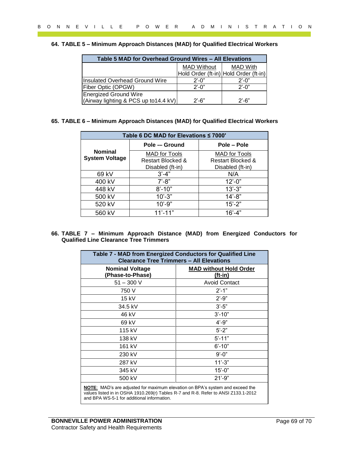#### <span id="page-68-0"></span>**64. TABLE 5 – Minimum Approach Distances (MAD) for Qualified Electrical Workers**

| Table 5 MAD for Overhead Ground Wires - All Elevations |                    |                                       |
|--------------------------------------------------------|--------------------|---------------------------------------|
|                                                        | <b>MAD Without</b> | <b>MAD With</b>                       |
|                                                        |                    | Hold Order (ft-in) Hold Order (ft-in) |
| Insulated Overhead Ground Wire                         | $2'$ -0"           | $2^{\prime}$ -0"                      |
| Fiber Optic (OPGW)                                     | $2'$ -0"           | $2'$ -0"                              |
| <b>Energized Ground Wire</b>                           |                    |                                       |
| (Airway lighting & PCS up to 14.4 kV)                  | $2'$ -6"           | $2'$ -6"                              |

#### <span id="page-68-1"></span>**65. TABLE 6 – Minimum Approach Distances (MAD) for Qualified Electrical Workers**

<span id="page-68-2"></span>

|                       | Table 6 DC MAD for Elevations $\leq 7000'$ |                      |
|-----------------------|--------------------------------------------|----------------------|
|                       | Pole -- Ground                             | Pole - Pole          |
| <b>Nominal</b>        | MAD for Tools                              | <b>MAD</b> for Tools |
| <b>System Voltage</b> | Restart Blocked &                          | Restart Blocked &    |
|                       | Disabled (ft-in)                           | Disabled (ft-in)     |
| 69 kV                 | $3' - 4"$                                  | N/A                  |
| 400 kV                | $7' - 8"$                                  | $12 - 0$ "           |
| 448 kV                | $8' - 10"$                                 | $13' - 3"$           |
| 500 kV                | $10' - 3"$                                 | $14' - 8"$           |
| 520 kV                | $10' - 9"$                                 | $15 - 2"$            |
| 560 kV                | $11' - 11'$                                | $16' - 4"$           |

|                                                                                                                                        | Table 5 MAD for Overhead Ground Wires - All Elevations                                                        |            |                    |                                       |  |
|----------------------------------------------------------------------------------------------------------------------------------------|---------------------------------------------------------------------------------------------------------------|------------|--------------------|---------------------------------------|--|
|                                                                                                                                        |                                                                                                               |            | <b>MAD Without</b> | <b>MAD With</b>                       |  |
|                                                                                                                                        |                                                                                                               |            |                    | Hold Order (ft-in) Hold Order (ft-in) |  |
| <b>Insulated Overhead Ground Wire</b>                                                                                                  |                                                                                                               | $2' - 0''$ |                    | $2'-0"$                               |  |
| Fiber Optic (OPGW)<br><b>Energized Ground Wire</b>                                                                                     |                                                                                                               |            | $2'-0''$           | $2^{\prime}$ -0"                      |  |
| (Airway lighting & PCS up to 14.4 kV)                                                                                                  |                                                                                                               | $2' - 6"$  |                    | $2'-6"$                               |  |
| 65. TABLE 6 – Minimum Approach Distances (MAD) for Qualified Electrical Workers                                                        |                                                                                                               |            |                    |                                       |  |
|                                                                                                                                        | Table 6 DC MAD for Elevations ≤ 7000'                                                                         |            |                    |                                       |  |
|                                                                                                                                        | Pole -- Ground                                                                                                |            |                    | Pole - Pole                           |  |
| <b>Nominal</b>                                                                                                                         | <b>MAD</b> for Tools                                                                                          |            |                    | <b>MAD</b> for Tools                  |  |
| <b>System Voltage</b>                                                                                                                  | <b>Restart Blocked &amp;</b>                                                                                  |            |                    | <b>Restart Blocked &amp;</b>          |  |
|                                                                                                                                        | Disabled (ft-in)                                                                                              |            |                    | Disabled (ft-in)                      |  |
| 69 kV                                                                                                                                  | $3'-4"$                                                                                                       |            |                    | N/A                                   |  |
| 400 kV                                                                                                                                 | $7' - 8"$                                                                                                     |            |                    | $12 - 0$ "                            |  |
| 448 kV                                                                                                                                 | $8' - 10"$                                                                                                    |            |                    | $13'-3"$                              |  |
| 500 kV                                                                                                                                 | $10' - 3"$                                                                                                    |            |                    | $14 - 8$                              |  |
|                                                                                                                                        |                                                                                                               |            |                    |                                       |  |
| 520 kV                                                                                                                                 | $10' - 9"$                                                                                                    |            |                    | $15 - 2"$                             |  |
| 560 kV<br>66. TABLE 7 - Minimum Approach Distance (MAD) from Energized Conductors for<br><b>Qualified Line Clearance Tree Trimmers</b> | $11'-11"$                                                                                                     |            |                    | $16' - 4"$                            |  |
|                                                                                                                                        | Table 7 - MAD from Energized Conductors for Qualified Line<br><b>Clearance Tree Trimmers - All Elevations</b> |            |                    |                                       |  |
| <b>Nominal Voltage</b>                                                                                                                 |                                                                                                               |            |                    | <b>MAD without Hold Order</b>         |  |
| (Phase-to-Phase)                                                                                                                       |                                                                                                               |            |                    | $(ft-in)$                             |  |
| $51 - 300$ V                                                                                                                           |                                                                                                               |            |                    | <b>Avoid Contact</b>                  |  |
| 750 V                                                                                                                                  |                                                                                                               |            |                    | $2'-1"$                               |  |
| 15 kV                                                                                                                                  |                                                                                                               |            |                    | $2^{\prime}$ -9"                      |  |
| 34.5 kV                                                                                                                                |                                                                                                               |            |                    | $3'-5"$                               |  |
| 46 kV                                                                                                                                  |                                                                                                               |            |                    | $3' - 10"$                            |  |
| 69 kV                                                                                                                                  |                                                                                                               |            |                    | $4' - 9''$                            |  |
| 115 kV                                                                                                                                 |                                                                                                               |            |                    | $5'-2"$                               |  |
| 138 kV                                                                                                                                 |                                                                                                               |            |                    | $5' - 11"$                            |  |
| 161 kV                                                                                                                                 |                                                                                                               |            |                    | $6' - 10"$                            |  |
| 230 kV                                                                                                                                 |                                                                                                               |            |                    | $9' - 0''$                            |  |
| 287 kV                                                                                                                                 |                                                                                                               |            |                    | $11'-3"$                              |  |
| 345 kV                                                                                                                                 |                                                                                                               |            |                    | $15'-0$ "                             |  |
| 500 kV                                                                                                                                 |                                                                                                               |            |                    | $21' - 9"$                            |  |